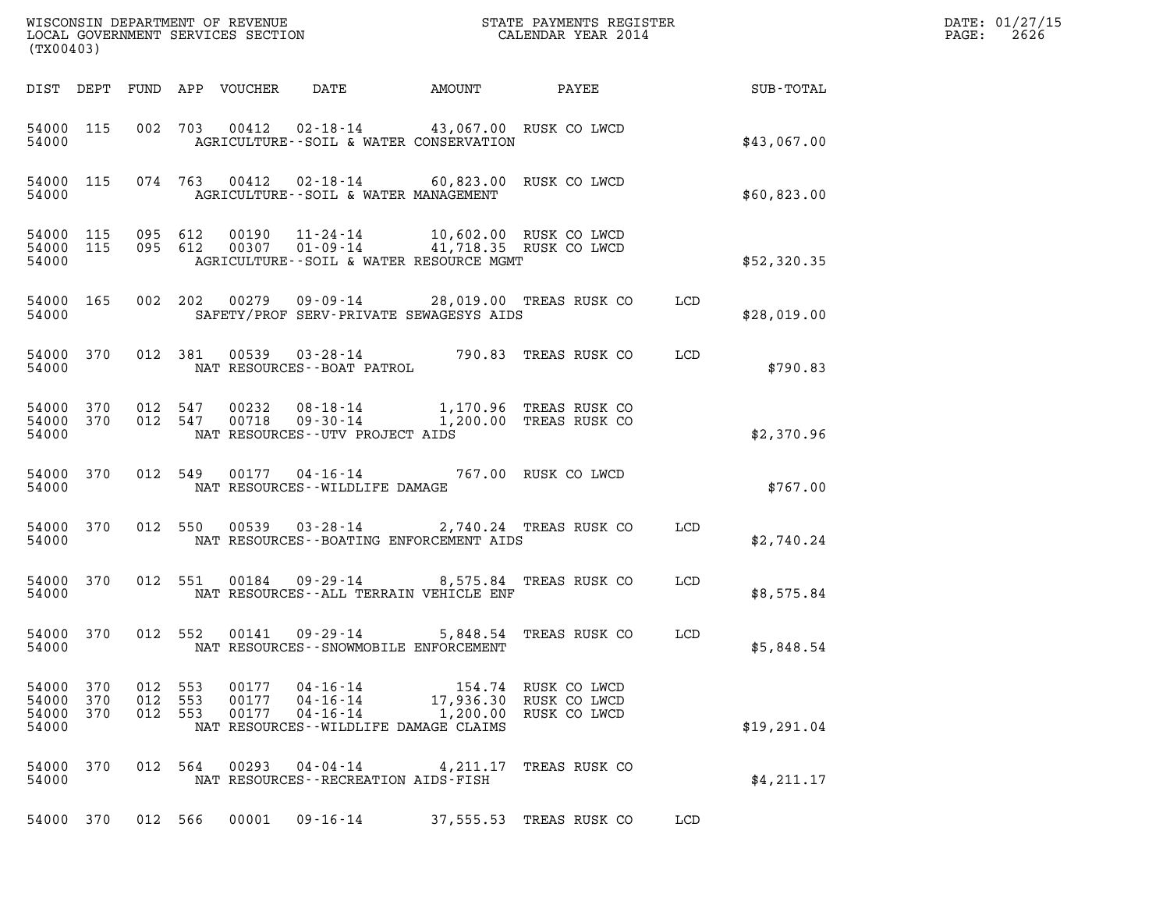| (TX00403)                        |                   |                              |                |                            |                                                                              |                                                                                                                                   |                                                                        |            |             | DATE: 01/27/15<br>$\mathtt{PAGE:}$<br>2626 |
|----------------------------------|-------------------|------------------------------|----------------|----------------------------|------------------------------------------------------------------------------|-----------------------------------------------------------------------------------------------------------------------------------|------------------------------------------------------------------------|------------|-------------|--------------------------------------------|
|                                  |                   |                              |                | DIST DEPT FUND APP VOUCHER | DATE                                                                         |                                                                                                                                   |                                                                        |            |             |                                            |
| 54000 115<br>54000               |                   |                              |                | 002 703 00412              |                                                                              | 02-18-14 43,067.00 RUSK CO LWCD<br>AGRICULTURE--SOIL & WATER CONSERVATION                                                         |                                                                        |            | \$43,067.00 |                                            |
| 54000 115<br>54000               |                   |                              |                |                            | AGRICULTURE--SOIL & WATER MANAGEMENT                                         | 074 763 00412 02-18-14 60,823.00 RUSK CO LWCD                                                                                     |                                                                        |            | \$60,823.00 |                                            |
| 54000 115<br>54000               |                   | 54000 115 095 612<br>095 612 |                |                            |                                                                              | 00190  11-24-14  10,602.00  RUSK CO LWCD<br>00307  01-09-14  41,718.35  RUSK CO LWCD<br>AGRICULTURE -- SOIL & WATER RESOURCE MGMT |                                                                        |            | \$52,320.35 |                                            |
| 54000 165<br>54000               |                   |                              |                |                            |                                                                              | SAFETY/PROF SERV-PRIVATE SEWAGESYS AIDS                                                                                           | 002  202  00279  09-09-14  28,019.00 TREAS RUSK CO                     | LCD        | \$28,019.00 |                                            |
| 54000 370<br>54000               |                   |                              | 012 381        |                            | NAT RESOURCES--BOAT PATROL                                                   |                                                                                                                                   | 00539  03-28-14  790.83  TREAS RUSK CO                                 | LCD        | \$790.83    |                                            |
| 54000<br>54000 370<br>54000      | 370               | 012 547<br>012 547           |                | 00232<br>00718             | NAT RESOURCES--UTV PROJECT AIDS                                              |                                                                                                                                   | 08-18-14 1,170.96 TREAS RUSK CO<br>09-30-14 1,200.00 TREAS RUSK CO     |            | \$2,370.96  |                                            |
| 54000 370<br>54000               |                   |                              |                |                            | NAT RESOURCES - - WILDLIFE DAMAGE                                            | 012 549 00177 04-16-14 767.00 RUSK CO LWCD                                                                                        |                                                                        |            | \$767.00    |                                            |
| 54000 370<br>54000               |                   |                              |                |                            |                                                                              | NAT RESOURCES - - BOATING ENFORCEMENT AIDS                                                                                        | 012 550 00539 03-28-14 2,740.24 TREAS RUSK CO                          | LCD        | \$2,740.24  |                                            |
| 54000 370<br>54000               |                   |                              | 012 551        | 00184                      |                                                                              | NAT RESOURCES -- ALL TERRAIN VEHICLE ENF                                                                                          | 09-29-14 8,575.84 TREAS RUSK CO                                        | <b>LCD</b> | \$8,575.84  |                                            |
| 54000                            |                   | 54000 370 012 552            |                |                            | $00141$ $09-29-14$<br>NAT RESOURCES - - SNOWMOBILE ENFORCEMENT               |                                                                                                                                   | 5,848.54 TREAS RUSK CO                                                 | LCD        | \$5,848.54  |                                            |
| 54000<br>54000<br>54000<br>54000 | 370<br>370<br>370 | 012 553<br>012               | 553<br>012 553 | 00177<br>00177<br>00177    | 04-16-14<br>04-16-14<br>04-16-14<br>NAT RESOURCES - - WILDLIFE DAMAGE CLAIMS |                                                                                                                                   | 154.74 RUSK CO LWCD<br>17,936.30 RUSK CO LWCD<br>1,200.00 RUSK CO LWCD |            | \$19,291.04 |                                            |
| 54000 370<br>54000               |                   |                              | 012 564        | 00293                      | $04 - 04 - 14$<br>NAT RESOURCES - - RECREATION AIDS - FISH                   |                                                                                                                                   | 4,211.17 TREAS RUSK CO                                                 |            | \$4,211.17  |                                            |
| 54000 370                        |                   | 012 566                      |                | 00001                      | $09 - 16 - 14$                                                               |                                                                                                                                   | 37,555.53 TREAS RUSK CO                                                | LCD        |             |                                            |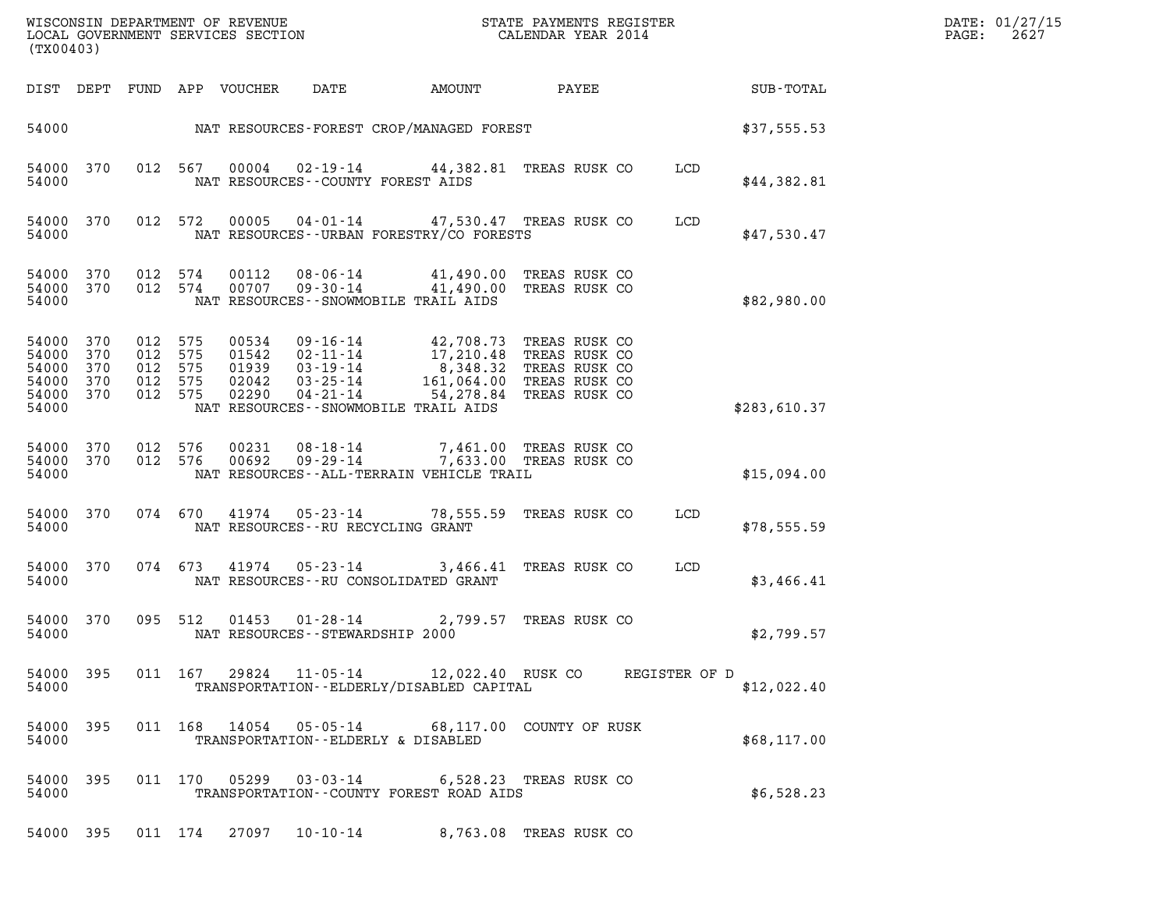| (TX00403)                        |                                             | LOCAL GOVERNMENT SERVICES SECTION                                                                                  |                                                                                                                                                                         |                                                                  |                            |              | DATE: 01/27/15<br>PAGE:<br>2627 |
|----------------------------------|---------------------------------------------|--------------------------------------------------------------------------------------------------------------------|-------------------------------------------------------------------------------------------------------------------------------------------------------------------------|------------------------------------------------------------------|----------------------------|--------------|---------------------------------|
|                                  |                                             | DIST DEPT FUND APP VOUCHER<br>DATE                                                                                 | AMOUNT                                                                                                                                                                  |                                                                  | <b>PAYEE</b> FOR THE PAYEE | SUB-TOTAL    |                                 |
|                                  |                                             |                                                                                                                    | 54000 MAT RESOURCES-FOREST CROP/MANAGED FOREST                                                                                                                          |                                                                  |                            | \$37,555.53  |                                 |
| 54000                            | 54000 370                                   | 012 567<br>00004<br>NAT RESOURCES - COUNTY FOREST AIDS                                                             | 02-19-14 44,382.81 TREAS RUSK CO                                                                                                                                        |                                                                  | LCD                        | \$44,382.81  |                                 |
| 54000                            | 54000 370                                   | 012 572<br>00005                                                                                                   | 04-01-14 47,530.47 TREAS RUSK CO<br>NAT RESOURCES--URBAN FORESTRY/CO FORESTS                                                                                            |                                                                  | LCD                        | \$47,530.47  |                                 |
| 54000                            | 54000 370<br>54000 370                      | 012 574<br>00112<br>012 574<br>00707                                                                               | 08-06-14 41,490.00 TREAS RUSK CO<br>09-30-14 41,490.00 TREAS RUSK CO<br>NAT RESOURCES - - SNOWMOBILE TRAIL AIDS                                                         |                                                                  |                            | \$82,980.00  |                                 |
| 54000<br>54000<br>54000<br>54000 | 54000 370<br>370<br>370<br>370<br>54000 370 | 012 575<br>00534<br>012 575<br>01542<br>012 575<br>01939<br>012 575<br>02042<br>012 575<br>02290<br>$04 - 21 - 14$ | 09-16-14 42,708.73 TREAS RUSK CO<br>02 - 11 - 14<br>03 - 19 - 14<br>03 - 19 - 14<br>03 - 25 - 14<br>161, 064.00<br>54,278.84<br>NAT RESOURCES - - SNOWMOBILE TRAIL AIDS | TREAS RUSK CO<br>TREAS RUSK CO<br>TREAS RUSK CO<br>TREAS RUSK CO |                            | \$283,610.37 |                                 |
| 54000                            | 54000 370<br>54000 370                      | 012 576<br>00231<br>012 576<br>00692                                                                               | 08-18-14 7,461.00 TREAS RUSK CO<br>09-29-14 7,633.00 TREAS RUSK CO<br>NAT RESOURCES--ALL-TERRAIN VEHICLE TRAIL                                                          |                                                                  |                            | \$15,094.00  |                                 |
| 54000                            | 54000 370                                   | NAT RESOURCES--RU RECYCLING GRANT                                                                                  | 074 670 41974 05-23-14 78,555.59                                                                                                                                        | TREAS RUSK CO                                                    | LCD                        | \$78,555.59  |                                 |
| 54000                            | 54000 370                                   | 074 673 41974                                                                                                      | $05 - 23 - 14$<br>NAT RESOURCES--RU CONSOLIDATED GRANT                                                                                                                  | 3,466.41 TREAS RUSK CO                                           | LCD                        | \$3,466.41   |                                 |
| 54000                            | 54000 370                                   | 095 512<br>01453<br>NAT RESOURCES - - STEWARDSHIP 2000                                                             | $01 - 28 - 14$<br>2,799.57                                                                                                                                              | TREAS RUSK CO                                                    |                            | \$2,799.57   |                                 |
| 54000                            | 54000 395                                   | 011 167 29824                                                                                                      | 11-05-14 12,022.40 RUSK CO<br>TRANSPORTATION - - ELDERLY/DISABLED CAPITAL                                                                                               |                                                                  | REGISTER OF D              | \$12,022.40  |                                 |
| 54000                            | 54000 395                                   | 011 168 14054<br>$05 - 05 - 14$                                                                                    | TRANSPORTATION--ELDERLY & DISABLED                                                                                                                                      | 68,117.00 COUNTY OF RUSK                                         |                            | \$68,117.00  |                                 |
| 54000                            | 54000 395                                   | 011 170 05299<br>$03 - 03 - 14$                                                                                    | TRANSPORTATION--COUNTY FOREST ROAD AIDS                                                                                                                                 | 6,528.23 TREAS RUSK CO                                           |                            | \$6,528.23   |                                 |
|                                  | 54000 395                                   | 011 174 27097 10-10-14                                                                                             |                                                                                                                                                                         | 8,763.08 TREAS RUSK CO                                           |                            |              |                                 |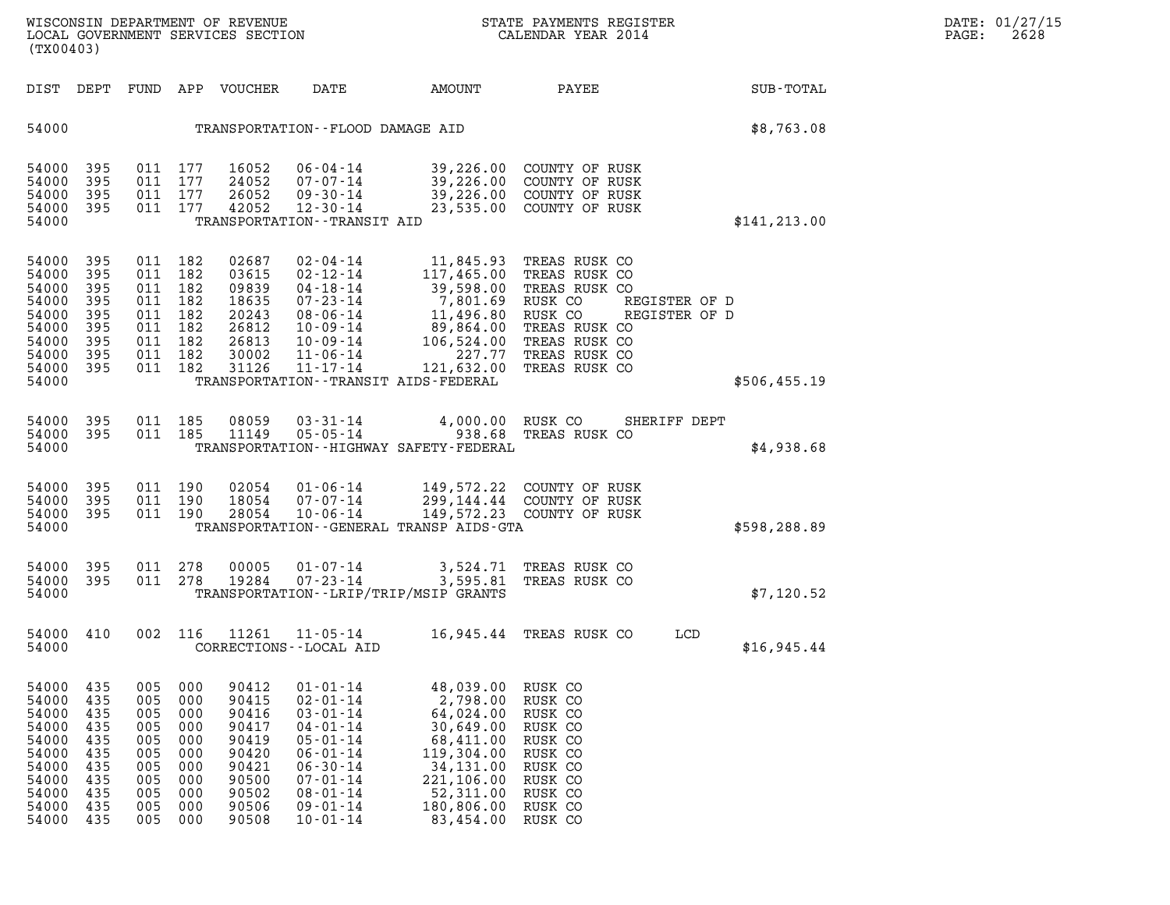| (TX00403)                                                                                       |                                                                           |                                                                                             |                                                                           | WISCONSIN DEPARTMENT OF REVENUE<br>LOCAL GOVERNMENT SERVICES SECTION                            |                                                                                                                                                                                                    |                                                                                                                                                                                                                                                                                          | STATE PAYMENTS REGISTER<br>CALENDAR YEAR 2014                                                                                                                  |                                                | DATE: 01/27/15<br>PAGE:<br>2628 |
|-------------------------------------------------------------------------------------------------|---------------------------------------------------------------------------|---------------------------------------------------------------------------------------------|---------------------------------------------------------------------------|-------------------------------------------------------------------------------------------------|----------------------------------------------------------------------------------------------------------------------------------------------------------------------------------------------------|------------------------------------------------------------------------------------------------------------------------------------------------------------------------------------------------------------------------------------------------------------------------------------------|----------------------------------------------------------------------------------------------------------------------------------------------------------------|------------------------------------------------|---------------------------------|
| DIST DEPT                                                                                       |                                                                           |                                                                                             |                                                                           | FUND APP VOUCHER                                                                                | DATE                                                                                                                                                                                               | AMOUNT                                                                                                                                                                                                                                                                                   | PAYEE                                                                                                                                                          | SUB-TOTAL                                      |                                 |
| 54000                                                                                           |                                                                           |                                                                                             |                                                                           |                                                                                                 | TRANSPORTATION--FLOOD DAMAGE AID                                                                                                                                                                   |                                                                                                                                                                                                                                                                                          |                                                                                                                                                                | \$8,763.08                                     |                                 |
| 54000<br>54000<br>54000<br>54000<br>54000                                                       | 395<br>395<br>395<br>395                                                  | 011 177<br>011 177<br>011 177<br>011 177                                                    |                                                                           | 16052<br>24052<br>26052<br>42052                                                                | 06-04-14<br>07-07-14<br>09-30-14<br>12-30-14<br>TRANSPORTATION - - TRANSIT AID                                                                                                                     |                                                                                                                                                                                                                                                                                          | 39,226.00 COUNTY OF RUSK<br>39,226.00 COUNTY OF RUSK<br>39,226.00 COUNTY OF RUSK<br>23,535.00 COUNTY OF RUSK                                                   | \$141, 213.00                                  |                                 |
| 54000<br>54000<br>54000<br>54000<br>54000<br>54000<br>54000<br>54000<br>54000<br>54000          | 395<br>395<br>395<br>395<br>395<br>395<br>395<br>395<br>395               | 011 182<br>011<br>011 182<br>011 182<br>011 182<br>011 182<br>011 182<br>011 182<br>011 182 | 182                                                                       | 02687<br>03615<br>09839<br>18635<br>20243<br>26812<br>26813<br>30002<br>31126                   | 02-04-14<br>$11 - 17 - 14$                                                                                                                                                                         | $02 - 12 - 14$<br>$03 - 12 - 14$<br>$04 - 18 - 14$<br>$07 - 23 - 14$<br>$107 - 23 - 14$<br>$117, 465.00$<br>$08 - 06 - 14$<br>$11, 496.80$<br>$10 - 09 - 14$<br>$106, 524.00$<br>$11 - 06 - 14$<br>$227.77$<br>$11, 17, 14$<br>$121.632.00$<br>TRANSPORTATION - - TRANSIT AIDS - FEDERAL | 11,845.93 TREAS RUSK CO<br>TREAS RUSK CO<br>TREAS RUSK CO<br>RUSK CO<br>RUSK CO<br>TREAS RUSK CO<br>TREAS RUSK CO<br>TREAS RUSK CO<br>121,632.00 TREAS RUSK CO | REGISTER OF D<br>REGISTER OF D<br>\$506,455.19 |                                 |
| 54000<br>54000<br>54000                                                                         | - 395<br>395                                                              | 011 185<br>011 185                                                                          |                                                                           | 08059<br>11149                                                                                  | $03 - 31 - 14$<br>$05 - 05 - 14$                                                                                                                                                                   | TRANSPORTATION - - HIGHWAY SAFETY - FEDERAL                                                                                                                                                                                                                                              | 4,000.00 RUSK CO<br>938.68 TREAS RUSK CO                                                                                                                       | SHERIFF DEPT<br>\$4,938.68                     |                                 |
| 54000<br>54000<br>54000<br>54000                                                                | 395<br>395<br>395                                                         | 011 190<br>011 190<br>011 190                                                               |                                                                           | 02054<br>18054<br>28054                                                                         | 01-06-14<br>$07 - 07 - 14$<br>$10 - 06 - 14$                                                                                                                                                       | TRANSPORTATION - - GENERAL TRANSP AIDS - GTA                                                                                                                                                                                                                                             | 149,572.22 COUNTY OF RUSK<br>299,144.44 COUNTY OF RUSK<br>149,572.23 COUNTY OF RUSK                                                                            | \$598,288.89                                   |                                 |
| 54000<br>54000<br>54000                                                                         | 395<br>395                                                                | 011 278<br>011 278                                                                          |                                                                           | 00005<br>19284                                                                                  | 01-07-14<br>$07 - 23 - 14$                                                                                                                                                                         | 3,595.81<br>TRANSPORTATION - - LRIP/TRIP/MSIP GRANTS                                                                                                                                                                                                                                     | 3,524.71 TREAS RUSK CO<br>TREAS RUSK CO                                                                                                                        | \$7,120.52                                     |                                 |
| 54000 410<br>54000                                                                              |                                                                           |                                                                                             | 002 116                                                                   | 11261                                                                                           | $11 - 05 - 14$<br>CORRECTIONS - - LOCAL AID                                                                                                                                                        |                                                                                                                                                                                                                                                                                          | 16,945.44 TREAS RUSK CO                                                                                                                                        | LCD<br>\$16,945.44                             |                                 |
| 54000<br>54000<br>54000<br>54000<br>54000<br>54000<br>54000<br>54000<br>54000<br>54000<br>54000 | 435<br>435<br>435<br>435<br>435<br>435<br>435<br>435<br>435<br>435<br>435 | 005<br>005<br>005<br>005<br>005<br>005<br>005<br>005<br>005<br>005<br>005                   | 000<br>000<br>000<br>000<br>000<br>000<br>000<br>000<br>000<br>000<br>000 | 90412<br>90415<br>90416<br>90417<br>90419<br>90420<br>90421<br>90500<br>90502<br>90506<br>90508 | $01 - 01 - 14$<br>$02 - 01 - 14$<br>$03 - 01 - 14$<br>$04 - 01 - 14$<br>$05 - 01 - 14$<br>$06 - 01 - 14$<br>$06 - 30 - 14$<br>$07 - 01 - 14$<br>$08 - 01 - 14$<br>$09 - 01 - 14$<br>$10 - 01 - 14$ | 48,039.00<br>2,798.00<br>64,024.00<br>30,649.00<br>68,411.00<br>119,304.00<br>34,131.00<br>221,106.00<br>52,311.00<br>180,806.00<br>83,454.00                                                                                                                                            | RUSK CO<br>RUSK CO<br>RUSK CO<br>RUSK CO<br>RUSK CO<br>RUSK CO<br>RUSK CO<br>RUSK CO<br>RUSK CO<br>RUSK CO<br>RUSK CO                                          |                                                |                                 |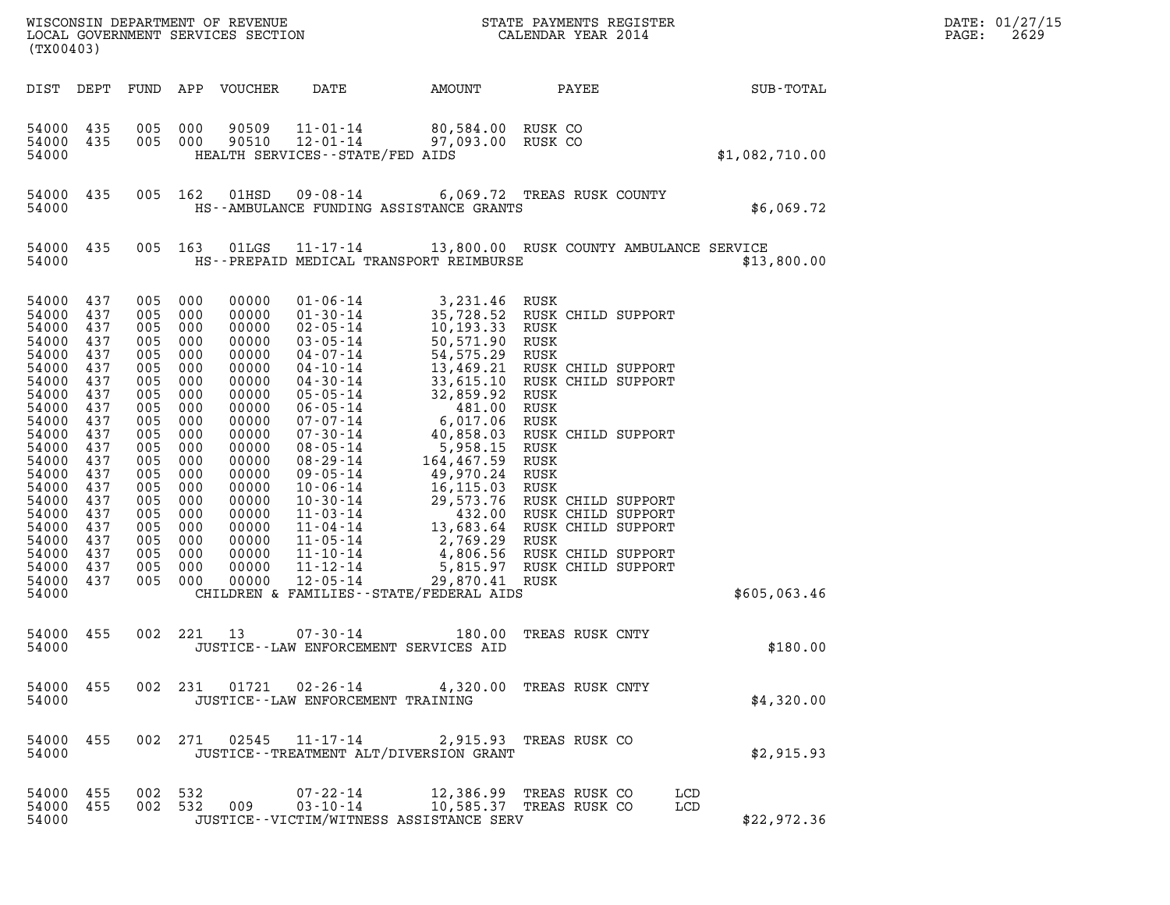| (TX00403)                                                                                                                                                                                                       |                                                                                                                                                 |                                                                                                                                                        |                                                                                                                                                        |                                                                                                                                                                                                    |                                                                                                                                                                                      |                                                                         |                                                                                                                                                                                                                                                                                                                                                                                                                                                                                                                                                                                                                                                                              |            |                | DATE: 01/27/15<br>2629<br>PAGE: |
|-----------------------------------------------------------------------------------------------------------------------------------------------------------------------------------------------------------------|-------------------------------------------------------------------------------------------------------------------------------------------------|--------------------------------------------------------------------------------------------------------------------------------------------------------|--------------------------------------------------------------------------------------------------------------------------------------------------------|----------------------------------------------------------------------------------------------------------------------------------------------------------------------------------------------------|--------------------------------------------------------------------------------------------------------------------------------------------------------------------------------------|-------------------------------------------------------------------------|------------------------------------------------------------------------------------------------------------------------------------------------------------------------------------------------------------------------------------------------------------------------------------------------------------------------------------------------------------------------------------------------------------------------------------------------------------------------------------------------------------------------------------------------------------------------------------------------------------------------------------------------------------------------------|------------|----------------|---------------------------------|
| DIST DEPT                                                                                                                                                                                                       |                                                                                                                                                 |                                                                                                                                                        | FUND APP VOUCHER                                                                                                                                       |                                                                                                                                                                                                    | DATE                                                                                                                                                                                 | AMOUNT                                                                  | PAYEE                                                                                                                                                                                                                                                                                                                                                                                                                                                                                                                                                                                                                                                                        |            | SUB-TOTAL      |                                 |
| 54000<br>54000<br>54000                                                                                                                                                                                         | 435<br>435                                                                                                                                      | 005                                                                                                                                                    | 000<br>005 000                                                                                                                                         | 90509<br>90510                                                                                                                                                                                     | $11 - 01 - 14$<br>12-01-14<br>HEALTH SERVICES -- STATE/FED AIDS                                                                                                                      | 80,584.00 RUSK CO<br>97,093.00 RUSK CO                                  |                                                                                                                                                                                                                                                                                                                                                                                                                                                                                                                                                                                                                                                                              |            | \$1,082,710.00 |                                 |
| 54000<br>54000                                                                                                                                                                                                  | 435                                                                                                                                             |                                                                                                                                                        | 005 162                                                                                                                                                | 01HSD                                                                                                                                                                                              | HS--AMBULANCE FUNDING ASSISTANCE GRANTS                                                                                                                                              |                                                                         | 09-08-14 6,069.72 TREAS RUSK COUNTY                                                                                                                                                                                                                                                                                                                                                                                                                                                                                                                                                                                                                                          |            | \$6,069.72     |                                 |
| 54000<br>54000                                                                                                                                                                                                  | 435                                                                                                                                             |                                                                                                                                                        | 005 163                                                                                                                                                | 01LGS                                                                                                                                                                                              | HS--PREPAID MEDICAL TRANSPORT REIMBURSE                                                                                                                                              |                                                                         | 11-17-14 13,800.00 RUSK COUNTY AMBULANCE SERVICE                                                                                                                                                                                                                                                                                                                                                                                                                                                                                                                                                                                                                             |            | \$13,800.00    |                                 |
| 54000<br>54000<br>54000<br>54000<br>54000<br>54000<br>54000<br>54000<br>54000<br>54000<br>54000<br>54000<br>54000<br>54000<br>54000<br>54000<br>54000<br>54000<br>54000<br>54000<br>54000<br>54000 437<br>54000 | 437<br>437<br>437<br>437<br>437<br>437<br>437<br>437<br>437<br>437<br>437<br>437<br>437<br>437<br>437<br>437<br>437<br>437<br>437<br>437<br>437 | 005<br>005<br>005<br>005<br>005<br>005<br>005<br>005<br>005<br>005<br>005<br>005<br>005<br>005<br>005<br>005<br>005<br>005<br>005<br>005<br>005<br>005 | 000<br>000<br>000<br>000<br>000<br>000<br>000<br>000<br>000<br>000<br>000<br>000<br>000<br>000<br>000<br>000<br>000<br>000<br>000<br>000<br>000<br>000 | 00000<br>00000<br>00000<br>00000<br>00000<br>00000<br>00000<br>00000<br>00000<br>00000<br>00000<br>00000<br>00000<br>00000<br>00000<br>00000<br>00000<br>00000<br>00000<br>00000<br>00000<br>00000 | $01 - 06 - 14$<br>$01 - 30 - 14$<br>$02 - 05 - 14$<br>$03 - 05 - 14$<br>$04 - 07 - 14$<br>$11 - 10 - 14$<br>11-12-14<br>$12 - 05 - 14$<br>CHILDREN & FAMILIES - - STATE/FEDERAL AIDS | 3,231.46<br>10,193.33<br>50,571.90 RUSK<br>54, 575.29<br>29,870.41 RUSK | RUSK<br>35,728.52 RUSK CHILD SUPPORT<br>RUSK<br>RUSK<br>04-10-14<br>04-10-14<br>04-30-14<br>05-05-14<br>06-05-14<br>06-05-14<br>07-07-14<br>07-30-14<br>08-05-14<br>08-05-14<br>08-05-14<br>08-05-14<br>08-05-14<br>08-05-14<br>08-05-14<br>08-05-14<br>08-05-14<br>08-05-14<br>08-05-14<br>08-05-14<br>08-05-14<br>08-05-14<br>08<br>08-05-14<br>08-29-14<br>08-29-14<br>09-05-14<br>164,467.59<br>164,467.59<br>164,467.59<br>NUSK<br>10-06-14<br>16,115.03<br>NUSK<br>NUSK<br>10-06-14<br>16,115.03<br>NUSK<br>NUSK<br>CHILD SUPPORT<br>11-03-14<br>13,683.64<br>NUSK CHILD SUPPORT<br>11-04-14<br>13,683.6<br>4,806.56 RUSK CHILD SUPPORT<br>5,815.97 RUSK CHILD SUPPORT |            | \$605,063.46   |                                 |
| 54000 455<br>54000                                                                                                                                                                                              |                                                                                                                                                 |                                                                                                                                                        | 002 221<br>13                                                                                                                                          |                                                                                                                                                                                                    | $07 - 30 - 14$<br>JUSTICE -- LAW ENFORCEMENT SERVICES AID                                                                                                                            |                                                                         | 180.00 TREAS RUSK CNTY                                                                                                                                                                                                                                                                                                                                                                                                                                                                                                                                                                                                                                                       |            | \$180.00       |                                 |
| 54000 455<br>54000                                                                                                                                                                                              |                                                                                                                                                 |                                                                                                                                                        |                                                                                                                                                        |                                                                                                                                                                                                    | JUSTICE - - LAW ENFORCEMENT TRAINING                                                                                                                                                 |                                                                         | 002 231 01721 02-26-14 4,320.00 TREAS RUSK CNTY                                                                                                                                                                                                                                                                                                                                                                                                                                                                                                                                                                                                                              |            | \$4,320.00     |                                 |
| 54000 455<br>54000                                                                                                                                                                                              |                                                                                                                                                 |                                                                                                                                                        |                                                                                                                                                        |                                                                                                                                                                                                    | 002 271 02545 11-17-14 2,915.93 TREAS RUSK CO<br>JUSTICE - - TREATMENT ALT/DIVERSION GRANT                                                                                           |                                                                         |                                                                                                                                                                                                                                                                                                                                                                                                                                                                                                                                                                                                                                                                              |            | \$2,915.93     |                                 |
| 54000 455<br>54000 455<br>54000                                                                                                                                                                                 |                                                                                                                                                 |                                                                                                                                                        | 002 532<br>002 532<br>009                                                                                                                              |                                                                                                                                                                                                    | 07-22-14 12,386.99 TREAS RUSK CO<br>03-10-14 10,585.37 TREAS RUSK CO<br>JUSTICE - - VICTIM/WITNESS ASSISTANCE SERV                                                                   |                                                                         |                                                                                                                                                                                                                                                                                                                                                                                                                                                                                                                                                                                                                                                                              | LCD<br>LCD | \$22,972.36    |                                 |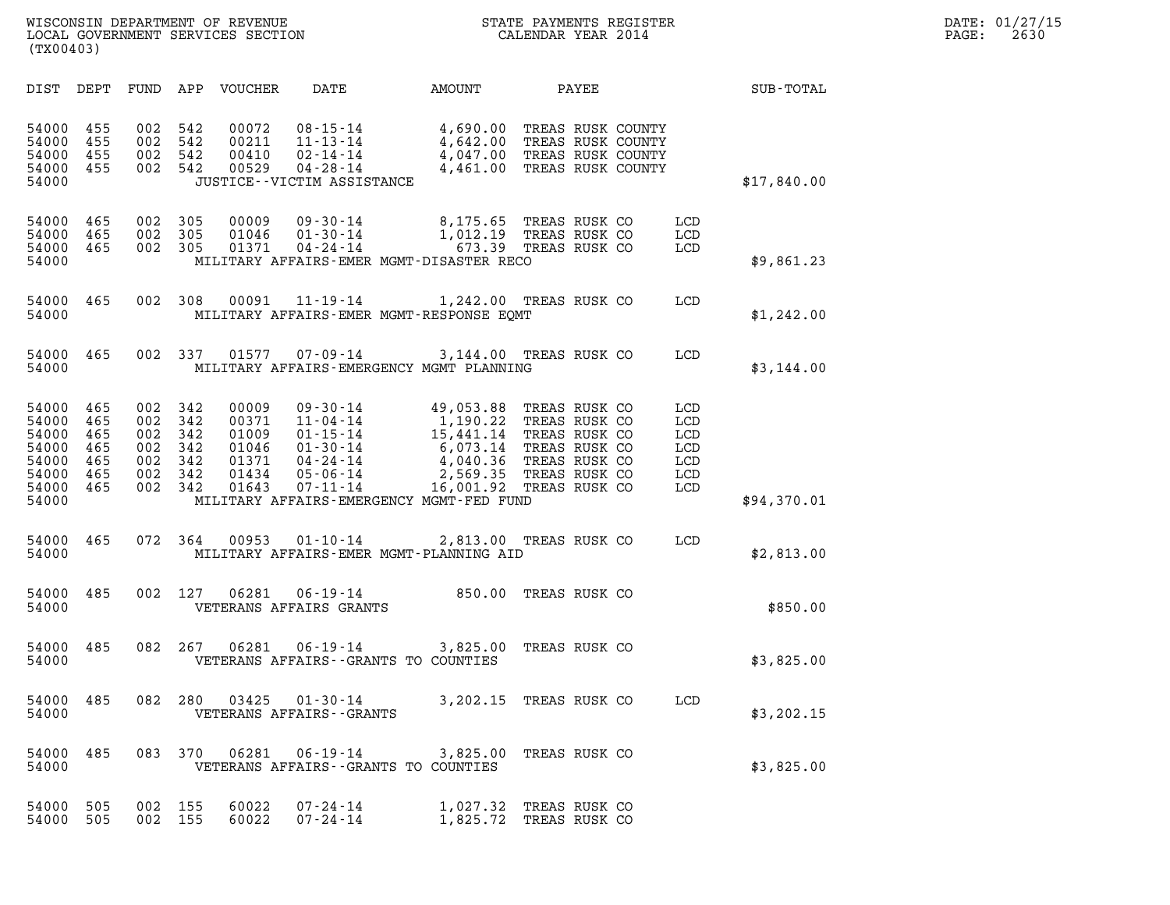| (TX00403)                                                            |                                               |                                               |                                               |                                                             |                                                                                                                      |                                                                                                                                               |                                                                                                    |       |                                               |             |  |
|----------------------------------------------------------------------|-----------------------------------------------|-----------------------------------------------|-----------------------------------------------|-------------------------------------------------------------|----------------------------------------------------------------------------------------------------------------------|-----------------------------------------------------------------------------------------------------------------------------------------------|----------------------------------------------------------------------------------------------------|-------|-----------------------------------------------|-------------|--|
| DIST                                                                 | DEPT                                          | FUND                                          | APP                                           | VOUCHER                                                     | DATE                                                                                                                 | AMOUNT                                                                                                                                        |                                                                                                    | PAYEE |                                               | SUB-TOTAL   |  |
| 54000<br>54000<br>54000<br>54000<br>54000                            | 455<br>455<br>455<br>455                      | 002<br>002<br>002<br>002                      | 542<br>542<br>542<br>542                      | 00072<br>00211<br>00410<br>00529                            | $08 - 15 - 14$<br>$11 - 13 - 14$<br>$02 - 14 - 14$<br>$04 - 28 - 14$<br>JUSTICE - - VICTIM ASSISTANCE                | 4,690.00<br>4,642.00<br>4,047.00 TREAS RUSK COUNTY<br>4,461.00 TREAS RUSK COUNTY                                                              | TREAS RUSK COUNTY<br>TREAS RUSK COUNTY                                                             |       |                                               | \$17,840.00 |  |
| 54000<br>54000<br>54000<br>54000                                     | 465<br>465<br>465                             | 002<br>002<br>002                             | 305<br>305<br>305                             | 00009<br>01046<br>01371                                     | $09 - 30 - 14$<br>$01 - 30 - 14$<br>$04 - 24 - 14$                                                                   | 8,175.65 TREAS RUSK CO<br>1,012.19<br>673.39<br>MILITARY AFFAIRS-EMER MGMT-DISASTER RECO                                                      | TREAS RUSK CO<br>TREAS RUSK CO                                                                     |       | LCD<br>LCD<br>LCD                             | \$9,861.23  |  |
| 54000<br>54000                                                       | 465                                           | 002                                           | 308                                           | 00091                                                       | $11 - 19 - 14$                                                                                                       | 1,242.00<br>MILITARY AFFAIRS-EMER MGMT-RESPONSE EQMT                                                                                          | TREAS RUSK CO                                                                                      |       | LCD                                           | \$1,242.00  |  |
| 54000<br>54000                                                       | 465                                           | 002                                           | 337                                           | 01577                                                       | $07 - 09 - 14$                                                                                                       | 3,144.00<br>MILITARY AFFAIRS-EMERGENCY MGMT PLANNING                                                                                          | TREAS RUSK CO                                                                                      |       | LCD                                           | \$3,144.00  |  |
| 54000<br>54000<br>54000<br>54000<br>54000<br>54000<br>54000<br>54000 | 465<br>465<br>465<br>465<br>465<br>465<br>465 | 002<br>002<br>002<br>002<br>002<br>002<br>002 | 342<br>342<br>342<br>342<br>342<br>342<br>342 | 00009<br>00371<br>01009<br>01046<br>01371<br>01434<br>01643 | 09-30-14<br>$11 - 04 - 14$<br>$01 - 15 - 14$<br>$01 - 30 - 14$<br>$04 - 24 - 14$<br>$05 - 06 - 14$<br>$07 - 11 - 14$ | 49,053.88<br>1,190.22<br>15,441.14<br>6,073.14<br>4,040.36<br>2,569.35<br>16,001.92 TREAS RUSK CO<br>MILITARY AFFAIRS-EMERGENCY MGMT-FED FUND | TREAS RUSK CO<br>TREAS RUSK CO<br>TREAS RUSK CO<br>TREAS RUSK CO<br>TREAS RUSK CO<br>TREAS RUSK CO |       | LCD<br>LCD<br>LCD<br>LCD<br>LCD<br>LCD<br>LCD | \$94,370.01 |  |
| 54000<br>54000                                                       | 465                                           | 072                                           | 364                                           | 00953                                                       | $01 - 10 - 14$                                                                                                       | 2,813.00 TREAS RUSK CO<br>MILITARY AFFAIRS-EMER MGMT-PLANNING AID                                                                             |                                                                                                    |       | LCD                                           | \$2,813.00  |  |
| 54000<br>54000                                                       | 485                                           | 002                                           | 127                                           | 06281                                                       | $06 - 19 - 14$<br>VETERANS AFFAIRS GRANTS                                                                            | 850.00                                                                                                                                        | TREAS RUSK CO                                                                                      |       |                                               | \$850.00    |  |
| 54000<br>54000                                                       | 485                                           | 082                                           | 267                                           | 06281                                                       | $06 - 19 - 14$<br>VETERANS AFFAIRS -- GRANTS TO COUNTIES                                                             | 3,825.00                                                                                                                                      | TREAS RUSK CO                                                                                      |       |                                               | \$3,825.00  |  |
| 54000<br>54000                                                       | 485                                           | 082                                           | 280                                           | 03425                                                       | $01 - 30 - 14$<br>VETERANS AFFAIRS - - GRANTS                                                                        | 3,202.15                                                                                                                                      | TREAS RUSK CO                                                                                      |       | LCD                                           | \$3,202.15  |  |
| 54000<br>54000                                                       | 485                                           | 083                                           | 370                                           |                                                             | VETERANS AFFAIRS - - GRANTS TO COUNTIES                                                                              | 06281  06-19-14  3,825.00 TREAS RUSK CO                                                                                                       |                                                                                                    |       |                                               | \$3,825.00  |  |
| 54000<br>54000                                                       | 505<br>505                                    | 002 155<br>002 155                            |                                               | 60022<br>60022                                              | $07 - 24 - 14$<br>$07 - 24 - 14$                                                                                     | 1,027.32 TREAS RUSK CO<br>1,825.72 TREAS RUSK CO                                                                                              |                                                                                                    |       |                                               |             |  |
|                                                                      |                                               |                                               |                                               |                                                             |                                                                                                                      |                                                                                                                                               |                                                                                                    |       |                                               |             |  |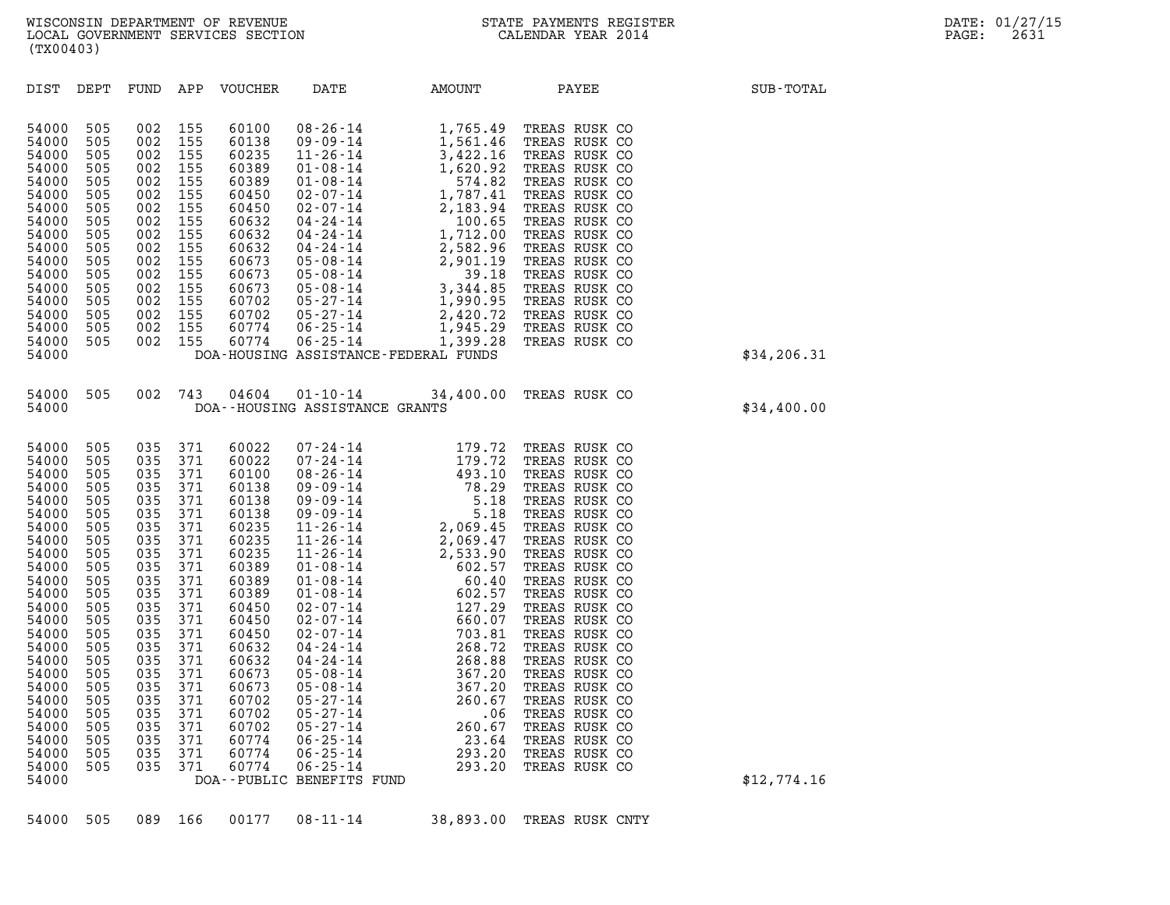| (TX00403)                                                                                                                                                                   |                                                                                                                                                                             |                                                                                                                                                                             |                                                                                                                                                                                                                               |      |        |                                                                                                     |                                          |  |  |  |  |
|-----------------------------------------------------------------------------------------------------------------------------------------------------------------------------|-----------------------------------------------------------------------------------------------------------------------------------------------------------------------------|-----------------------------------------------------------------------------------------------------------------------------------------------------------------------------|-------------------------------------------------------------------------------------------------------------------------------------------------------------------------------------------------------------------------------|------|--------|-----------------------------------------------------------------------------------------------------|------------------------------------------|--|--|--|--|
| DEPT                                                                                                                                                                        | FUND                                                                                                                                                                        | APP                                                                                                                                                                         | <b>VOUCHER</b>                                                                                                                                                                                                                | DATE | AMOUNT | PAYEE                                                                                               | SUB-TOTAL                                |  |  |  |  |
| 505<br>505<br>505<br>505<br>505<br>505<br>505<br>505<br>505<br>505<br>505<br>505<br>505<br>505<br>505<br>505<br>505                                                         | 002<br>002<br>002<br>002<br>002<br>002<br>002<br>002<br>002<br>002<br>002<br>002<br>002<br>002<br>002<br>002<br>002                                                         | 155<br>155<br>155<br>155<br>155<br>155<br>155<br>155<br>155<br>155<br>155<br>155<br>155<br>155<br>155<br>155                                                                |                                                                                                                                                                                                                               |      |        |                                                                                                     | \$34,206.31                              |  |  |  |  |
| 505                                                                                                                                                                         | 002                                                                                                                                                                         |                                                                                                                                                                             |                                                                                                                                                                                                                               |      |        |                                                                                                     | \$34,400.00                              |  |  |  |  |
| 505<br>505<br>505<br>505<br>505<br>505<br>505<br>505<br>505<br>505<br>505<br>505<br>505<br>505<br>505<br>505<br>505<br>505<br>505<br>505<br>505<br>505<br>505<br>505<br>505 | 035<br>035<br>035<br>035<br>035<br>035<br>035<br>035<br>035<br>035<br>035<br>035<br>035<br>035<br>035<br>035<br>035<br>035<br>035<br>035<br>035<br>035<br>035<br>035<br>035 | 371<br>371<br>371<br>371<br>371<br>371<br>371<br>371<br>371<br>371<br>371<br>371<br>371<br>371<br>371<br>371<br>371<br>371<br>371<br>371<br>371<br>371<br>371<br>371<br>371 | 60022<br>60022<br>60100<br>60138<br>60138<br>60138<br>60235<br>60235<br>60235<br>60389<br>60389<br>60389<br>60450<br>60450<br>60450<br>60632<br>60632<br>60673<br>60673<br>60702<br>60702<br>60702<br>60774<br>60774<br>60774 |      |        |                                                                                                     | \$12,774.16                              |  |  |  |  |
|                                                                                                                                                                             |                                                                                                                                                                             |                                                                                                                                                                             | 155                                                                                                                                                                                                                           | 743  |        | DOA-HOUSING ASSISTANCE-FEDERAL FUNDS<br>DOA--HOUSING ASSISTANCE GRANTS<br>DOA--PUBLIC BENEFITS FUND | 04604  01-10-14  34,400.00 TREAS RUSK CO |  |  |  |  |

54000 505 089 166 00177 08-11-14 38,893.00 TREAS RUSK CNTY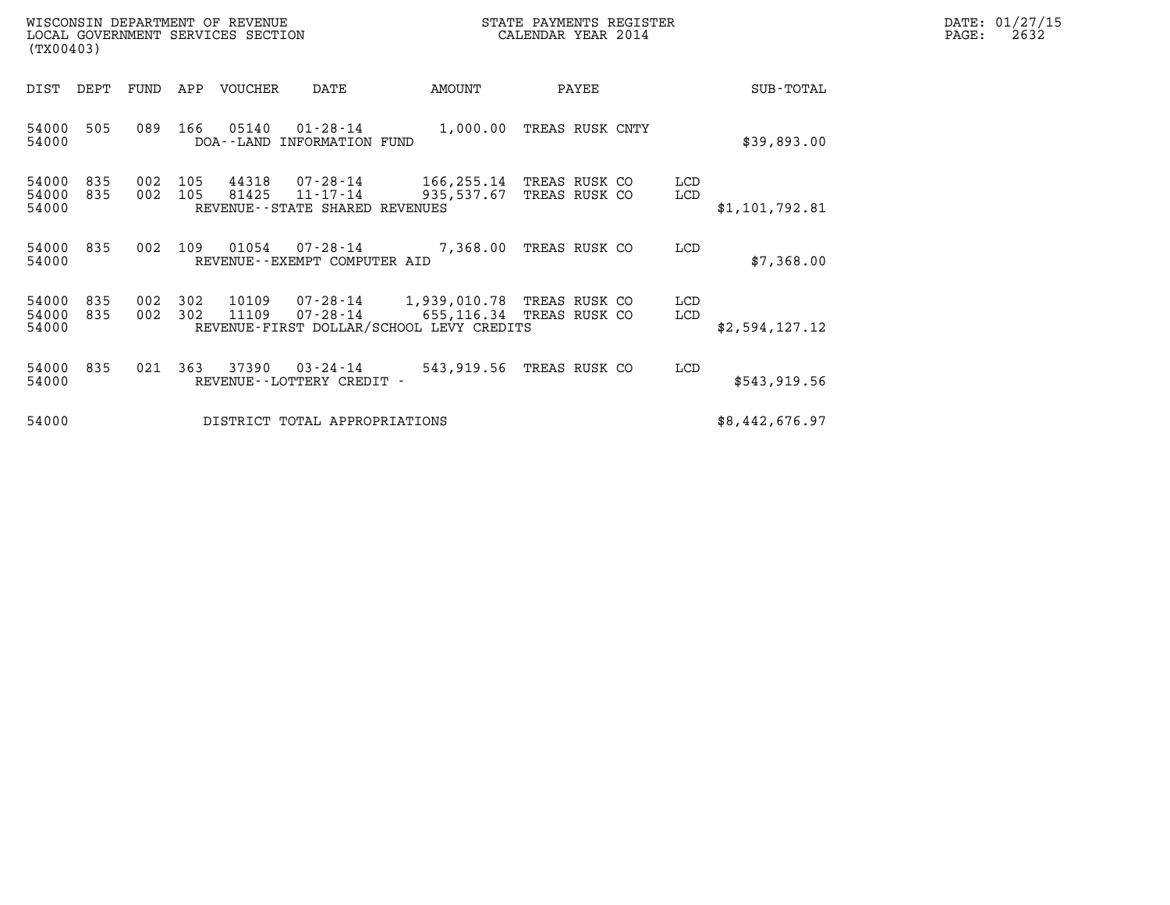| DATE: | 01/27/15 |
|-------|----------|
| PAGE: | 2632     |

| WISCONSIN DEPARTMENT OF REVENUE<br>LOCAL GOVERNMENT SERVICES SECTION<br>(TX00403) |                |            |                |                                                           |                                          | STATE PAYMENTS REGISTER<br>CALENDAR YEAR 2014                   |            | DATE: 01/27/15<br>PAGE:<br>2632 |  |
|-----------------------------------------------------------------------------------|----------------|------------|----------------|-----------------------------------------------------------|------------------------------------------|-----------------------------------------------------------------|------------|---------------------------------|--|
| DIST DEPT                                                                         | FUND           |            | APP VOUCHER    | DATE                                                      | AMOUNT                                   | PAYEE                                                           |            | SUB-TOTAL                       |  |
| 54000<br>505<br>54000                                                             | 089            | 166        | 05140          | DOA--LAND INFORMATION FUND                                |                                          | 01-28-14 1,000.00 TREAS RUSK CNTY                               |            | \$39,893.00                     |  |
| 54000<br>835<br>54000<br>835<br>54000                                             | 002<br>002 105 | 105        | 44318<br>81425 | 07-28-14<br>11-17-14<br>REVENUE - - STATE SHARED REVENUES | 935,537.67                               | 166,255.14 TREAS RUSK CO<br>TREAS RUSK CO                       | LCD<br>LCD | \$1,101,792.81                  |  |
| 54000<br>835<br>54000                                                             | 002            | 109        | 01054          | $07 - 28 - 14$<br>REVENUE - - EXEMPT COMPUTER AID         |                                          | 7,368.00 TREAS RUSK CO                                          | LCD        | \$7,368.00                      |  |
| 54000<br>835<br>54000<br>835<br>54000                                             | 002<br>002     | 302<br>302 | 10109<br>11109 | 07-28-14                                                  | REVENUE-FIRST DOLLAR/SCHOOL LEVY CREDITS | 07-28-14 1,939,010.78 TREAS RUSK CO<br>655,116.34 TREAS RUSK CO | LCD<br>LCD | \$2,594,127.12                  |  |
| 54000<br>835<br>54000                                                             |                | 021 363    | 37390          | $03 - 24 - 14$<br>REVENUE--LOTTERY CREDIT -               |                                          | 543,919.56 TREAS RUSK CO                                        | LCD        | \$543,919.56                    |  |
| 54000                                                                             |                |            |                | DISTRICT TOTAL APPROPRIATIONS                             |                                          |                                                                 |            | \$8,442,676.97                  |  |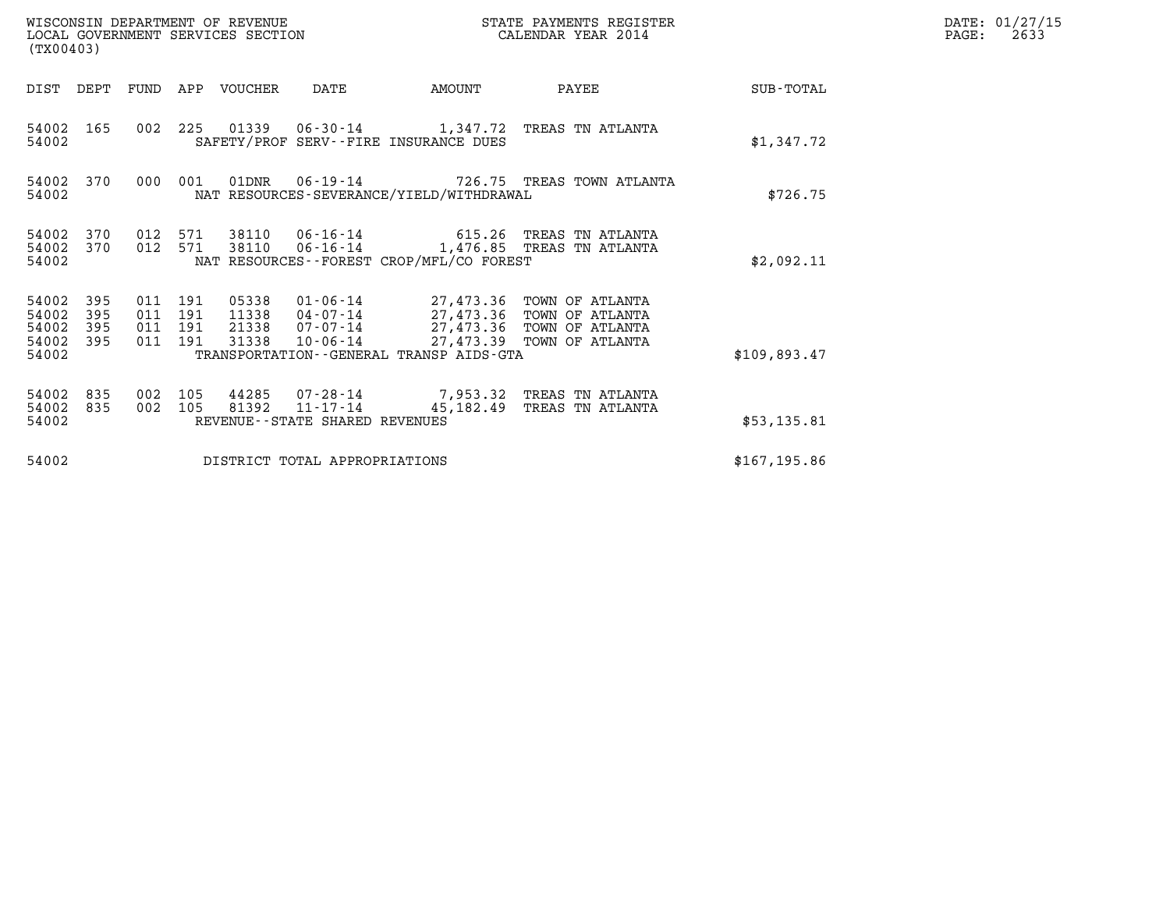| (TX00403)                                 |                          |                                          |            | WISCONSIN DEPARTMENT OF REVENUE<br>LOCAL GOVERNMENT SERVICES SECTION |                                                                                         |                                              | DATE: 01/27/15<br>$\mathtt{PAGE:}$<br>2633                                                                                                  |              |  |
|-------------------------------------------|--------------------------|------------------------------------------|------------|----------------------------------------------------------------------|-----------------------------------------------------------------------------------------|----------------------------------------------|---------------------------------------------------------------------------------------------------------------------------------------------|--------------|--|
|                                           | DIST DEPT                |                                          |            | FUND APP VOUCHER                                                     | DATE                                                                                    | AMOUNT                                       | PAYEE                                                                                                                                       | SUB-TOTAL    |  |
| 54002 165<br>54002                        |                          |                                          |            |                                                                      |                                                                                         | SAFETY/PROF SERV--FIRE INSURANCE DUES        | 002 225 01339 06-30-14 1,347.72 TREAS TN ATLANTA                                                                                            | \$1,347.72   |  |
| 54002 370<br>54002                        |                          | 000                                      | 001        |                                                                      | 01DNR  06-19-14  726.75  TREAS TOWN ATLANTA<br>NAT RESOURCES-SEVERANCE/YIELD/WITHDRAWAL | \$726.75                                     |                                                                                                                                             |              |  |
| 54002<br>54002 370<br>54002               | 370                      | 012 571<br>012 571                       |            | 38110                                                                |                                                                                         | NAT RESOURCES--FOREST CROP/MFL/CO FOREST     | 38110  06-16-14  615.26  TREAS TN ATLANTA<br>06-16-14 1,476.85 TREAS TN ATLANTA                                                             | \$2,092.11   |  |
| 54002<br>54002<br>54002<br>54002<br>54002 | 395<br>395<br>395<br>395 | 011 191<br>011 191<br>011 191<br>011 191 |            | 05338<br>11338<br>21338<br>31338                                     | 10-06-14                                                                                | TRANSPORTATION - - GENERAL TRANSP AIDS - GTA | 01-06-14 27,473.36 TOWN OF ATLANTA<br>04-07-14 27,473.36 TOWN OF ATLANTA<br>07-07-14 27,473.36 TOWN OF ATLANTA<br>27,473.39 TOWN OF ATLANTA | \$109,893.47 |  |
| 54002<br>54002<br>54002                   | 835<br>835               | 002<br>002                               | 105<br>105 | 81392                                                                | $11 - 17 - 14$<br>REVENUE--STATE SHARED REVENUES                                        |                                              | 44285 07-28-14 7,953.32 TREAS TN ATLANTA<br>45,182.49 TREAS TN ATLANTA                                                                      | \$53,135.81  |  |
| 54002                                     |                          |                                          |            |                                                                      | DISTRICT TOTAL APPROPRIATIONS                                                           | \$167, 195.86                                |                                                                                                                                             |              |  |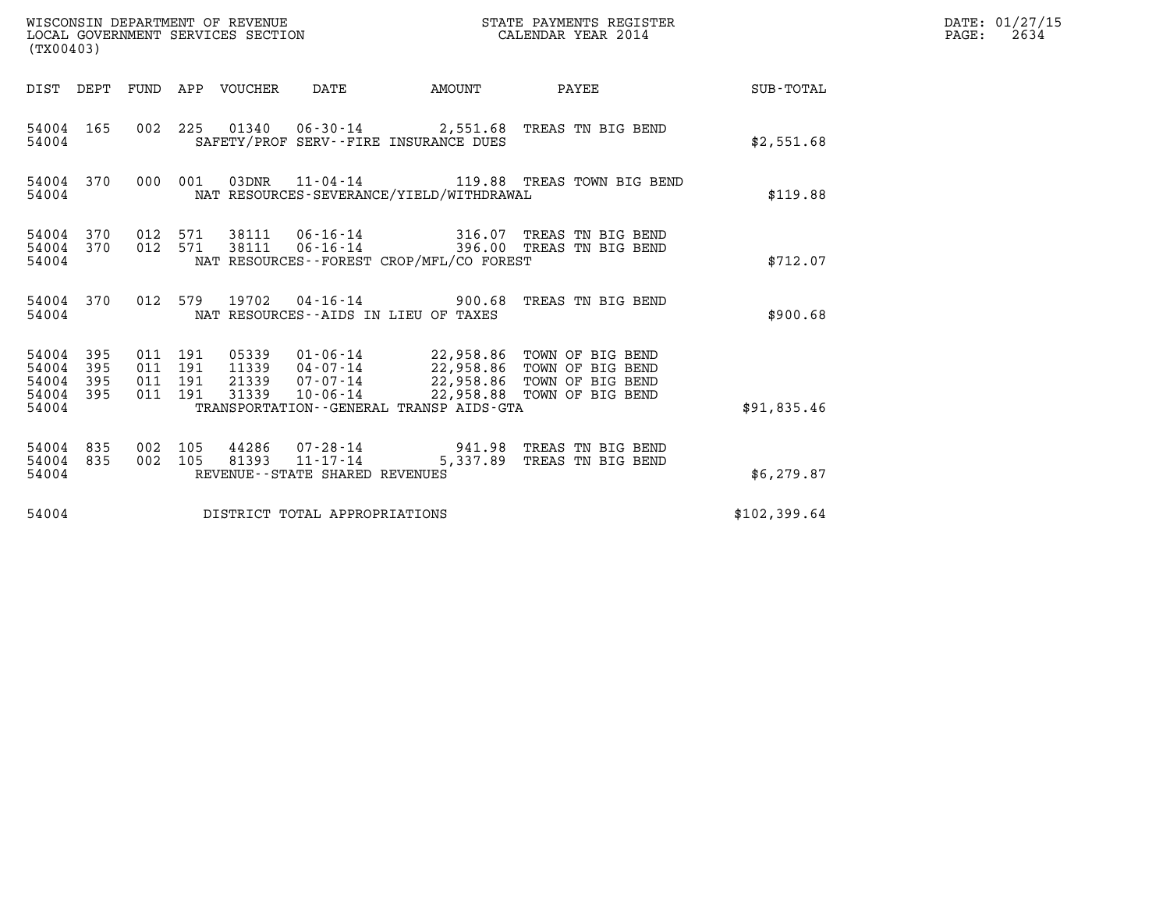| (TX00403)                                 |                          |                                          |                                 | WISCONSIN DEPARTMENT OF REVENUE<br>LOCAL GOVERNMENT SERVICES SECTION |                                          | STATE PAYMENTS REGISTER<br>CALENDAR YEAR 2014                                                                                                                           |              | DATE: 01/27/15<br>$\mathtt{PAGE:}$<br>2634 |
|-------------------------------------------|--------------------------|------------------------------------------|---------------------------------|----------------------------------------------------------------------|------------------------------------------|-------------------------------------------------------------------------------------------------------------------------------------------------------------------------|--------------|--------------------------------------------|
|                                           |                          |                                          | DIST DEPT FUND APP VOUCHER DATE |                                                                      |                                          |                                                                                                                                                                         |              |                                            |
| 54004 165<br>54004                        |                          |                                          |                                 |                                                                      | SAFETY/PROF SERV--FIRE INSURANCE DUES    | 002 225 01340 06-30-14 2,551.68 TREAS TN BIG BEND                                                                                                                       | \$2,551.68   |                                            |
| 54004 370<br>54004                        |                          | 000 001                                  |                                 |                                                                      | NAT RESOURCES-SEVERANCE/YIELD/WITHDRAWAL | 03DNR 11-04-14 119.88 TREAS TOWN BIG BEND                                                                                                                               | \$119.88     |                                            |
| 54004 370<br>54004 370<br>54004           |                          | 012 571<br>012 571                       |                                 |                                                                      | NAT RESOURCES--FOREST CROP/MFL/CO FOREST | 38111  06-16-14  316.07  TREAS TN BIG BEND<br>38111  06-16-14  396.00 TREAS TN BIG BEND                                                                                 | \$712.07     |                                            |
| 54004 370<br>54004                        |                          |                                          | 012 579 19702                   |                                                                      | NAT RESOURCES--AIDS IN LIEU OF TAXES     | 04-16-14 900.68 TREAS TN BIG BEND                                                                                                                                       | \$900.68     |                                            |
| 54004<br>54004<br>54004<br>54004<br>54004 | 395<br>395<br>395<br>395 | 011 191<br>011 191<br>011 191<br>011 191 | 31339                           | 10-06-14                                                             | TRANSPORTATION--GENERAL TRANSP AIDS-GTA  | 05339  01-06-14  22,958.86  TOWN OF BIG BEND<br>11339  04-07-14  22,958.86  TOWN OF BIG BEND<br>21339 07-07-14 22,958.86 TOWN OF BIG BEND<br>22,958.88 TOWN OF BIG BEND | \$91,835.46  |                                            |
| 54004 835<br>54004 835<br>54004           |                          | 002 105<br>002 105                       |                                 | 81393 11-17-14<br>REVENUE - - STATE SHARED REVENUES                  |                                          | 44286 07-28-14 941.98 TREAS TN BIG BEND<br>5,337.89 TREAS TN BIG BEND                                                                                                   | \$6,279.87   |                                            |
| 54004                                     |                          |                                          |                                 | DISTRICT TOTAL APPROPRIATIONS                                        |                                          |                                                                                                                                                                         | \$102,399.64 |                                            |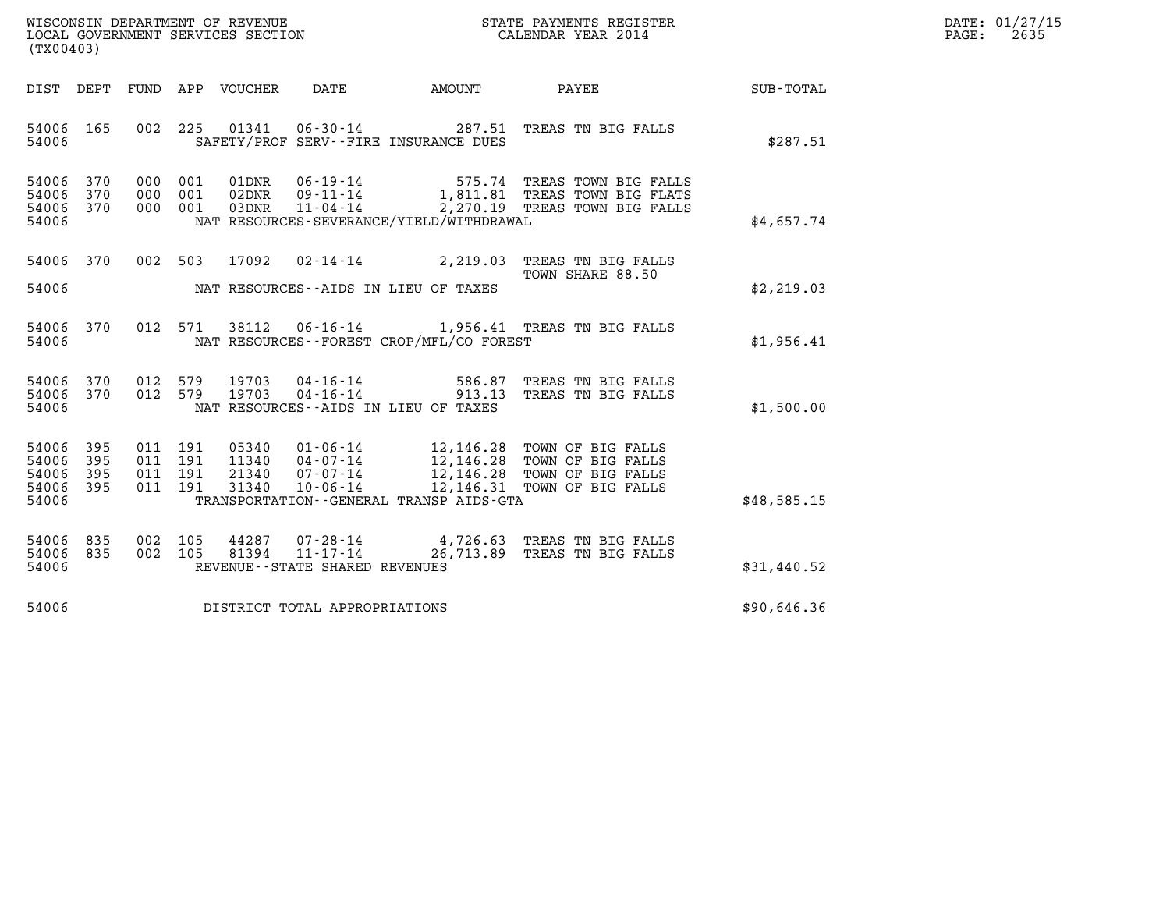| WISCONSIN DEPARTMENT OF REVENUE   | STATE PAYMENTS REGISTER | DATE: 01/27/15 |
|-----------------------------------|-------------------------|----------------|
| LOCAL GOVERNMENT SERVICES SECTION | CALENDAR YEAR 2014      | 2635<br>PAGE:  |

| (TX00403)                                                       |                                                                              |                                   | WISCONSIN DEPARTMENT OF REVENUE<br>LOCAL GOVERNMENT SERVICES SECTION TERM CALENDAR YEAR 2014 |                                                                                                                                                              |             | DATE: 01/27/15<br>PAGE:<br>2635 |
|-----------------------------------------------------------------|------------------------------------------------------------------------------|-----------------------------------|----------------------------------------------------------------------------------------------|--------------------------------------------------------------------------------------------------------------------------------------------------------------|-------------|---------------------------------|
|                                                                 |                                                                              |                                   | DIST DEPT FUND APP VOUCHER DATE AMOUNT PAYEE                                                 |                                                                                                                                                              | SUB-TOTAL   |                                 |
| 54006 165<br>54006                                              |                                                                              |                                   | SAFETY/PROF SERV--FIRE INSURANCE DUES                                                        | 002 225 01341 06-30-14 287.51 TREAS TN BIG FALLS                                                                                                             | \$287.51    |                                 |
| 54006<br>370<br>54006<br>370<br>54006 370<br>54006              | 000 001<br>01DNR<br>000 001<br>02DNR<br>000 001 03DNR                        |                                   | NAT RESOURCES-SEVERANCE/YIELD/WITHDRAWAL                                                     | 06-19-14 575.74 TREAS TOWN BIG FALLS<br>09-11-14 1,811.81 TREAS TOWN BIG FLATS<br>11-04-14 2,270.19 TREAS TOWN BIG FALLS                                     | \$4,657.74  |                                 |
| 54006 370<br>54006                                              | 002 503 17092                                                                |                                   | NAT RESOURCES--AIDS IN LIEU OF TAXES                                                         | 02-14-14 2,219.03 TREAS TN BIG FALLS<br>TOWN SHARE 88.50                                                                                                     | \$2,219.03  |                                 |
| 54006 370<br>54006                                              | 012 571 38112                                                                |                                   | NAT RESOURCES - - FOREST CROP/MFL/CO FOREST                                                  | 06-16-14 1,956.41 TREAS TN BIG FALLS                                                                                                                         | \$1,956.41  |                                 |
| 54006 370<br>54006 370<br>54006                                 | 012 579 19703<br>012 579 19703                                               |                                   | NAT RESOURCES--AIDS IN LIEU OF TAXES                                                         | 04-16-14 586.87 TREAS TN BIG FALLS<br>04-16-14 913.13 TREAS TN BIG FALLS                                                                                     | \$1,500.00  |                                 |
| 54006 395<br>54006<br>395<br>54006<br>395<br>54006 395<br>54006 | 011 191<br>05340<br>011 191<br>11340<br>21340<br>011 191<br>011 191<br>31340 |                                   | TRANSPORTATION--GENERAL TRANSP AIDS-GTA                                                      | 01-06-14 12,146.28 TOWN OF BIG FALLS<br>04-07-14 12,146.28 TOWN OF BIG FALLS<br>07-07-14 12,146.28 TOWN OF BIG FALLS<br>10-06-14 12,146.31 TOWN OF BIG FALLS | \$48,585.15 |                                 |
| 54006 835<br>54006 835<br>54006                                 | 002 105<br>002 105                                                           | REVENUE - - STATE SHARED REVENUES |                                                                                              | 44287  07-28-14  4,726.63  TREAS TN BIG FALLS<br>81394  11-17-14  26,713.89  TREAS TN BIG FALLS                                                              | \$31,440.52 |                                 |
|                                                                 | 54006 DISTRICT TOTAL APPROPRIATIONS                                          |                                   |                                                                                              |                                                                                                                                                              | \$90,646.36 |                                 |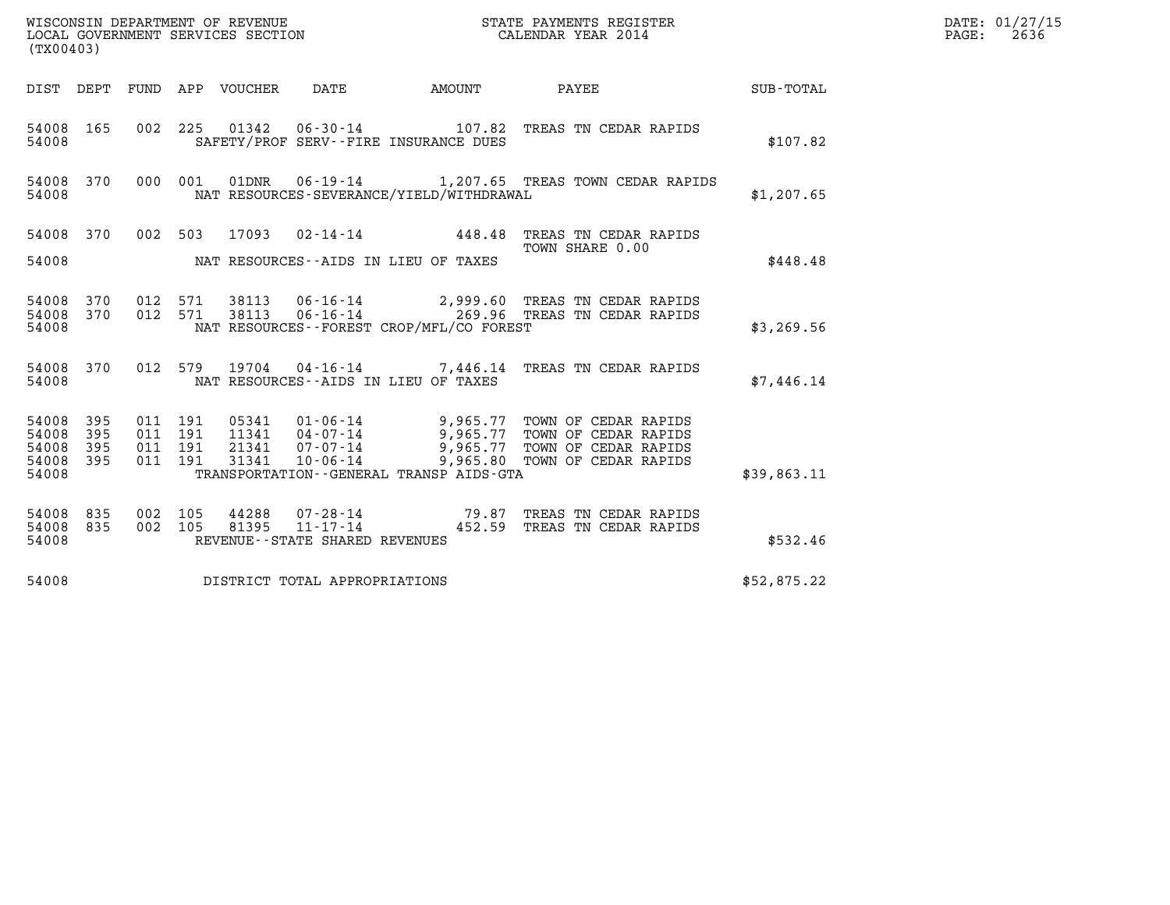| DATE: | 01/27/15 |
|-------|----------|
| PAGE: | 2636     |

| (TX00403)                                         |                        |                                          |  |                                   |                                          | WISCONSIN DEPARTMENT OF REVENUE<br>LOCAL GOVERNMENT SERVICES SECTION<br>(TYO0403)                                                                                                            |             | DATE: 01/27/15<br>PAGE: 2636 |
|---------------------------------------------------|------------------------|------------------------------------------|--|-----------------------------------|------------------------------------------|----------------------------------------------------------------------------------------------------------------------------------------------------------------------------------------------|-------------|------------------------------|
|                                                   |                        |                                          |  |                                   |                                          | DIST DEPT FUND APP VOUCHER DATE AMOUNT PAYEE TOTAL                                                                                                                                           |             |                              |
| 54008                                             | 54008 165              |                                          |  |                                   | SAFETY/PROF SERV--FIRE INSURANCE DUES    | 002 225 01342 06-30-14 107.82 TREAS TN CEDAR RAPIDS                                                                                                                                          | \$107.82    |                              |
| 54008                                             | 54008 370              |                                          |  |                                   | NAT RESOURCES-SEVERANCE/YIELD/WITHDRAWAL | 000 001 01DNR 06-19-14 1,207.65 TREAS TOWN CEDAR RAPIDS                                                                                                                                      | \$1,207.65  |                              |
| 54008                                             |                        |                                          |  |                                   | NAT RESOURCES--AIDS IN LIEU OF TAXES     | 54008 370 002 503 17093 02-14-14 448.48 TREAS TN CEDAR RAPIDS<br>TOWN SHARE 0.00                                                                                                             | \$448.48    |                              |
| 54008                                             |                        |                                          |  |                                   | NAT RESOURCES--FOREST CROP/MFL/CO FOREST | 54008 370 012 571 38113 06-16-14 2,999.60 TREAS TN CEDAR RAPIDS<br>54008 370 012 571 38113 06-16-14 269.96 TREAS TN CEDAR RAPIDS                                                             | \$3,269.56  |                              |
| 54008                                             | 54008 370              |                                          |  |                                   | NAT RESOURCES -- AIDS IN LIEU OF TAXES   | 012 579 19704 04-16-14 7,446.14 TREAS TN CEDAR RAPIDS                                                                                                                                        | \$7,446.14  |                              |
| 54008 395<br>54008<br>54008<br>54008 395<br>54008 | 395<br>395             | 011 191<br>011 191<br>011 191<br>011 191 |  |                                   | TRANSPORTATION--GENERAL TRANSP AIDS-GTA  | 05341 01-06-14 9,965.77 TOWN OF CEDAR RAPIDS<br>11341 04-07-14 9,965.77 TOWN OF CEDAR RAPIDS<br>21341 07-07-14 9,965.77 TOWN OF CEDAR RAPIDS<br>31341 10-06-14 9,965.80 TOWN OF CEDAR RAPIDS | \$39,863.11 |                              |
| 54008                                             | 54008 835<br>54008 835 | 002 105<br>002 105                       |  | REVENUE - - STATE SHARED REVENUES |                                          | 44288  07-28-14  79.87 TREAS TN CEDAR RAPIDS<br>81395  11-17-14  452.59 TREAS TN CEDAR RAPIDS                                                                                                | \$532.46    |                              |
| 54008                                             |                        |                                          |  | DISTRICT TOTAL APPROPRIATIONS     |                                          |                                                                                                                                                                                              | \$52,875.22 |                              |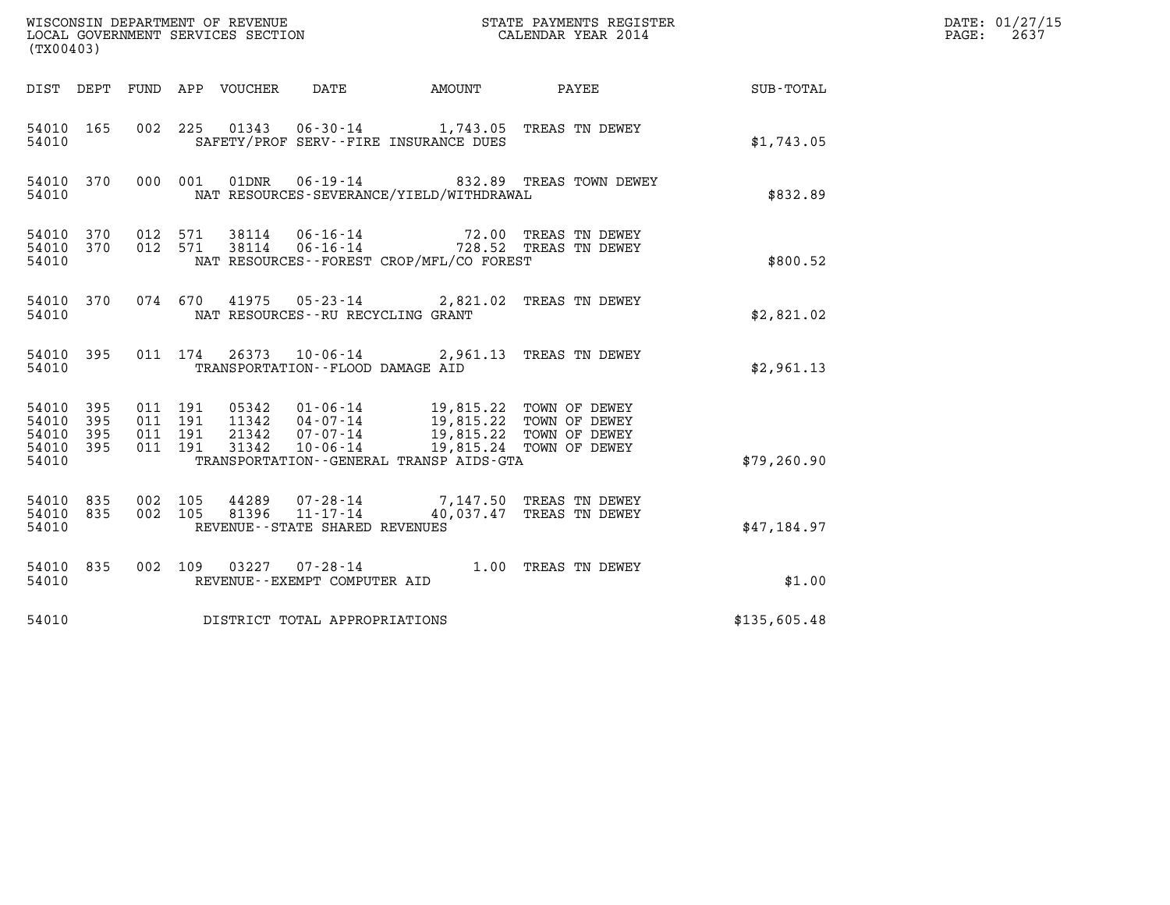| (TX00403)                                     |                     |                    |                                                 |                                                     |                                                                                                                                        | DATE: 01/27/15<br>2637<br>PAGE:                                                 |              |  |
|-----------------------------------------------|---------------------|--------------------|-------------------------------------------------|-----------------------------------------------------|----------------------------------------------------------------------------------------------------------------------------------------|---------------------------------------------------------------------------------|--------------|--|
|                                               |                     |                    | DIST DEPT FUND APP VOUCHER                      | DATE                                                | AMOUNT PAYEE                                                                                                                           |                                                                                 | SUB-TOTAL    |  |
| 54010 165<br>54010                            |                     |                    |                                                 |                                                     | 002 225 01343 06-30-14 1,743.05 TREAS TN DEWEY<br>SAFETY/PROF SERV--FIRE INSURANCE DUES                                                |                                                                                 | \$1,743.05   |  |
| 54010 370<br>54010                            |                     |                    | 000 001<br>01DNR                                |                                                     | NAT RESOURCES-SEVERANCE/YIELD/WITHDRAWAL                                                                                               | 06-19-14 632.89 TREAS TOWN DEWEY                                                | \$832.89     |  |
| 54010 370<br>54010 370<br>54010               |                     | 012 571<br>012 571 |                                                 |                                                     | NAT RESOURCES - - FOREST CROP/MFL/CO FOREST                                                                                            | 38114  06-16-14  72.00 TREAS TN DEWEY<br>38114  06-16-14  728.52 TREAS TN DEWEY | \$800.52     |  |
| 54010 370<br>54010                            |                     |                    |                                                 | NAT RESOURCES -- RU RECYCLING GRANT                 | 074 670 41975 05-23-14 2,821.02 TREAS TN DEWEY                                                                                         |                                                                                 | \$2,821.02   |  |
| 54010 395<br>54010                            |                     |                    |                                                 | TRANSPORTATION--FLOOD DAMAGE AID                    | 011 174 26373 10-06-14 2,961.13 TREAS TN DEWEY                                                                                         |                                                                                 | \$2,961.13   |  |
| 54010 395<br>54010<br>54010<br>54010<br>54010 | 395<br>- 395<br>395 | 011 191            | 011 191<br>011 191<br>011 191<br>21342<br>31342 | $07 - 07 - 14$<br>$10 - 06 - 14$                    | 05342  01-06-14  19,815.22  TOWN OF DEWEY<br>11342  04-07-14  19,815.22  TOWN OF DEWEY<br>TRANSPORTATION - - GENERAL TRANSP AIDS - GTA | 19,815.22 TOWN OF DEWEY<br>19,815.24 TOWN OF DEWEY                              | \$79, 260.90 |  |
| 54010 835<br>54010 835<br>54010               |                     | 002 105<br>002 105 | 44289<br>81396                                  | $11 - 17 - 14$<br>REVENUE - - STATE SHARED REVENUES | 07-28-14 7,147.50 TREAS TN DEWEY                                                                                                       | 40,037.47 TREAS TN DEWEY                                                        | \$47,184.97  |  |
| 54010 835<br>54010                            |                     |                    |                                                 | REVENUE--EXEMPT COMPUTER AID                        | 002 109 03227 07-28-14 1.00 TREAS TN DEWEY                                                                                             |                                                                                 | \$1.00       |  |
| 54010                                         |                     |                    | DISTRICT TOTAL APPROPRIATIONS                   |                                                     |                                                                                                                                        |                                                                                 | \$135,605.48 |  |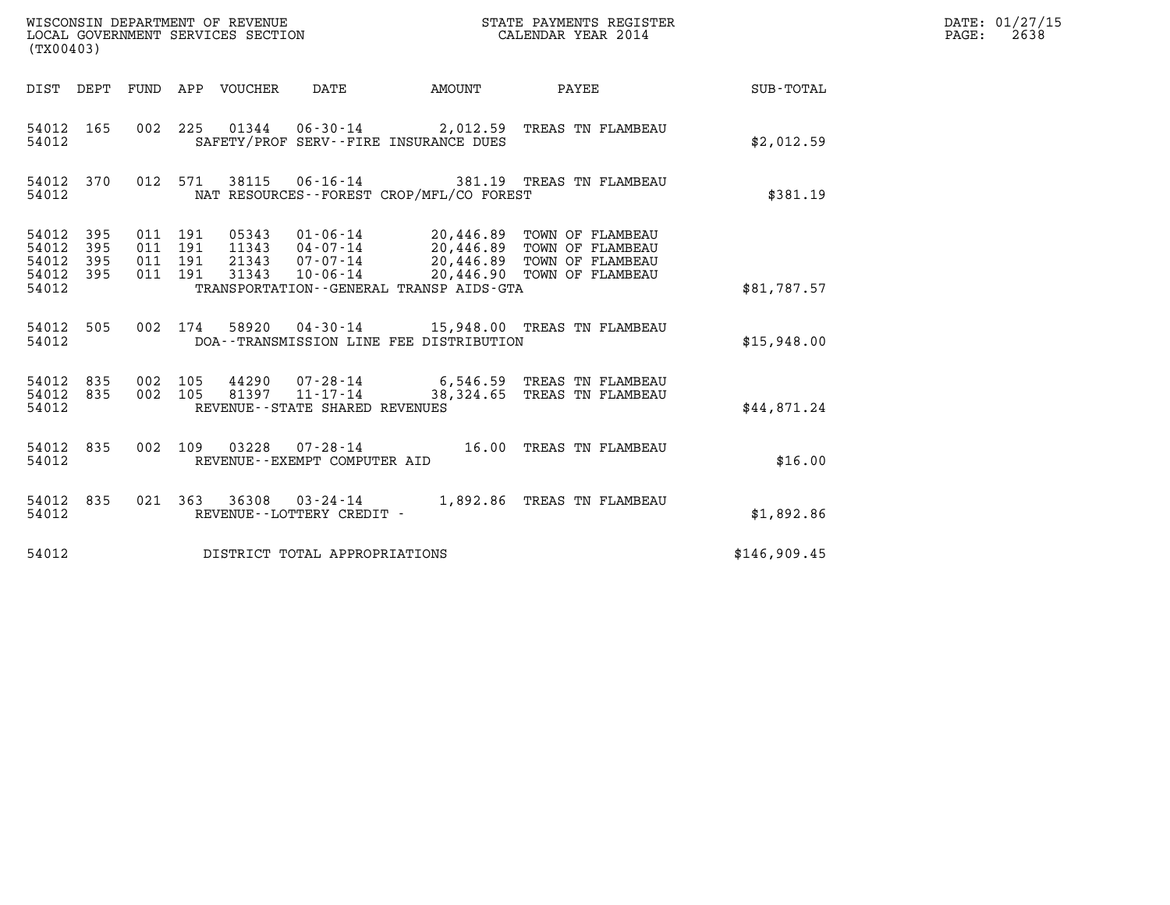| (TX00403)                                                                                                | WISCONSIN DEPARTMENT OF REVENUE<br>LOCAL GOVERNMENT SERVICES SECTION                                                                                                    | STATE PAYMENTS REGISTER<br>CALENDAR YEAR 2014 |              | DATE: 01/27/15<br>$\mathtt{PAGE}$ :<br>2638 |
|----------------------------------------------------------------------------------------------------------|-------------------------------------------------------------------------------------------------------------------------------------------------------------------------|-----------------------------------------------|--------------|---------------------------------------------|
| DIST DEPT FUND APP VOUCHER                                                                               | <b>AMOUNT</b><br>DATE                                                                                                                                                   | PAYEE                                         | SUB-TOTAL    |                                             |
| 54012 165<br>54012                                                                                       | 002 225 01344 06-30-14 2,012.59 TREAS TN FLAMBEAU<br>SAFETY/PROF SERV--FIRE INSURANCE DUES                                                                              |                                               | \$2,012.59   |                                             |
| 54012 370<br>012 571<br>54012                                                                            | 38115<br>06-16-14 381.19 TREAS TN FLAMBEAU<br>NAT RESOURCES - - FOREST CROP/MFL/CO FOREST                                                                               |                                               | \$381.19     |                                             |
| 54012<br>011 191<br>395<br>54012<br>395<br>011 191<br>54012<br>395<br>011 191<br>011 191<br>54012<br>395 | 01-06-14 20,446.89 TOWN OF FLAMBEAU<br>05343<br>11343  04-07-14  20,446.89  TOWN OF FLAMBEAU<br>21343  07-07-14  20,446.89  TOWN OF FLAMBEAU<br>31343<br>$10 - 06 - 14$ | 20,446.90 TOWN OF FLAMBEAU                    |              |                                             |
| 54012                                                                                                    | TRANSPORTATION--GENERAL TRANSP AIDS-GTA                                                                                                                                 |                                               | \$81,787.57  |                                             |
| 54012 505<br>002 174<br>54012                                                                            | 58920  04-30-14   15,948.00   TREAS TN FLAMBEAU<br>DOA--TRANSMISSION LINE FEE DISTRIBUTION                                                                              |                                               | \$15,948.00  |                                             |
| 54012 835<br>002 105<br>54012 835<br>002 105<br>54012                                                    | 44290  07-28-14  6,546.59  TREAS TN FLAMBEAU<br>81397  11-17-14  38,324.65  TREAS TN FLAMBEAU<br>REVENUE - - STATE SHARED REVENUES                                      |                                               | \$44,871.24  |                                             |
| 54012 835<br>002 109<br>54012                                                                            | 03228<br>REVENUE--EXEMPT COMPUTER AID                                                                                                                                   |                                               | \$16.00      |                                             |
| 54012 835<br>54012                                                                                       | 021  363  36308  03-24-14  1,892.86  TREAS TN FLAMBEAU<br>REVENUE--LOTTERY CREDIT -                                                                                     |                                               | \$1,892.86   |                                             |
| 54012                                                                                                    | DISTRICT TOTAL APPROPRIATIONS                                                                                                                                           |                                               | \$146,909.45 |                                             |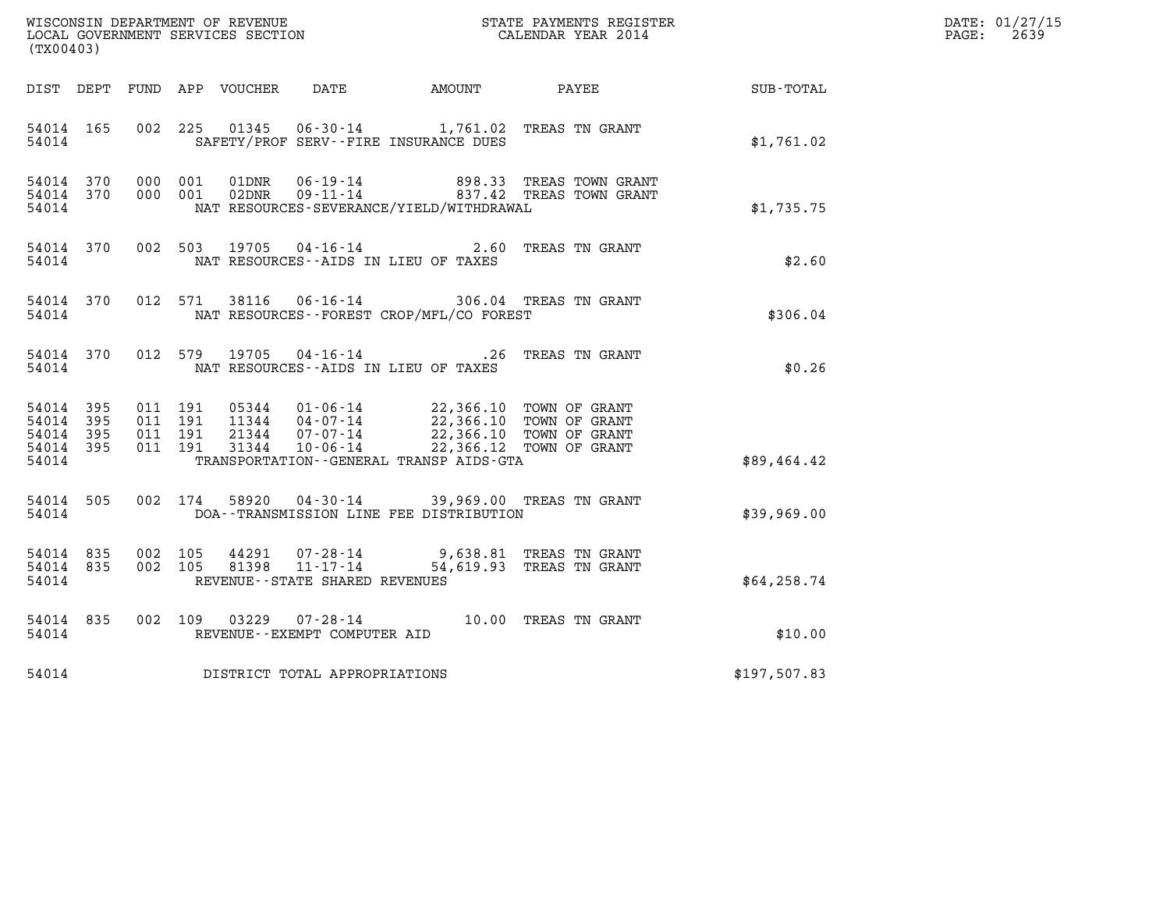| (TX00403)                                             |           |                                          |               |                                   |                                                                                                                                                                                                                      |                                                                                                                                                                                                                                        |                                                        | DATE: 01/27/15<br>$\mathtt{PAGE:}$<br>2639 |
|-------------------------------------------------------|-----------|------------------------------------------|---------------|-----------------------------------|----------------------------------------------------------------------------------------------------------------------------------------------------------------------------------------------------------------------|----------------------------------------------------------------------------------------------------------------------------------------------------------------------------------------------------------------------------------------|--------------------------------------------------------|--------------------------------------------|
|                                                       |           |                                          |               |                                   |                                                                                                                                                                                                                      |                                                                                                                                                                                                                                        | DIST DEPT FUND APP VOUCHER DATE AMOUNT PAYEE SUB-TOTAL |                                            |
| 54014 165<br>54014                                    |           |                                          |               |                                   | 002 225 01345 06-30-14 1,761.02 TREAS TN GRANT<br>SAFETY/PROF SERV--FIRE INSURANCE DUES                                                                                                                              |                                                                                                                                                                                                                                        | \$1,761.02                                             |                                            |
| 54014                                                 |           |                                          |               |                                   | NAT RESOURCES-SEVERANCE/YIELD/WITHDRAWAL                                                                                                                                                                             | $\begin{tabular}{llllll} 54014 & 370 & 000 & 001 & 01 \texttt{DNR} & 06-19-14 & & & 898.33 & \texttt{TREAS TOWN GRANT} \\ 54014 & 370 & 000 & 001 & 02 \texttt{DNR} & 09-11-14 & & & 837.42 & \texttt{TREAS TOWN GRANT} \end{tabular}$ | \$1,735.75                                             |                                            |
| 54014                                                 |           |                                          |               |                                   | 54014 370 002 503 19705 04-16-14 2.60 TREAS TN GRANT<br>NAT RESOURCES--AIDS IN LIEU OF TAXES                                                                                                                         |                                                                                                                                                                                                                                        | \$2.60                                                 |                                            |
| 54014                                                 |           |                                          |               |                                   | 54014 370 012 571 38116 06-16-14 306.04 TREAS TN GRANT<br>NAT RESOURCES - - FOREST CROP/MFL/CO FOREST                                                                                                                |                                                                                                                                                                                                                                        | \$306.04                                               |                                            |
| 54014                                                 | 54014 370 |                                          | 012 579 19705 |                                   | 04-16-14 26 TREAS TN GRANT<br>NAT RESOURCES--AIDS IN LIEU OF TAXES                                                                                                                                                   |                                                                                                                                                                                                                                        | \$0.26                                                 |                                            |
| 54014 395<br>54014<br>54014 395<br>54014 395<br>54014 | - 395     | 011 191<br>011 191<br>011 191<br>011 191 |               |                                   | 05344 01-06-14 22,366.10 TOWN OF GRANT<br>11344 04-07-14 22,366.10 TOWN OF GRANT<br>21344 07-07-14 22,366.10 TOWN OF GRANT<br>31344 10-06-14 22,366.12 TOWN OF GRANT<br>TRANSPORTATION - - GENERAL TRANSP AIDS - GTA |                                                                                                                                                                                                                                        | \$89,464.42                                            |                                            |
| 54014                                                 | 54014 505 |                                          |               |                                   | 002 174 58920 04-30-14 39,969.00 TREAS TN GRANT<br>DOA--TRANSMISSION LINE FEE DISTRIBUTION                                                                                                                           |                                                                                                                                                                                                                                        | \$39,969.00                                            |                                            |
| 54014 835<br>54014 835<br>54014                       |           | 002 105                                  | 002 105 81398 | REVENUE - - STATE SHARED REVENUES | 44291 07-28-14 9,638.81 TREAS TN GRANT<br>11-17-14 54,619.93 TREAS TN GRANT                                                                                                                                          |                                                                                                                                                                                                                                        | \$64, 258.74                                           |                                            |
| 54014 835<br>54014                                    |           |                                          |               | REVENUE--EXEMPT COMPUTER AID      | 002 109 03229 07-28-14 10.00 TREAS TN GRANT                                                                                                                                                                          |                                                                                                                                                                                                                                        | \$10.00                                                |                                            |
| 54014                                                 |           |                                          |               | DISTRICT TOTAL APPROPRIATIONS     |                                                                                                                                                                                                                      |                                                                                                                                                                                                                                        | \$197,507.83                                           |                                            |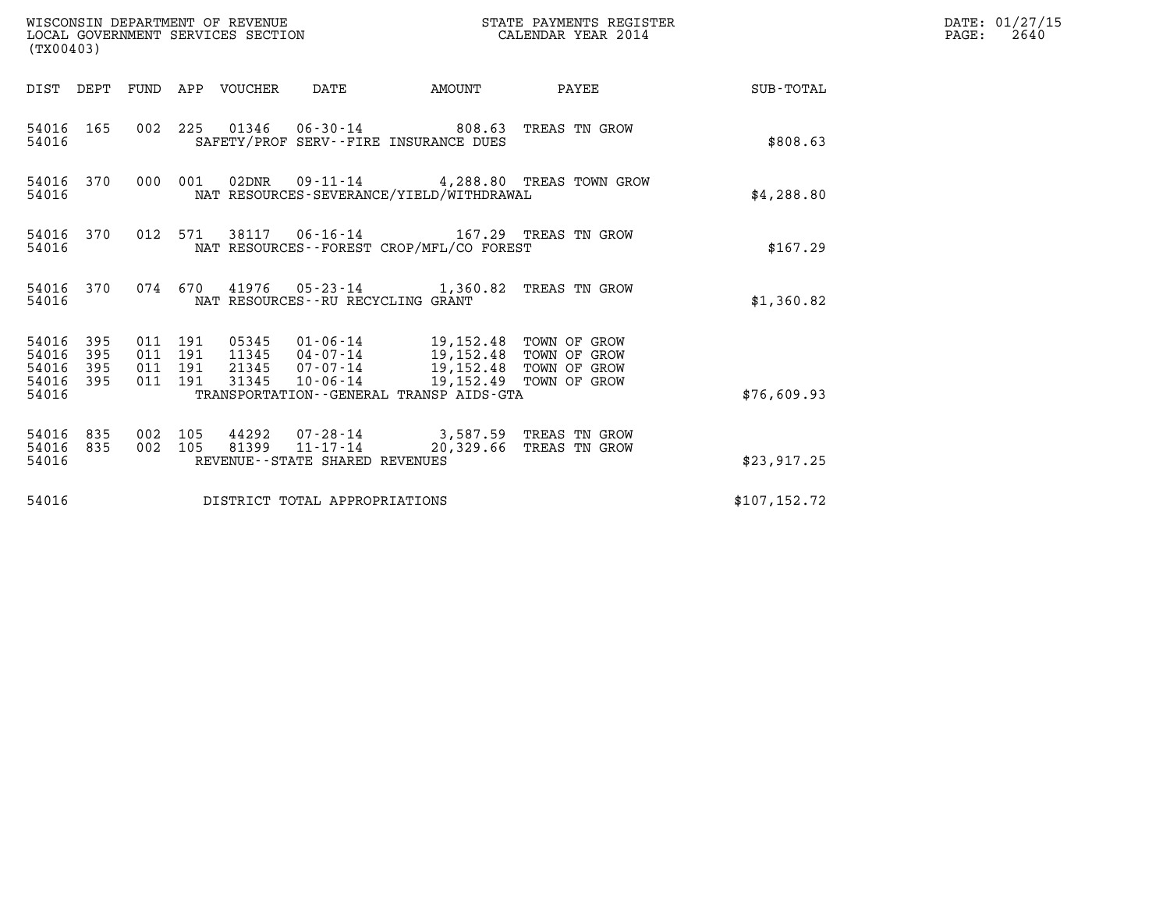| (TX00403)                            |                         |                                          |         | WISCONSIN DEPARTMENT OF REVENUE<br>LOCAL GOVERNMENT SERVICES SECTION |                                      |                                                                                                                                                                                                                              | STATE PAYMENTS REGISTER<br>CALENDAR YEAR 2014 |               | DATE: 01/27/15<br>$\mathtt{PAGE:}$<br>2640 |
|--------------------------------------|-------------------------|------------------------------------------|---------|----------------------------------------------------------------------|--------------------------------------|------------------------------------------------------------------------------------------------------------------------------------------------------------------------------------------------------------------------------|-----------------------------------------------|---------------|--------------------------------------------|
|                                      |                         |                                          |         | DIST DEPT FUND APP VOUCHER DATE                                      |                                      | AMOUNT                                                                                                                                                                                                                       | PAYEE SUB-TOTAL                               |               |                                            |
| 54016                                | 54016 165               |                                          |         |                                                                      |                                      | 002 225 01346 06-30-14 808.63 TREAS TN GROW<br>SAFETY/PROF SERV--FIRE INSURANCE DUES                                                                                                                                         |                                               | \$808.63      |                                            |
| 54016                                | 54016 370               |                                          | 000 001 |                                                                      |                                      | NAT RESOURCES-SEVERANCE/YIELD/WITHDRAWAL                                                                                                                                                                                     | 02DNR  09-11-14  4,288.80 TREAS TOWN GROW     | \$4,288.80    |                                            |
| 54016                                | 54016 370               |                                          |         |                                                                      |                                      | 012 571 38117 06-16-14 167.29 TREAS TN GROW<br>NAT RESOURCES--FOREST CROP/MFL/CO FOREST                                                                                                                                      |                                               | \$167.29      |                                            |
| 54016                                | 54016 370               |                                          |         |                                                                      | NAT RESOURCES - - RU RECYCLING GRANT | 074 670 41976 05-23-14 1,360.82 TREAS TN GROW                                                                                                                                                                                |                                               | \$1,360.82    |                                            |
| 54016 395<br>54016<br>54016<br>54016 | 395<br>395<br>54016 395 | 011 191<br>011 191<br>011 191<br>011 191 |         |                                                                      |                                      | 05345  01-06-14  19,152.48  TOWN OF GROW<br>11345  04-07-14  19,152.48  TOWN OF GROW<br>21345  07-07-14  19,152.48  TOWN OF GROW<br>31345  10-06-14  19,152.49  TOWN OF GROW<br>TRANSPORTATION - - GENERAL TRANSP AIDS - GTA |                                               | \$76,609.93   |                                            |
| 54016 835<br>54016                   | 54016 835               | 002 105<br>002 105                       |         | 81399                                                                | REVENUE--STATE SHARED REVENUES       | 44292  07-28-14  3,587.59  TREAS TN GROW<br>11-17-14 20,329.66 TREAS TN GROW                                                                                                                                                 |                                               | \$23,917.25   |                                            |
| 54016                                |                         |                                          |         |                                                                      | DISTRICT TOTAL APPROPRIATIONS        |                                                                                                                                                                                                                              |                                               | \$107, 152.72 |                                            |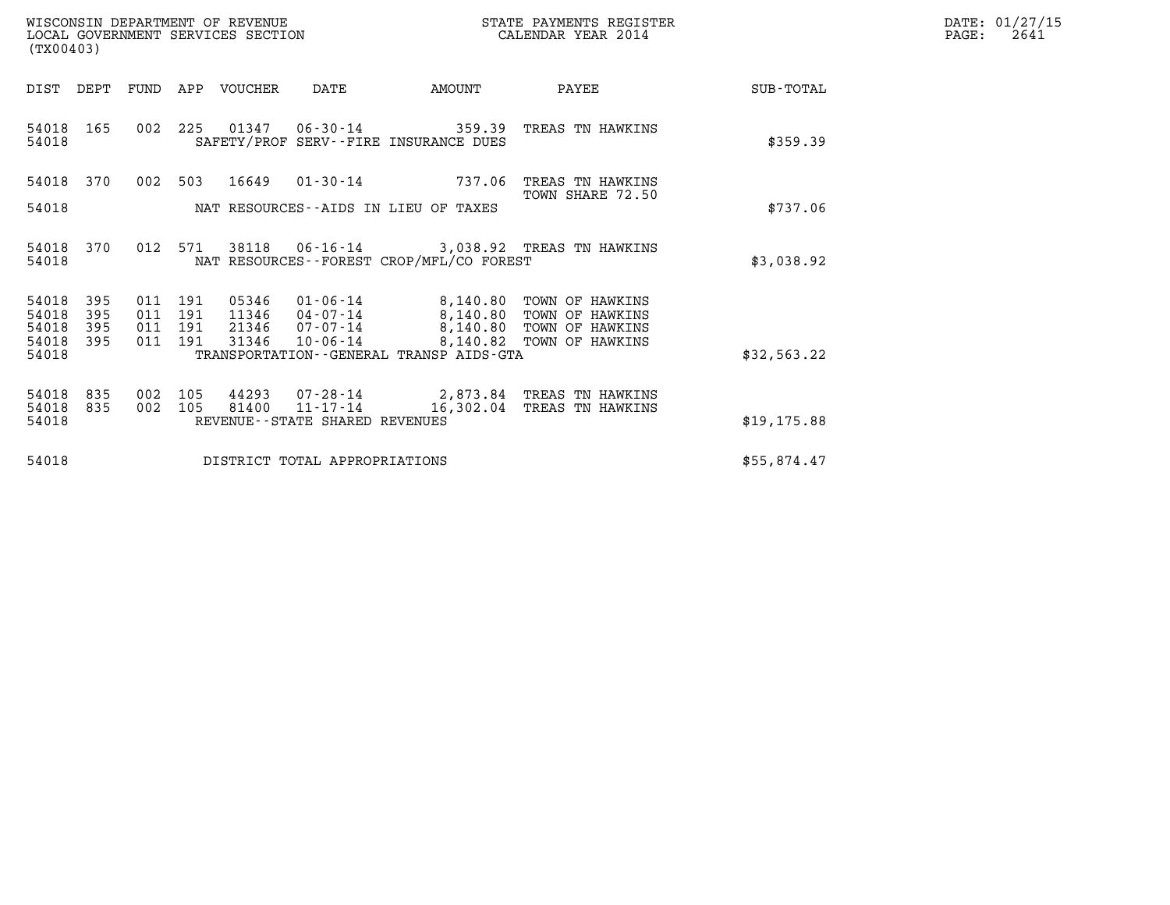| WISCONSIN DEPARTMENT OF REVENUE   | STATE PAYMENTS REGISTER | DATE: 01/27/15 |
|-----------------------------------|-------------------------|----------------|
| LOCAL GOVERNMENT SERVICES SECTION | CALENDAR YEAR 2014      | 2641<br>PAGE:  |

| WISCONSIN DEPARTMENT OF REVENUE<br>LOCAL GOVERNMENT SERVICES SECTION<br>(TX00403) |                          |                   |                              |                                  |                                                              |                                                                        | STATE PAYMENTS REGISTER<br>CALENDAR YEAR 2014         |              | DATE: 01/27/15<br>PAGE:<br>2641 |
|-----------------------------------------------------------------------------------|--------------------------|-------------------|------------------------------|----------------------------------|--------------------------------------------------------------|------------------------------------------------------------------------|-------------------------------------------------------|--------------|---------------------------------|
| DIST                                                                              | DEPT                     |                   |                              | FUND APP VOUCHER                 | DATE                                                         | <b>AMOUNT</b>                                                          | PAYEE                                                 | SUB-TOTAL    |                                 |
| 54018 165<br>54018                                                                |                          |                   |                              |                                  |                                                              | 002 225 01347 06-30-14 359.39<br>SAFETY/PROF SERV--FIRE INSURANCE DUES | TREAS TN HAWKINS                                      | \$359.39     |                                 |
| 54018 370                                                                         |                          |                   |                              |                                  |                                                              | 002 503 16649 01-30-14 737.06                                          | TREAS TN HAWKINS<br>TOWN SHARE 72.50                  |              |                                 |
| 54018                                                                             |                          |                   |                              |                                  |                                                              | NAT RESOURCES--AIDS IN LIEU OF TAXES                                   |                                                       | \$737.06     |                                 |
| 54018<br>54018                                                                    | 370                      |                   |                              | 012 571 38118                    |                                                              | NAT RESOURCES - - FOREST CROP/MFL/CO FOREST                            | 06-16-14 3,038.92 TREAS TN HAWKINS                    | \$3,038.92   |                                 |
| 54018<br>54018<br>54018<br>54018                                                  | 395<br>395<br>395<br>395 | 011<br>011<br>011 | 191<br>191<br>191<br>011 191 | 05346<br>11346<br>21346<br>31346 | 01-06-14<br>04-07-14<br>07-07-14                             | 8,140.80<br>8,140.80<br>8,140.80                                       | TOWN OF HAWKINS<br>TOWN OF HAWKINS<br>TOWN OF HAWKINS |              |                                 |
| 54018                                                                             |                          |                   |                              |                                  | $10 - 06 - 14$                                               | 8,140.82<br>TRANSPORTATION--GENERAL TRANSP AIDS-GTA                    | TOWN OF HAWKINS                                       | \$32,563.22  |                                 |
| 54018<br>54018<br>54018                                                           | 835<br>835               | 002<br>002        | 105<br>105                   | 44293<br>81400                   | 07-28-14<br>$11 - 17 - 14$<br>REVENUE--STATE SHARED REVENUES | 16,302.04                                                              | 2,873.84 TREAS TN HAWKINS<br>TREAS TN HAWKINS         | \$19, 175.88 |                                 |
| 54018                                                                             |                          |                   |                              |                                  | DISTRICT TOTAL APPROPRIATIONS                                |                                                                        |                                                       | \$55,874.47  |                                 |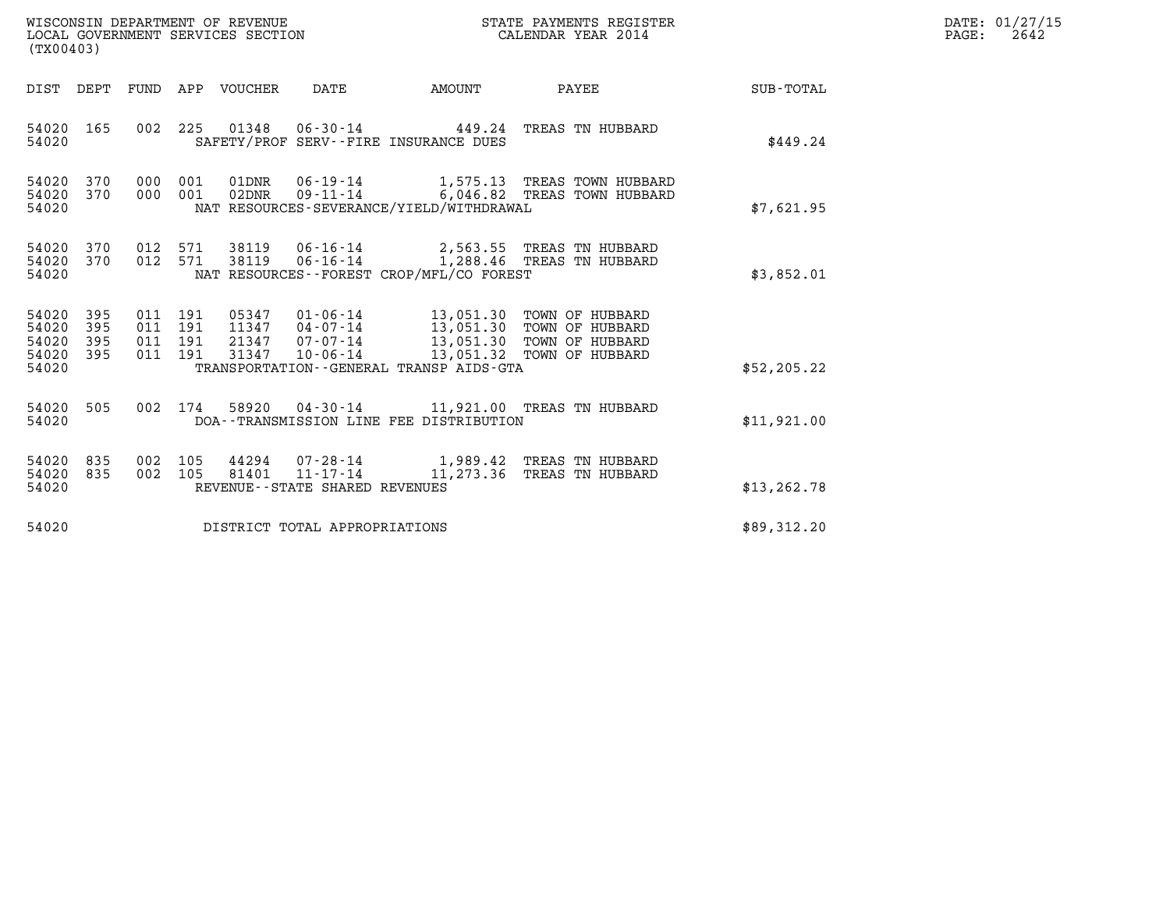| WISCONSIN DEPARTMENT OF REVENUE<br>LOCAL GOVERNMENT SERVICES SECTION<br>( TX00403 | STATE PAYMENTS REGISTER<br>CALENDAR YEAR 2014 | DATE: 01/27/15<br>2642<br>PAGE: |
|-----------------------------------------------------------------------------------|-----------------------------------------------|---------------------------------|

| WISCONSIN DEPARTMENT OF REVENUE<br>LOCAL GOVERNMENT SERVICES SECTION<br>(TX00403) |                   |  |  |  |                                                          |                                          | STATE PAYMENTS REGISTER<br>CALENDAR YEAR 2014                                                                                                                                                                                                                                                                                             |              | DATE: 01/27/15<br>$\mathtt{PAGE}$ :<br>2642 |
|-----------------------------------------------------------------------------------|-------------------|--|--|--|----------------------------------------------------------|------------------------------------------|-------------------------------------------------------------------------------------------------------------------------------------------------------------------------------------------------------------------------------------------------------------------------------------------------------------------------------------------|--------------|---------------------------------------------|
|                                                                                   |                   |  |  |  | DIST DEPT FUND APP VOUCHER DATE AMOUNT                   |                                          | <b>PAYEE</b> PAYEE                                                                                                                                                                                                                                                                                                                        | SUB-TOTAL    |                                             |
| 54020 165<br>54020                                                                |                   |  |  |  |                                                          | SAFETY/PROF SERV--FIRE INSURANCE DUES    | 002 225 01348 06-30-14 449.24 TREAS TN HUBBARD                                                                                                                                                                                                                                                                                            | \$449.24     |                                             |
| 54020 370<br>54020 370<br>54020                                                   |                   |  |  |  |                                                          | NAT RESOURCES-SEVERANCE/YIELD/WITHDRAWAL | 000 001 01DNR  06-19-14   1,575.13 TREAS TOWN HUBBARD<br>000 001 02DNR 09-11-14 6,046.82 TREAS TOWN HUBBARD                                                                                                                                                                                                                               | \$7,621.95   |                                             |
| 54020 370<br>54020 370<br>54020                                                   |                   |  |  |  |                                                          | NAT RESOURCES--FOREST CROP/MFL/CO FOREST | 012 571 38119 06-16-14 2,563.55 TREAS TN HUBBARD<br>012 571 38119 06-16-14 1,288.46 TREAS TN HUBBARD                                                                                                                                                                                                                                      | \$3,852.01   |                                             |
| 54020 395<br>54020<br>54020<br>54020<br>54020                                     | 395<br>395<br>395 |  |  |  |                                                          | TRANSPORTATION--GENERAL TRANSP AIDS-GTA  | $\begin{array}{cccc} 011 & 191 & 05347 & 01\cdot 06\cdot 14 & 13\,, 051\,.30 & \text{TOWN OF HUBBARD} \\ 011 & 191 & 11347 & 04\cdot 07\cdot 14 & 13\,, 051\,.30 & \text{TOWN OF HUBBARD} \\ 011 & 191 & 21347 & 07\cdot 07\cdot 14 & 13\,, 051\,.30 & \text{TOWN OF HUBBARD} \\ 011 & 191 & 31347 & 10\cdot 06\cdot 14 & 13\,, 051\,.32$ | \$52, 205.22 |                                             |
| 54020<br>54020                                                                    | 505               |  |  |  |                                                          | DOA--TRANSMISSION LINE FEE DISTRIBUTION  | 002 174 58920 04-30-14 11,921.00 TREAS TN HUBBARD                                                                                                                                                                                                                                                                                         | \$11,921.00  |                                             |
| 54020 835<br>54020<br>54020                                                       | 835               |  |  |  | 002 105 81401 11-17-14<br>REVENUE--STATE SHARED REVENUES |                                          | 002 105 44294 07-28-14 1,989.42 TREAS TN HUBBARD<br>11,273.36 TREAS TN HUBBARD                                                                                                                                                                                                                                                            | \$13, 262.78 |                                             |
| 54020                                                                             |                   |  |  |  | DISTRICT TOTAL APPROPRIATIONS                            |                                          |                                                                                                                                                                                                                                                                                                                                           | \$89,312.20  |                                             |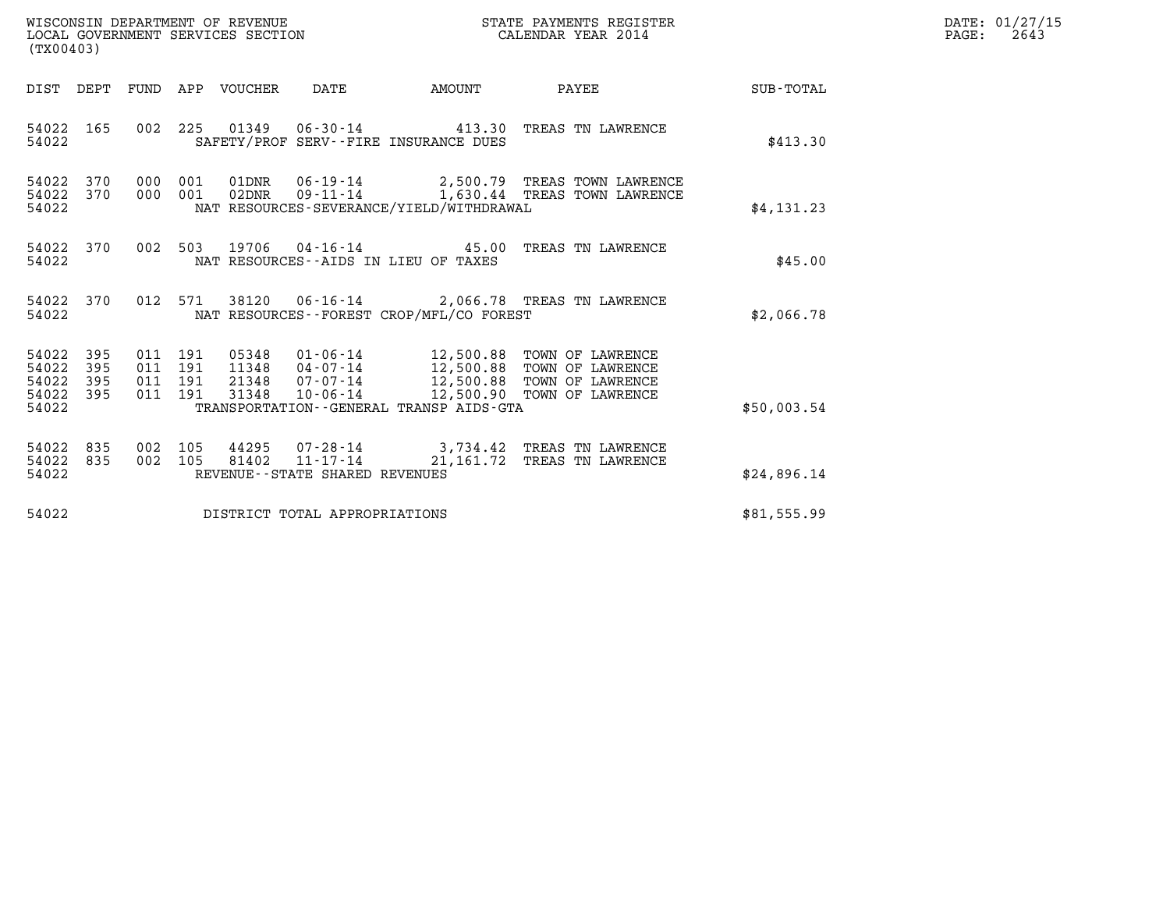| WISCONSIN DEPARTMENT OF REVENUE<br>LOCAL GOVERNMENT SERVICES SECTION | STATE PAYMENTS REGISTER<br>CALENDAR YEAR 2014 | DATE: 01/27/15<br>2643<br>PAGE: |
|----------------------------------------------------------------------|-----------------------------------------------|---------------------------------|

| (TX00403)                                     |                   |  |         |  |                                |                                          |                                                                                                                                                                                                                                                                                                                                            |             | DATE: 01/27/15<br>PAGE:<br>2643 |
|-----------------------------------------------|-------------------|--|---------|--|--------------------------------|------------------------------------------|--------------------------------------------------------------------------------------------------------------------------------------------------------------------------------------------------------------------------------------------------------------------------------------------------------------------------------------------|-------------|---------------------------------|
|                                               |                   |  |         |  |                                |                                          | DIST DEPT FUND APP VOUCHER DATE AMOUNT PAYEE                                                                                                                                                                                                                                                                                               | SUB-TOTAL   |                                 |
| 54022 165<br>54022                            |                   |  |         |  |                                | SAFETY/PROF SERV--FIRE INSURANCE DUES    | 002 225 01349 06-30-14 413.30 TREAS TN LAWRENCE                                                                                                                                                                                                                                                                                            | \$413.30    |                                 |
| 54022 370<br>54022 370<br>54022               |                   |  | 000 001 |  |                                | NAT RESOURCES-SEVERANCE/YIELD/WITHDRAWAL | 01DNR  06-19-14  2,500.79  TREAS TOWN LAWRENCE<br>000 001 02DNR 09-11-14 1,630.44 TREAS TOWN LAWRENCE                                                                                                                                                                                                                                      | \$4,131.23  |                                 |
| 54022 370<br>54022                            |                   |  |         |  |                                | NAT RESOURCES--AIDS IN LIEU OF TAXES     | 002 503 19706 04-16-14 45.00 TREAS TN LAWRENCE                                                                                                                                                                                                                                                                                             | \$45.00     |                                 |
| 54022 370<br>54022                            |                   |  |         |  |                                | NAT RESOURCES--FOREST CROP/MFL/CO FOREST | 012 571 38120 06-16-14 2,066.78 TREAS TN LAWRENCE                                                                                                                                                                                                                                                                                          | \$2,066.78  |                                 |
| 54022<br>54022<br>54022<br>54022 395<br>54022 | 395<br>395<br>395 |  |         |  |                                | TRANSPORTATION--GENERAL TRANSP AIDS-GTA  | $\begin{array}{cccccc} 011 & 191 & 05348 & 01\cdot 06\cdot 14 & 12\, , 500\, .88 & \text{TOWN OF LAWRENCE} \\ 011 & 191 & 11348 & 04\cdot 07\cdot 14 & 12\, , 500\, .88 & \text{TOWN OF LAWRENCE} \\ 011 & 191 & 21348 & 07\cdot 07\cdot 14 & 12\, , 500\, .88 & \text{TOWN OF LAWRENCE} \\ 011 & 191 & 31348 & 10\cdot 06\cdot 14 & - & $ | \$50,003.54 |                                 |
| 54022<br>54022<br>54022                       | 835<br>835        |  |         |  | REVENUE--STATE SHARED REVENUES |                                          | 002 105  44295  07-28-14  3,734.42 TREAS TN LAWRENCE<br>002  105  81402  11-17-14  21,161.72 TREAS TN LAWRENCE                                                                                                                                                                                                                             | \$24,896.14 |                                 |
| 54022                                         |                   |  |         |  | DISTRICT TOTAL APPROPRIATIONS  |                                          |                                                                                                                                                                                                                                                                                                                                            | \$81,555.99 |                                 |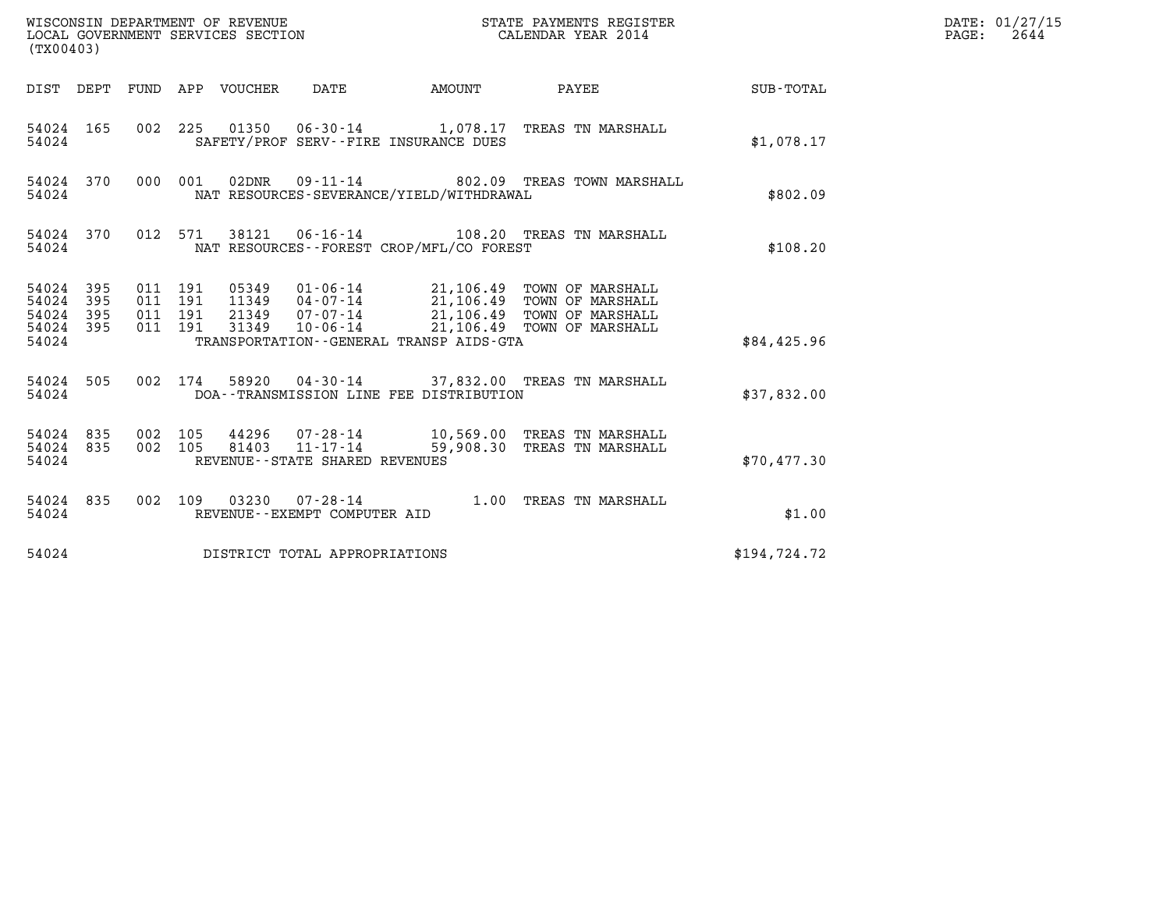| (TX00403)                                         |            |                                          |         |                                 | WISCONSIN DEPARTMENT OF REVENUE<br>LOCAL GOVERNMENT SERVICES SECTION |                                          | STATE PAYMENTS REGISTER<br>CALENDAR YEAR 2014                                                                                                                                                |              | DATE: 01/27/15<br>$\mathtt{PAGE:}$<br>2644 |
|---------------------------------------------------|------------|------------------------------------------|---------|---------------------------------|----------------------------------------------------------------------|------------------------------------------|----------------------------------------------------------------------------------------------------------------------------------------------------------------------------------------------|--------------|--------------------------------------------|
|                                                   |            |                                          |         | DIST DEPT FUND APP VOUCHER DATE |                                                                      | <b>AMOUNT</b>                            | PAYEE                                                                                                                                                                                        | SUB-TOTAL    |                                            |
| 54024                                             | 54024 165  |                                          |         |                                 |                                                                      | SAFETY/PROF SERV--FIRE INSURANCE DUES    | 002 225 01350 06-30-14 1,078.17 TREAS TN MARSHALL                                                                                                                                            | \$1,078.17   |                                            |
| 54024                                             | 54024 370  |                                          |         |                                 |                                                                      | NAT RESOURCES-SEVERANCE/YIELD/WITHDRAWAL | 000 001 02DNR 09-11-14 802.09 TREAS TOWN MARSHALL                                                                                                                                            | \$802.09     |                                            |
| 54024                                             | 54024 370  |                                          | 012 571 |                                 |                                                                      | NAT RESOURCES--FOREST CROP/MFL/CO FOREST | 38121  06-16-14  108.20 TREAS TN MARSHALL                                                                                                                                                    | \$108.20     |                                            |
| 54024 395<br>54024<br>54024<br>54024 395<br>54024 | 395<br>395 | 011 191<br>011 191<br>011 191<br>011 191 |         |                                 |                                                                      | TRANSPORTATION--GENERAL TRANSP AIDS-GTA  | 05349  01-06-14  21,106.49  TOWN OF MARSHALL<br>11349  04-07-14  21,106.49  TOWN OF MARSHALL<br>21349  07-07-14  21,106.49  TOWN OF MARSHALL<br>31349  10-06-14  21,106.49  TOWN OF MARSHALL | \$84,425.96  |                                            |
| 54024                                             | 54024 505  |                                          |         |                                 |                                                                      | DOA--TRANSMISSION LINE FEE DISTRIBUTION  | 002 174 58920 04-30-14 37,832.00 TREAS TN MARSHALL                                                                                                                                           | \$37,832.00  |                                            |
| 54024 835<br>54024 835<br>54024                   |            | 002 105<br>002 105                       |         | 81403                           | 11-17-14<br>REVENUE - - STATE SHARED REVENUES                        |                                          | 44296 07-28-14 10,569.00 TREAS TN MARSHALL<br>59,908.30 TREAS TN MARSHALL                                                                                                                    | \$70,477.30  |                                            |
| 54024 835<br>54024                                |            |                                          |         |                                 | REVENUE - - EXEMPT COMPUTER AID                                      |                                          | 002 109 03230 07-28-14 1.00 TREAS TN MARSHALL                                                                                                                                                | \$1.00       |                                            |
| 54024                                             |            |                                          |         |                                 | DISTRICT TOTAL APPROPRIATIONS                                        |                                          |                                                                                                                                                                                              | \$194,724.72 |                                            |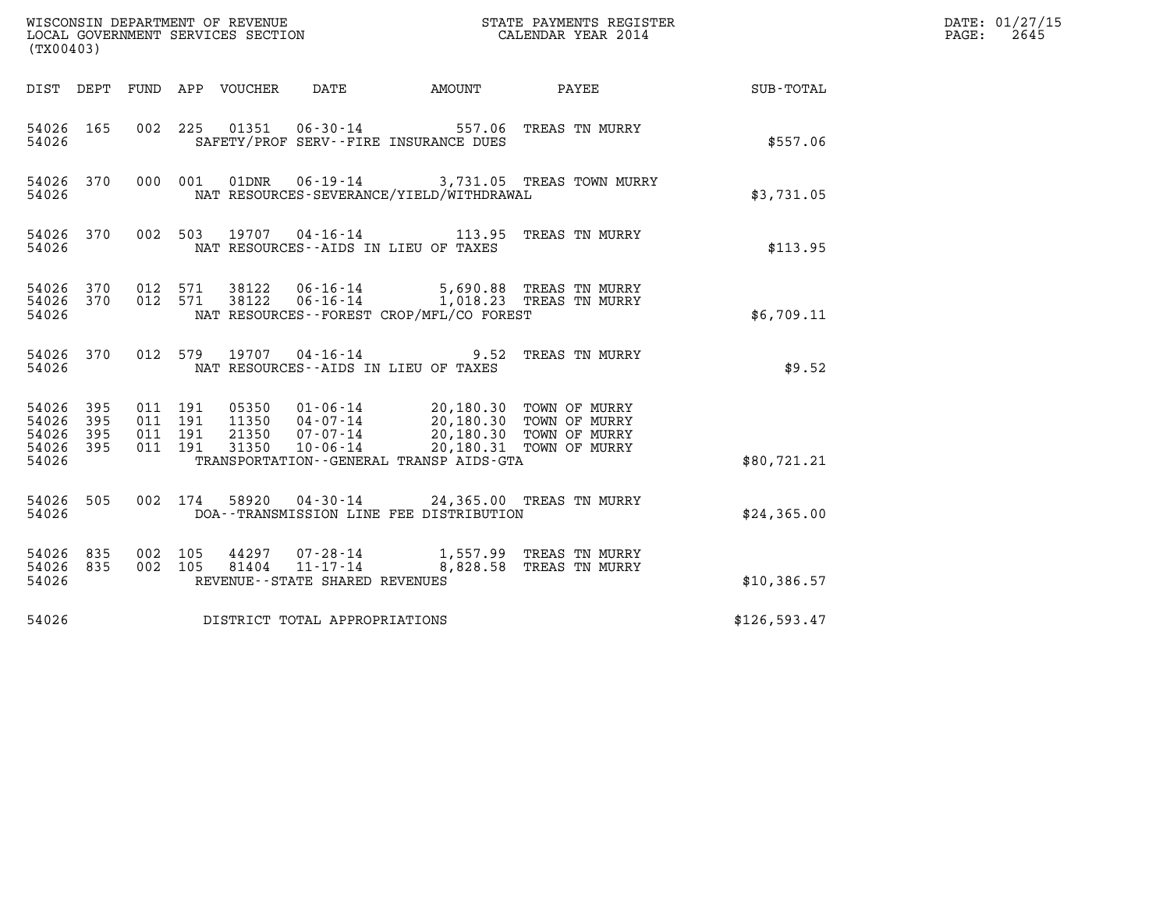| (TX00403)                                 |                          |                                          |         |                  | WISCONSIN DEPARTMENT OF REVENUE<br>LOCAL GOVERNMENT SERVICES SECTION |                                                                                                                      | STATE PAYMENTS REGISTER<br>CALENDAR YEAR 2014                        |              | DATE: 01/27/15<br>2645<br>PAGE: |
|-------------------------------------------|--------------------------|------------------------------------------|---------|------------------|----------------------------------------------------------------------|----------------------------------------------------------------------------------------------------------------------|----------------------------------------------------------------------|--------------|---------------------------------|
| DIST DEPT                                 |                          |                                          |         | FUND APP VOUCHER | <b>DATE</b>                                                          | AMOUNT                                                                                                               | PAYEE                                                                | SUB-TOTAL    |                                 |
| 54026 165<br>54026                        |                          | 002                                      | 225     |                  |                                                                      | SAFETY/PROF SERV--FIRE INSURANCE DUES                                                                                | 01351  06-30-14  557.06  TREAS TN MURRY                              | \$557.06     |                                 |
| 54026 370<br>54026                        |                          | 000 001                                  |         | 01DNR            |                                                                      | NAT RESOURCES-SEVERANCE/YIELD/WITHDRAWAL                                                                             | 06-19-14 3,731.05 TREAS TOWN MURRY                                   | \$3,731.05   |                                 |
| 54026 370<br>54026                        |                          | 002 503                                  |         |                  |                                                                      | NAT RESOURCES - AIDS IN LIEU OF TAXES                                                                                | 19707  04-16-14   113.95   TREAS TN MURRY                            | \$113.95     |                                 |
| 54026<br>54026<br>54026                   | 370<br>370               | 012 571<br>012 571                       |         | 38122<br>38122   |                                                                      | NAT RESOURCES--FOREST CROP/MFL/CO FOREST                                                                             | 06-16-14 5,690.88 TREAS TN MURRY<br>06-16-14 1,018.23 TREAS TN MURRY | \$6,709.11   |                                 |
| 54026 370<br>54026                        |                          |                                          | 012 579 |                  | 19707 04-16-14                                                       | 9.52<br>NAT RESOURCES -- AIDS IN LIEU OF TAXES                                                                       | TREAS TN MURRY                                                       | \$9.52       |                                 |
| 54026<br>54026<br>54026<br>54026<br>54026 | 395<br>395<br>395<br>395 | 011 191<br>011 191<br>011 191<br>011 191 |         | 21350<br>31350   | 11350 04-07-14<br>07-07-14<br>$10 - 06 - 14$                         | 05350  01-06-14  20,180.30  TOWN OF MURRY<br>20,180.30 TOWN OF MURRY<br>TRANSPORTATION - - GENERAL TRANSP AIDS - GTA | 20,180.30 TOWN OF MURRY<br>20,180.31 TOWN OF MURRY                   | \$80,721.21  |                                 |
| 54026<br>54026                            | 505                      | 002 174                                  |         | 58920            |                                                                      | DOA--TRANSMISSION LINE FEE DISTRIBUTION                                                                              | 04-30-14 24,365.00 TREAS TN MURRY                                    | \$24,365.00  |                                 |
| 54026<br>54026<br>54026                   | 835<br>835               | 002<br>002 105                           | 105     | 44297<br>81404   | 07-28-14<br>11-17-14<br>REVENUE - - STATE SHARED REVENUES            |                                                                                                                      | 1,557.99 TREAS TN MURRY<br>8,828.58 TREAS TN MURRY                   | \$10,386.57  |                                 |
| 54026                                     |                          |                                          |         |                  | DISTRICT TOTAL APPROPRIATIONS                                        |                                                                                                                      |                                                                      | \$126,593.47 |                                 |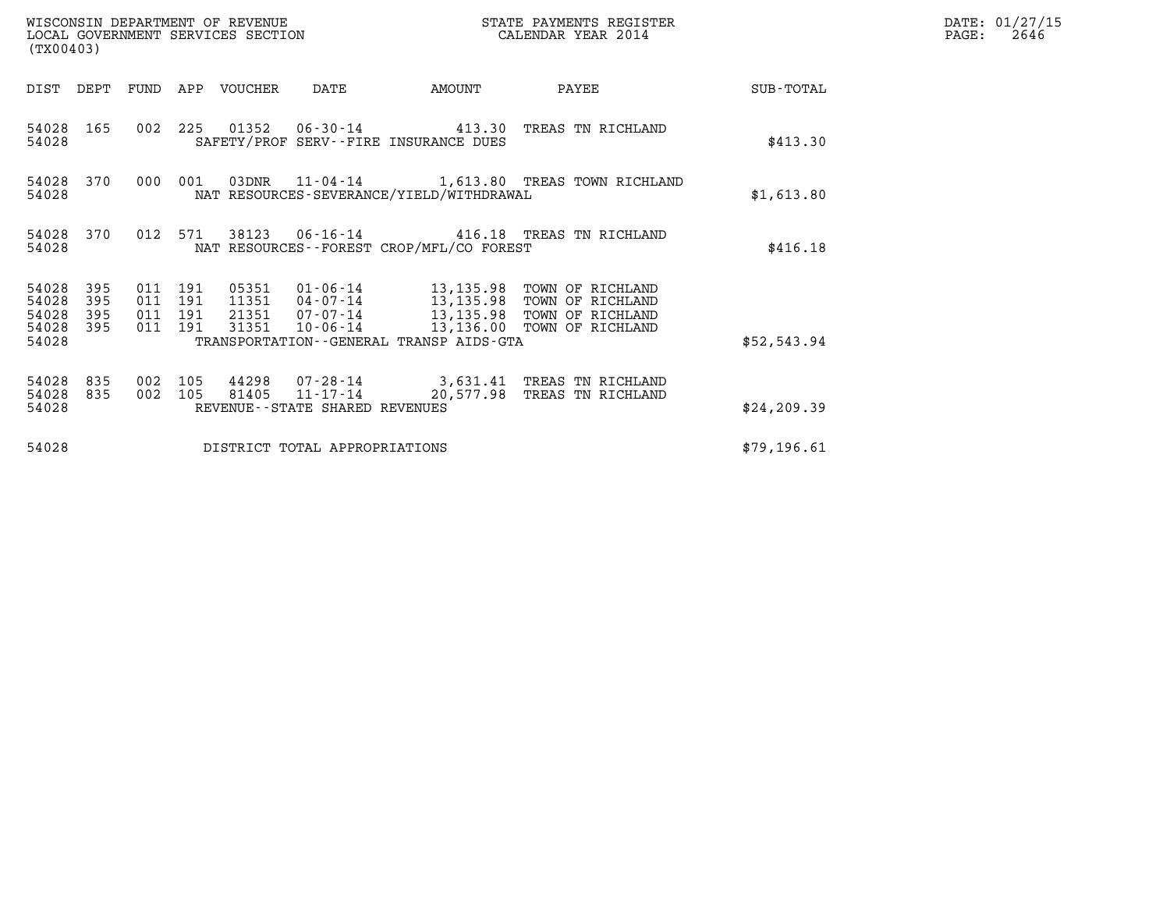| (TX00403)                                 |                          |                                          |            | WISCONSIN DEPARTMENT OF REVENUE<br>LOCAL GOVERNMENT SERVICES SECTION |                                |                                             | STATE PAYMENTS REGISTER<br>CALENDAR YEAR 2014                                                                                                                     |              | DATE: 01/27/15<br>$\mathtt{PAGE}$ :<br>2646 |
|-------------------------------------------|--------------------------|------------------------------------------|------------|----------------------------------------------------------------------|--------------------------------|---------------------------------------------|-------------------------------------------------------------------------------------------------------------------------------------------------------------------|--------------|---------------------------------------------|
| DIST DEPT                                 |                          |                                          |            | FUND APP VOUCHER                                                     | DATE                           | AMOUNT                                      | PAYEE                                                                                                                                                             | SUB-TOTAL    |                                             |
| 54028<br>54028                            | 165                      |                                          |            |                                                                      |                                | SAFETY/PROF SERV--FIRE INSURANCE DUES       | 002 225 01352 06-30-14 413.30 TREAS TN RICHLAND                                                                                                                   | \$413.30     |                                             |
| 54028                                     | 54028 370                | 000                                      | 001        |                                                                      |                                | NAT RESOURCES-SEVERANCE/YIELD/WITHDRAWAL    | 03DNR  11-04-14   1,613.80 TREAS TOWN RICHLAND                                                                                                                    | \$1,613.80   |                                             |
| 54028                                     | 54028 370                | 012 571                                  |            | 38123                                                                |                                | NAT RESOURCES - - FOREST CROP/MFL/CO FOREST | 06-16-14  416.18  TREAS TN RICHLAND                                                                                                                               | \$416.18     |                                             |
| 54028<br>54028<br>54028<br>54028<br>54028 | 395<br>395<br>395<br>395 | 011 191<br>011 191<br>011 191<br>011 191 |            | 05351<br>31351                                                       | $10 - 06 - 14$                 | TRANSPORTATION--GENERAL TRANSP AIDS-GTA     | 01-06-14 13,135.98 TOWN OF RICHLAND<br>11351  04-07-14  13,135.98  TOWN OF RICHLAND<br>21351  07-07-14  13,135.98  TOWN OF RICHLAND<br>13,136.00 TOWN OF RICHLAND | \$52,543.94  |                                             |
| 54028<br>54028<br>54028                   | 835<br>835               | 002<br>002                               | 105<br>105 | 81405                                                                | REVENUE--STATE SHARED REVENUES |                                             | 44298 07-28-14 3,631.41 TREAS TN RICHLAND<br>11-17-14 20,577.98 TREAS TN RICHLAND                                                                                 | \$24, 209.39 |                                             |
| 54028                                     |                          |                                          |            |                                                                      | DISTRICT TOTAL APPROPRIATIONS  |                                             |                                                                                                                                                                   | \$79,196.61  |                                             |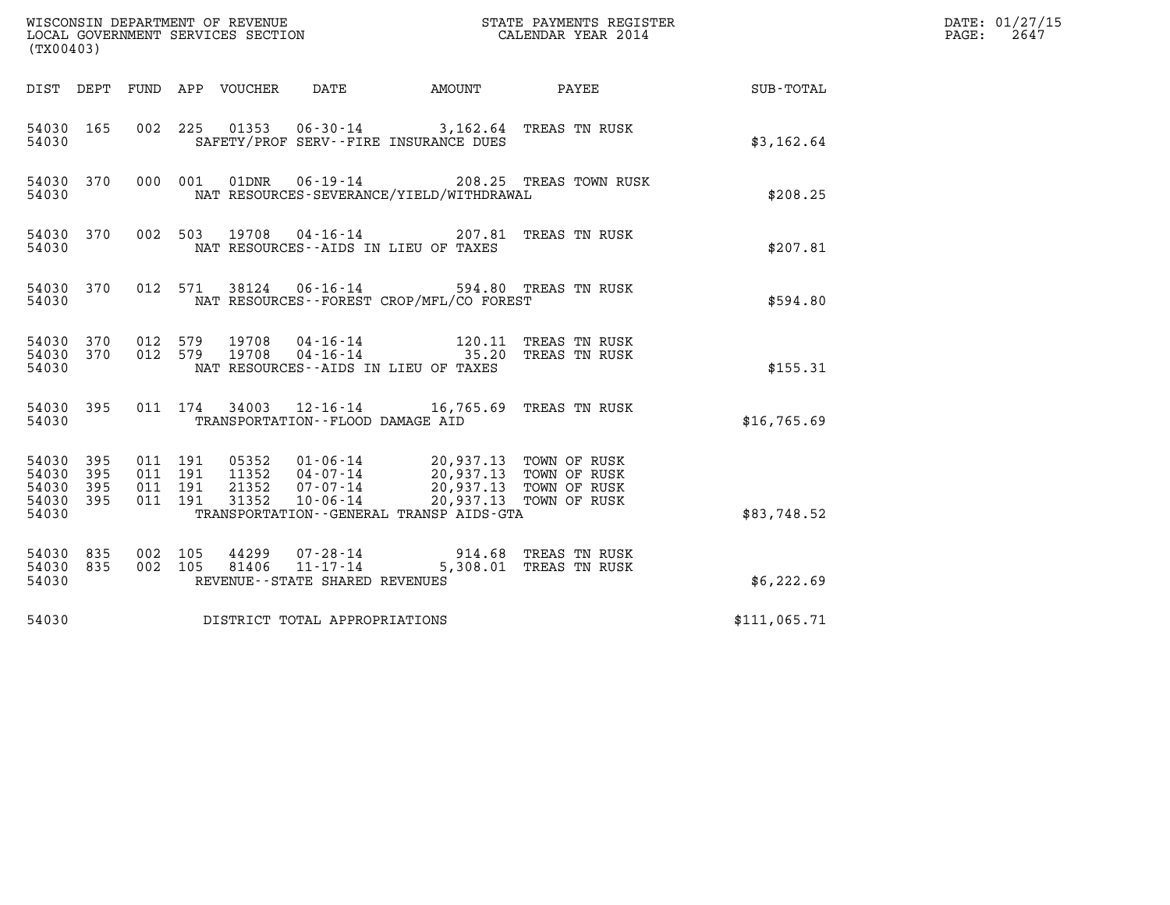| (TX00403)                                         |            |                    |                               |                            |                                   |                                                                                                                                                                             |                                 |              | DATE: 01/27/15<br>2647<br>$\mathtt{PAGE}$ : |
|---------------------------------------------------|------------|--------------------|-------------------------------|----------------------------|-----------------------------------|-----------------------------------------------------------------------------------------------------------------------------------------------------------------------------|---------------------------------|--------------|---------------------------------------------|
|                                                   |            |                    |                               | DIST DEPT FUND APP VOUCHER | DATE                              | AMOUNT                                                                                                                                                                      | PAYEE                           | SUB-TOTAL    |                                             |
| 54030 165<br>54030                                |            |                    |                               |                            |                                   | 002 225 01353 06-30-14 3,162.64 TREAS TN RUSK<br>SAFETY/PROF SERV--FIRE INSURANCE DUES                                                                                      |                                 | \$3,162.64   |                                             |
| 54030 370<br>54030                                |            |                    | 000 001                       | 01DNR                      |                                   | NAT RESOURCES-SEVERANCE/YIELD/WITHDRAWAL                                                                                                                                    | 06-19-14 208.25 TREAS TOWN RUSK | \$208.25     |                                             |
| 54030 370<br>54030                                |            |                    |                               | 002 503 19708              |                                   | 04-16-14 207.81 TREAS TN RUSK<br>NAT RESOURCES -- AIDS IN LIEU OF TAXES                                                                                                     |                                 | \$207.81     |                                             |
| 54030 370<br>54030                                |            |                    | 012 571                       |                            |                                   | 38124  06-16-14  594.80 TREAS TN RUSK<br>NAT RESOURCES--FOREST CROP/MFL/CO FOREST                                                                                           |                                 | \$594.80     |                                             |
| 54030 370<br>54030 370<br>54030                   |            | 012 579<br>012 579 |                               |                            |                                   | NAT RESOURCES--AIDS IN LIEU OF TAXES                                                                                                                                        |                                 | \$155.31     |                                             |
| 54030 395<br>54030                                |            |                    |                               |                            | TRANSPORTATION--FLOOD DAMAGE AID  | 011 174 34003 12-16-14 16,765.69 TREAS TN RUSK                                                                                                                              |                                 | \$16,765.69  |                                             |
| 54030 395<br>54030<br>54030<br>54030 395<br>54030 | 395<br>395 | 011 191            | 011 191<br>011 191<br>011 191 | 31352                      | 10-06-14                          | 05352  01-06-14  20,937.13  TOWN OF RUSK<br>11352  04-07-14  20,937.13  TOWN OF RUSK<br>21352  07-07-14  20,937.13  TOWN OF RUSK<br>TRANSPORTATION--GENERAL TRANSP AIDS-GTA | 20,937.13 TOWN OF RUSK          | \$83,748.52  |                                             |
| 54030 835<br>54030 835<br>54030                   |            | 002 105            | 002 105                       | 44299<br>81406             | REVENUE - - STATE SHARED REVENUES | 07-28-14 914.68 TREAS TN RUSK<br>11-17-14 5,308.01 TREAS TN RUSK                                                                                                            |                                 | \$6,222.69   |                                             |
| 54030                                             |            |                    |                               |                            | DISTRICT TOTAL APPROPRIATIONS     |                                                                                                                                                                             |                                 | \$111,065.71 |                                             |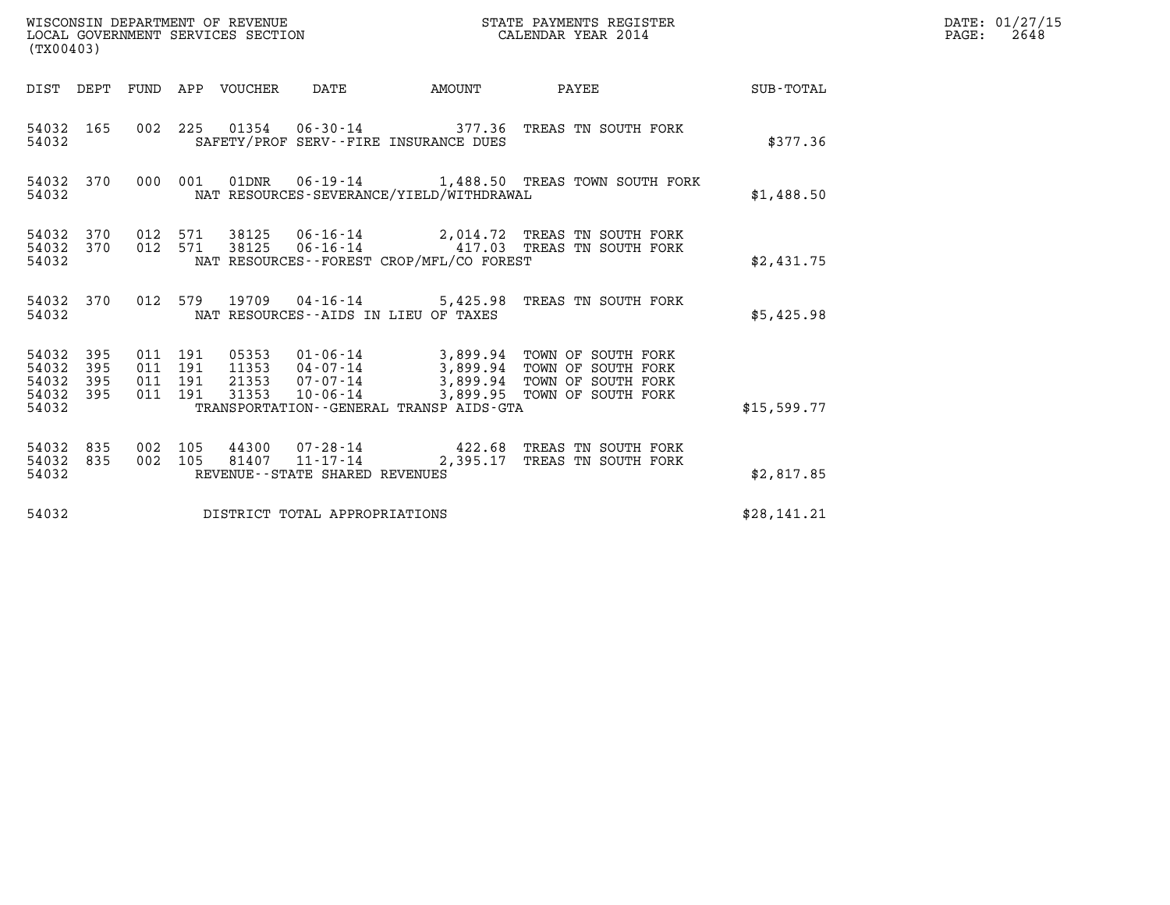| WISCONSIN DEPARTMENT OF REVENUE   | STATE PAYMENTS REGISTER | DATE: 01/27/15 |
|-----------------------------------|-------------------------|----------------|
| LOCAL GOVERNMENT SERVICES SECTION | CALENDAR YEAR 2014      | 2648<br>PAGE:  |

|                                           | WISCONSIN DEPARTMENT OF REVENUE<br>STATE PAYMENTS REGISTER<br>LOCAL GOVERNMENT SERVICES SECTION<br>CALENDAR YEAR 2014<br>(TX00403) |                          |                          |                                  |                                                                 |  |                                                                                                                                            |                  |  |  |  |
|-------------------------------------------|------------------------------------------------------------------------------------------------------------------------------------|--------------------------|--------------------------|----------------------------------|-----------------------------------------------------------------|--|--------------------------------------------------------------------------------------------------------------------------------------------|------------------|--|--|--|
| DIST                                      | DEPT                                                                                                                               | FUND                     | APP                      |                                  | VOUCHER DATE AMOUNT                                             |  | PAYEE                                                                                                                                      | <b>SUB-TOTAL</b> |  |  |  |
| 54032<br>54032                            | 165                                                                                                                                | 002                      |                          |                                  | SAFETY/PROF SERV--FIRE INSURANCE DUES                           |  | 225 01354 06-30-14 377.36 TREAS TN SOUTH FORK                                                                                              | \$377.36         |  |  |  |
| 54032<br>54032                            | 370                                                                                                                                | 000                      | 001                      | 01DNR                            | NAT RESOURCES-SEVERANCE/YIELD/WITHDRAWAL                        |  | 06-19-14 1,488.50 TREAS TOWN SOUTH FORK                                                                                                    | \$1,488.50       |  |  |  |
| 54032<br>54032<br>54032                   | 370<br>370                                                                                                                         | 012<br>012               | 571<br>571               | 38125<br>38125                   | NAT RESOURCES - - FOREST CROP/MFL/CO FOREST                     |  | 06-16-14 2,014.72 TREAS TN SOUTH FORK<br>06-16-14 417.03 TREAS TN SOUTH FORK                                                               | \$2,431.75       |  |  |  |
| 54032<br>54032                            | 370                                                                                                                                | 012                      | 579                      |                                  | NAT RESOURCES -- AIDS IN LIEU OF TAXES                          |  | 19709  04-16-14  5,425.98  TREAS TN SOUTH FORK                                                                                             | \$5,425.98       |  |  |  |
| 54032<br>54032<br>54032<br>54032<br>54032 | 395<br>395<br>395<br>395                                                                                                           | 011<br>011<br>011<br>011 | 191<br>191<br>191<br>191 | 05353<br>11353<br>21353<br>31353 | 07-07-14<br>10-06-14<br>TRANSPORTATION--GENERAL TRANSP AIDS-GTA |  | 01-06-14 3,899.94 TOWN OF SOUTH FORK<br>04-07-14 3,899.94 TOWN OF SOUTH FORK<br>3,899.94 TOWN OF SOUTH FORK<br>3,899.95 TOWN OF SOUTH FORK | \$15,599.77      |  |  |  |
| 54032<br>54032<br>54032                   | 835<br>835                                                                                                                         | 002<br>002               | 105<br>105               | 44300<br>81407                   | REVENUE - - STATE SHARED REVENUES                               |  | 07-28-14 422.68 TREAS TN SOUTH FORK<br>11-17-14 2,395.17 TREAS TN SOUTH FORK                                                               | \$2,817.85       |  |  |  |
| 54032                                     |                                                                                                                                    |                          |                          |                                  | DISTRICT TOTAL APPROPRIATIONS                                   |  |                                                                                                                                            | \$28,141.21      |  |  |  |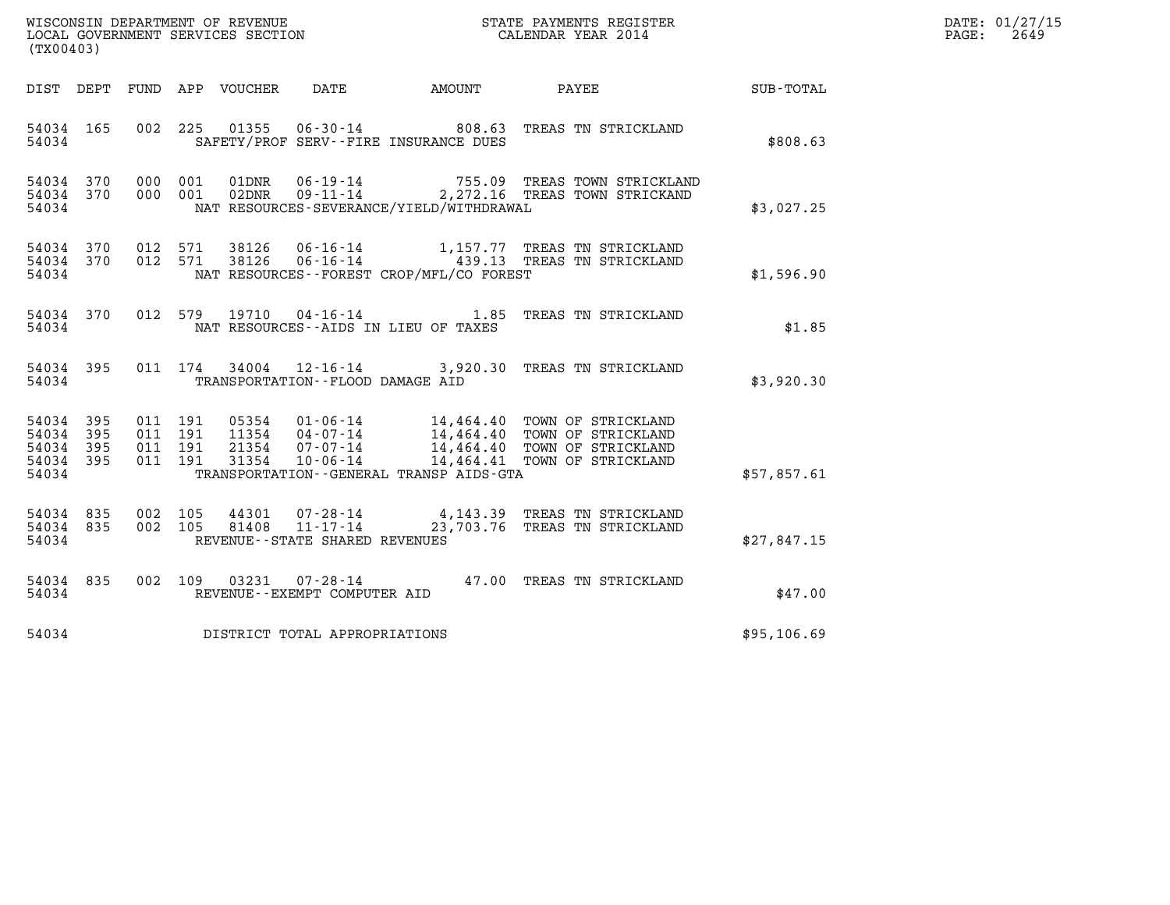| (TX00403)                                                 |           |                                          |         |                            |                                                                       |                                              |                                                                                                                                                                                                  |             | DATE: 01/27/15<br>$\mathtt{PAGE:}$<br>2649 |
|-----------------------------------------------------------|-----------|------------------------------------------|---------|----------------------------|-----------------------------------------------------------------------|----------------------------------------------|--------------------------------------------------------------------------------------------------------------------------------------------------------------------------------------------------|-------------|--------------------------------------------|
|                                                           |           |                                          |         | DIST DEPT FUND APP VOUCHER | DATE                                                                  | AMOUNT                                       | PAYEE                                                                                                                                                                                            | SUB-TOTAL   |                                            |
| 54034 165<br>54034                                        |           |                                          | 002 225 | 01355                      |                                                                       | SAFETY/PROF SERV--FIRE INSURANCE DUES        | 06-30-14 808.63 TREAS TN STRICKLAND                                                                                                                                                              | \$808.63    |                                            |
| 54034 370<br>54034 370<br>54034                           |           | 000 001<br>000 001                       |         | 01DNR<br>$02$ DNR          |                                                                       | NAT RESOURCES-SEVERANCE/YIELD/WITHDRAWAL     | 06-19-14 755.09 TREAS TOWN STRICKLAND<br>09-11-14 2,272.16 TREAS TOWN STRICKAND                                                                                                                  | \$3,027.25  |                                            |
| 54034 370<br>54034                                        | 54034 370 | 012 571<br>012 571                       |         |                            |                                                                       | NAT RESOURCES--FOREST CROP/MFL/CO FOREST     | 38126  06-16-14   1,157.77  TREAS TN STRICKLAND<br>38126  06-16-14   439.13  TREAS TN STRICKLAND                                                                                                 | \$1,596.90  |                                            |
| 54034 370<br>54034                                        |           |                                          | 012 579 |                            |                                                                       | NAT RESOURCES -- AIDS IN LIEU OF TAXES       | 19710  04-16-14   1.85   TREAS TN STRICKLAND                                                                                                                                                     | \$1.85      |                                            |
| 54034 395<br>54034                                        |           |                                          | 011 174 | 34004                      | TRANSPORTATION - - FLOOD DAMAGE AID                                   |                                              | 12-16-14 3,920.30 TREAS TN STRICKLAND                                                                                                                                                            | \$3,920.30  |                                            |
| 54034 395<br>54034 395<br>54034 395<br>54034 395<br>54034 |           | 011 191<br>011 191<br>011 191<br>011 191 |         |                            |                                                                       | TRANSPORTATION - - GENERAL TRANSP AIDS - GTA | 05354  01-06-14  14,464.40 TOWN OF STRICKLAND<br>11354  04-07-14  14,464.40 TOWN OF STRICKLAND<br>21354  07-07-14  14,464.40 TOWN OF STRICKLAND<br>31354  10-06-14  14,464.41 TOWN OF STRICKLAND | \$57,857.61 |                                            |
| 54034 835<br>54034 835<br>54034                           |           | 002 105<br>002 105                       |         | 44301<br>81408             | $07 - 28 - 14$<br>$11 - 17 - 14$<br>REVENUE - - STATE SHARED REVENUES |                                              | 4,143.39 TREAS TN STRICKLAND<br>23,703.76 TREAS TN STRICKLAND                                                                                                                                    | \$27,847.15 |                                            |
| 54034 835<br>54034                                        |           |                                          | 002 109 |                            | REVENUE--EXEMPT COMPUTER AID                                          |                                              | 03231  07-28-14  47.00  TREAS TN STRICKLAND                                                                                                                                                      | \$47.00     |                                            |
| 54034                                                     |           |                                          |         |                            | DISTRICT TOTAL APPROPRIATIONS                                         |                                              |                                                                                                                                                                                                  | \$95,106.69 |                                            |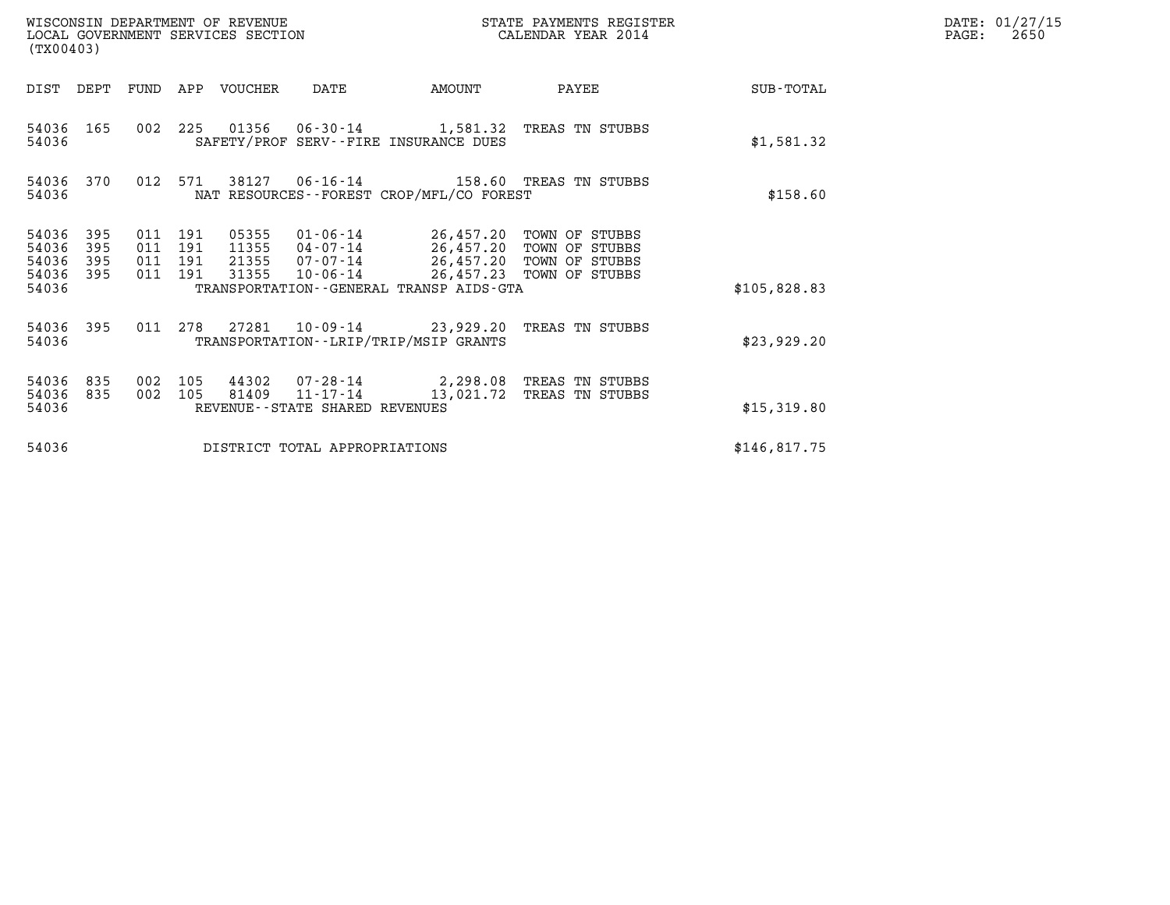| (TX00403)                                 |                          |                                          |     | WISCONSIN DEPARTMENT OF REVENUE<br>LOCAL GOVERNMENT SERVICES SECTION |                                   |                                                                                                                   | STATE PAYMENTS REGISTER<br>CALENDAR YEAR 2014                                    |              | DATE: 01/27/15<br>PAGE:<br>2650 |
|-------------------------------------------|--------------------------|------------------------------------------|-----|----------------------------------------------------------------------|-----------------------------------|-------------------------------------------------------------------------------------------------------------------|----------------------------------------------------------------------------------|--------------|---------------------------------|
| DIST DEPT                                 |                          |                                          |     | FUND APP VOUCHER                                                     | DATE                              | AMOUNT                                                                                                            | PAYEE                                                                            | SUB-TOTAL    |                                 |
| 54036 165<br>54036                        |                          |                                          |     |                                                                      |                                   | SAFETY/PROF SERV--FIRE INSURANCE DUES                                                                             | 002 225 01356 06-30-14 1,581.32 TREAS TN STUBBS                                  | \$1,581.32   |                                 |
| 54036 370<br>54036                        |                          | 012 571                                  |     | 38127                                                                |                                   | NAT RESOURCES - - FOREST CROP/MFL/CO FOREST                                                                       | 06-16-14 158.60 TREAS TN STUBBS                                                  | \$158.60     |                                 |
| 54036<br>54036<br>54036<br>54036<br>54036 | 395<br>395<br>395<br>395 | 011 191<br>011 191<br>011 191<br>011 191 |     | 05355<br>11355<br>21355<br>31355                                     | $07 - 07 - 14$<br>10-06-14        | 01-06-14 26,457.20 TOWN OF STUBBS<br>04-07-14 26,457.20 TOWN OF STUBBS<br>TRANSPORTATION--GENERAL TRANSP AIDS-GTA | 26,457.20 TOWN OF STUBBS<br>26,457.23 TOWN OF STUBBS                             | \$105,828.83 |                                 |
| 54036 395<br>54036                        |                          | 011                                      | 278 |                                                                      |                                   | TRANSPORTATION - - LRIP/TRIP/MSIP GRANTS                                                                          | 27281  10-09-14  23,929.20 TREAS TN STUBBS                                       | \$23,929.20  |                                 |
| 54036<br>54036<br>54036                   | 835<br>835               | 002 105<br>002 105                       |     | 81409                                                                | REVENUE - - STATE SHARED REVENUES |                                                                                                                   | 44302  07-28-14  2,298.08  TREAS TN STUBBS<br>11-17-14 13,021.72 TREAS TN STUBBS | \$15,319.80  |                                 |
| 54036                                     |                          |                                          |     |                                                                      | DISTRICT TOTAL APPROPRIATIONS     |                                                                                                                   |                                                                                  | \$146,817.75 |                                 |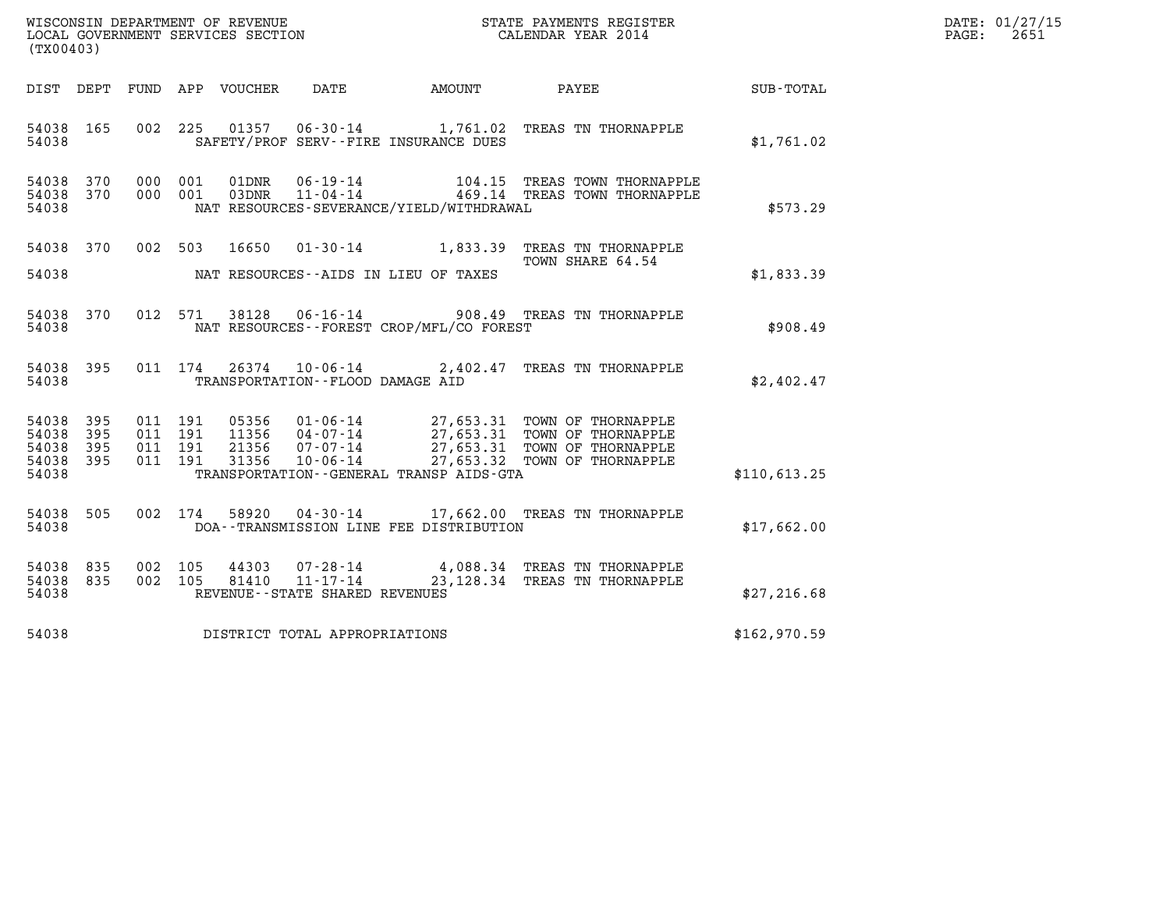| WISCONSIN DEPARTMENT OF REVENUE   | STATE PAYMENTS REGISTER | DATE: 01/27/15 |
|-----------------------------------|-------------------------|----------------|
| LOCAL GOVERNMENT SERVICES SECTION | CALENDAR YEAR 2014      | 2651<br>PAGE:  |

| (TX00403)                                             |     |  |                                    |                                          | WISCONSIN DEPARTMENT OF REVENUE<br>LOCAL GOVERNMENT SERVICES SECTION<br>CALENDAR YEAR 2014                                                                                                                  |              | DATE: 01/27/15<br>$\mathtt{PAGE:}$<br>2651 |
|-------------------------------------------------------|-----|--|------------------------------------|------------------------------------------|-------------------------------------------------------------------------------------------------------------------------------------------------------------------------------------------------------------|--------------|--------------------------------------------|
|                                                       |     |  |                                    |                                          | DIST DEPT FUND APP VOUCHER DATE AMOUNT PAYEE TOTAL                                                                                                                                                          |              |                                            |
| 54038 165<br>54038                                    |     |  |                                    | SAFETY/PROF SERV--FIRE INSURANCE DUES    | 002 225 01357 06-30-14 1,761.02 TREAS TN THORNAPPLE                                                                                                                                                         | \$1,761.02   |                                            |
| 54038 370<br>54038 370<br>54038                       |     |  |                                    | NAT RESOURCES-SEVERANCE/YIELD/WITHDRAWAL |                                                                                                                                                                                                             | \$573.29     |                                            |
| 54038                                                 |     |  |                                    | NAT RESOURCES--AIDS IN LIEU OF TAXES     | 54038 370 002 503 16650 01-30-14 1,833.39 TREAS TN THORNAPPLE<br>TOWN SHARE 64.54                                                                                                                           | \$1,833.39   |                                            |
| 54038 370<br>54038                                    |     |  |                                    | NAT RESOURCES--FOREST CROP/MFL/CO FOREST | 012 571 38128 06-16-14 908.49 TREAS TN THORNAPPLE                                                                                                                                                           | \$908.49     |                                            |
| 54038                                                 |     |  | TRANSPORTATION -- FLOOD DAMAGE AID |                                          | 54038 395 011 174 26374 10-06-14 2,402.47 TREAS TN THORNAPPLE                                                                                                                                               | \$2,402.47   |                                            |
| 54038 395<br>54038<br>54038 395<br>54038 395<br>54038 | 395 |  |                                    | TRANSPORTATION--GENERAL TRANSP AIDS-GTA  |                                                                                                                                                                                                             | \$110,613.25 |                                            |
| 54038 505<br>54038                                    |     |  |                                    | DOA--TRANSMISSION LINE FEE DISTRIBUTION  | 002 174 58920 04-30-14 17,662.00 TREAS TN THORNAPPLE                                                                                                                                                        | \$17,662.00  |                                            |
| 54038 835<br>54038 835<br>54038                       |     |  | REVENUE - - STATE SHARED REVENUES  |                                          | $\begin{array}{cccc} 002 & 105 & 44303 & 07\text{-}28\text{-}14 & 4,088.34 & \text{TREAS TN THORNAPPLE} \\ 002 & 105 & 81410 & 11\text{-}17\text{-}14 & 23,128.34 & \text{TREAS TN THORNAPPLE} \end{array}$ | \$27, 216.68 |                                            |
| 54038                                                 |     |  | DISTRICT TOTAL APPROPRIATIONS      |                                          |                                                                                                                                                                                                             | \$162,970.59 |                                            |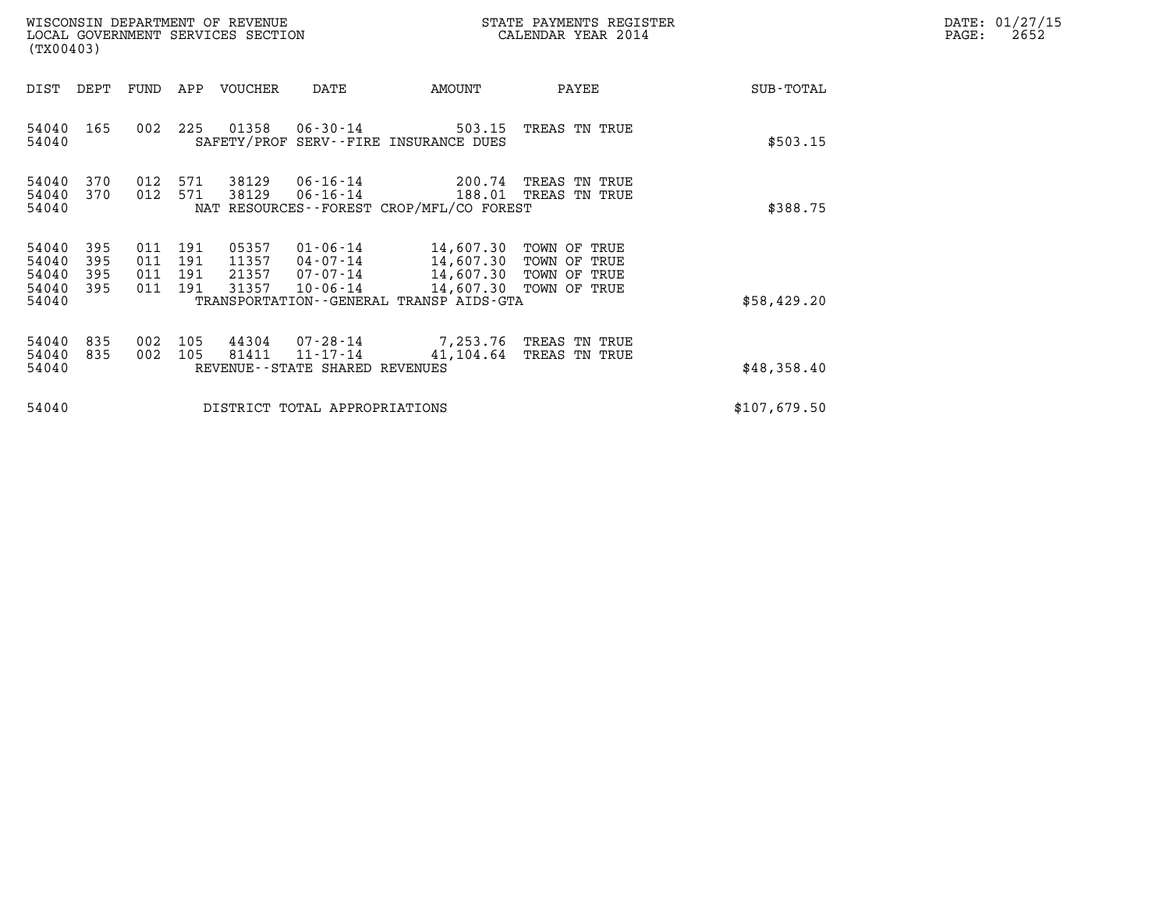| DATE: | 01/27/15 |
|-------|----------|
| PAGE: | 2652     |

| (TX00403)                                 |                          |                          |                          | WISCONSIN DEPARTMENT OF REVENUE<br>LOCAL GOVERNMENT SERVICES SECTION |                                                                     | STATE PAYMENTS REGISTER<br>CALENDAR YEAR 2014                          |                                                                            |              | DATE: 01/27/15<br>$\mathtt{PAGE:}$<br>2652 |
|-------------------------------------------|--------------------------|--------------------------|--------------------------|----------------------------------------------------------------------|---------------------------------------------------------------------|------------------------------------------------------------------------|----------------------------------------------------------------------------|--------------|--------------------------------------------|
| DIST                                      | DEPT                     | FUND                     | APP                      | VOUCHER                                                              | DATE                                                                | AMOUNT                                                                 | PAYEE                                                                      | SUB-TOTAL    |                                            |
| 54040 165<br>54040                        |                          | 002 225                  |                          | 01358                                                                | $06 - 30 - 14$                                                      | 503.15<br>SAFETY/PROF SERV--FIRE INSURANCE DUES                        | TREAS TN TRUE                                                              | \$503.15     |                                            |
| 54040<br>54040<br>54040                   | 370<br>370               | 012<br>012               | 571<br>571               | 38129<br>38129                                                       | 06-16-14<br>06-16-14<br>NAT RESOURCES - - FOREST CROP/MFL/CO FOREST | \$388.75                                                               |                                                                            |              |                                            |
| 54040<br>54040<br>54040<br>54040<br>54040 | 395<br>395<br>395<br>395 | 011<br>011<br>011<br>011 | 191<br>191<br>191<br>191 | 05357<br>11357<br>21357<br>31357                                     | $01 - 06 - 14$<br>04-07-14<br>07-07-14<br>$10 - 06 - 14$            | 14,607.30 TOWN OF TRUE<br>TRANSPORTATION - - GENERAL TRANSP AIDS - GTA | 14,607.30 TOWN OF TRUE<br>14,607.30 TOWN OF TRUE<br>14,607.30 TOWN OF TRUE | \$58,429.20  |                                            |
| 54040<br>54040<br>54040                   | 835<br>835               | 002<br>002               | 105<br>105               | 44304<br>81411                                                       | 07-28-14<br>11-17-14<br>REVENUE--STATE SHARED REVENUES              | 7,253.76<br>41,104.64                                                  | TREAS TN TRUE<br>TREAS TN TRUE                                             | \$48,358.40  |                                            |
| 54040                                     |                          |                          |                          |                                                                      | DISTRICT TOTAL APPROPRIATIONS                                       |                                                                        |                                                                            | \$107,679.50 |                                            |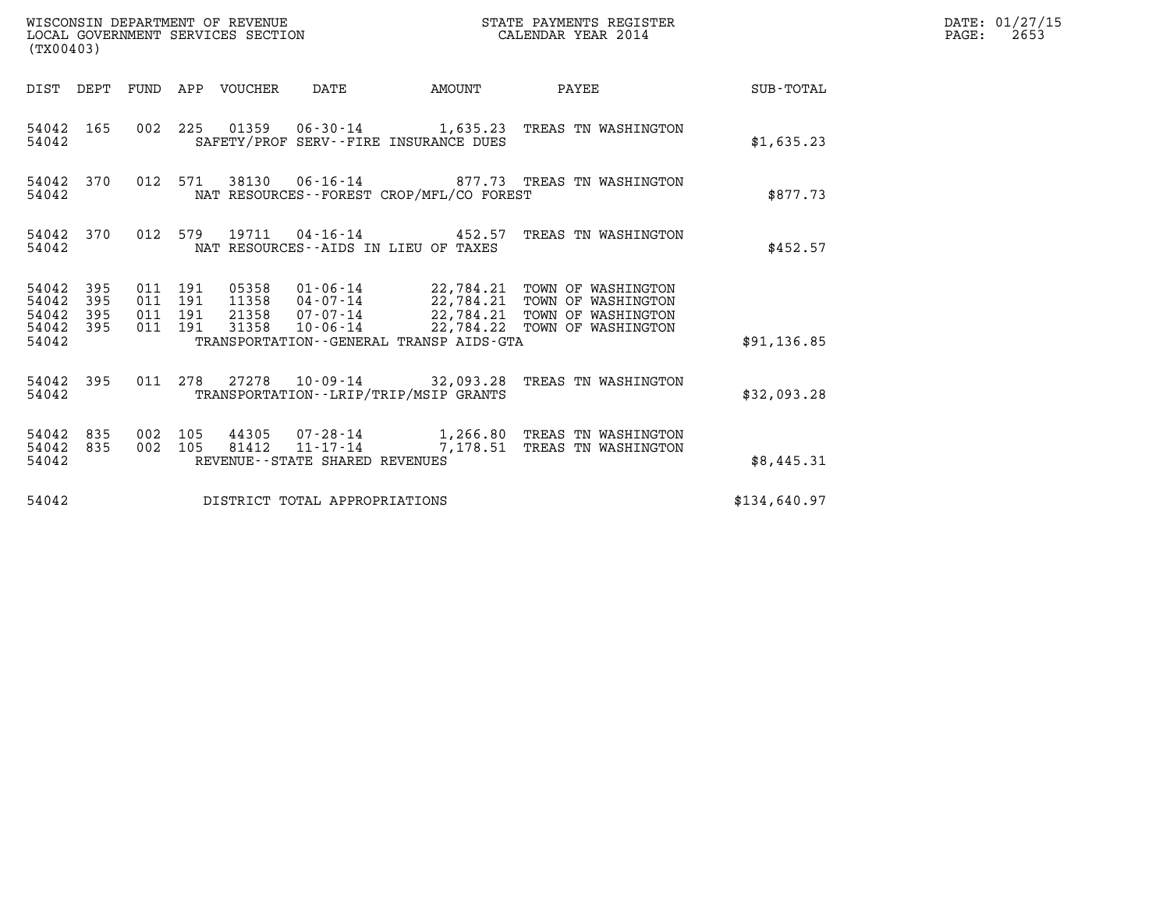| WISCONSIN DEPARTMENT OF REVENUE<br>WISCONSIN DEPARTMENT OF REVENUE<br>LOCAL GOVERNMENT SERVICES SECTION<br>(TX00403) |            |                                          |         |                                 |                                |                                             | STATE PAYMENTS REGISTER<br>CALENDAR YEAR 2014                                        |                 | DATE: 01/27/15<br>$\mathtt{PAGE:}$<br>2653 |
|----------------------------------------------------------------------------------------------------------------------|------------|------------------------------------------|---------|---------------------------------|--------------------------------|---------------------------------------------|--------------------------------------------------------------------------------------|-----------------|--------------------------------------------|
|                                                                                                                      |            |                                          |         | DIST DEPT FUND APP VOUCHER DATE |                                | <b>AMOUNT</b>                               |                                                                                      | PAYEE SUB-TOTAL |                                            |
| 54042                                                                                                                | 54042 165  |                                          |         |                                 |                                | SAFETY/PROF SERV--FIRE INSURANCE DUES       | 002 225 01359 06-30-14 1,635.23 TREAS TN WASHINGTON                                  | \$1,635.23      |                                            |
| 54042                                                                                                                | 54042 370  |                                          | 012 571 |                                 |                                | NAT RESOURCES - - FOREST CROP/MFL/CO FOREST | 38130  06-16-14  877.73  TREAS TN WASHINGTON                                         | \$877.73        |                                            |
| 54042                                                                                                                | 54042 370  |                                          |         |                                 |                                | NAT RESOURCES -- AIDS IN LIEU OF TAXES      | 012 579 19711 04-16-14 452.57 TREAS TN WASHINGTON                                    | \$452.57        |                                            |
| 54042 395<br>54042<br>54042<br>54042 395                                                                             | 395<br>395 | 011 191<br>011 191<br>011 191<br>011 191 |         | 31358                           |                                |                                             | 10-06-14 22,784.22 TOWN OF WASHINGTON                                                |                 |                                            |
| 54042                                                                                                                |            |                                          |         |                                 |                                | TRANSPORTATION--GENERAL TRANSP AIDS-GTA     |                                                                                      | \$91,136.85     |                                            |
| 54042                                                                                                                | 54042 395  |                                          |         |                                 |                                | TRANSPORTATION - - LRIP/TRIP/MSIP GRANTS    | 011 278 27278 10-09-14 32,093.28 TREAS TN WASHINGTON                                 | \$32,093.28     |                                            |
| 54042 835<br>54042                                                                                                   | 54042 835  | 002 105<br>002 105                       |         | 81412                           | REVENUE--STATE SHARED REVENUES |                                             | 44305 07-28-14 1,266.80 TREAS TN WASHINGTON<br>11-17-14 7,178.51 TREAS TN WASHINGTON | \$8,445.31      |                                            |
| 54042                                                                                                                |            |                                          |         |                                 | DISTRICT TOTAL APPROPRIATIONS  |                                             |                                                                                      | \$134,640.97    |                                            |
|                                                                                                                      |            |                                          |         |                                 |                                |                                             |                                                                                      |                 |                                            |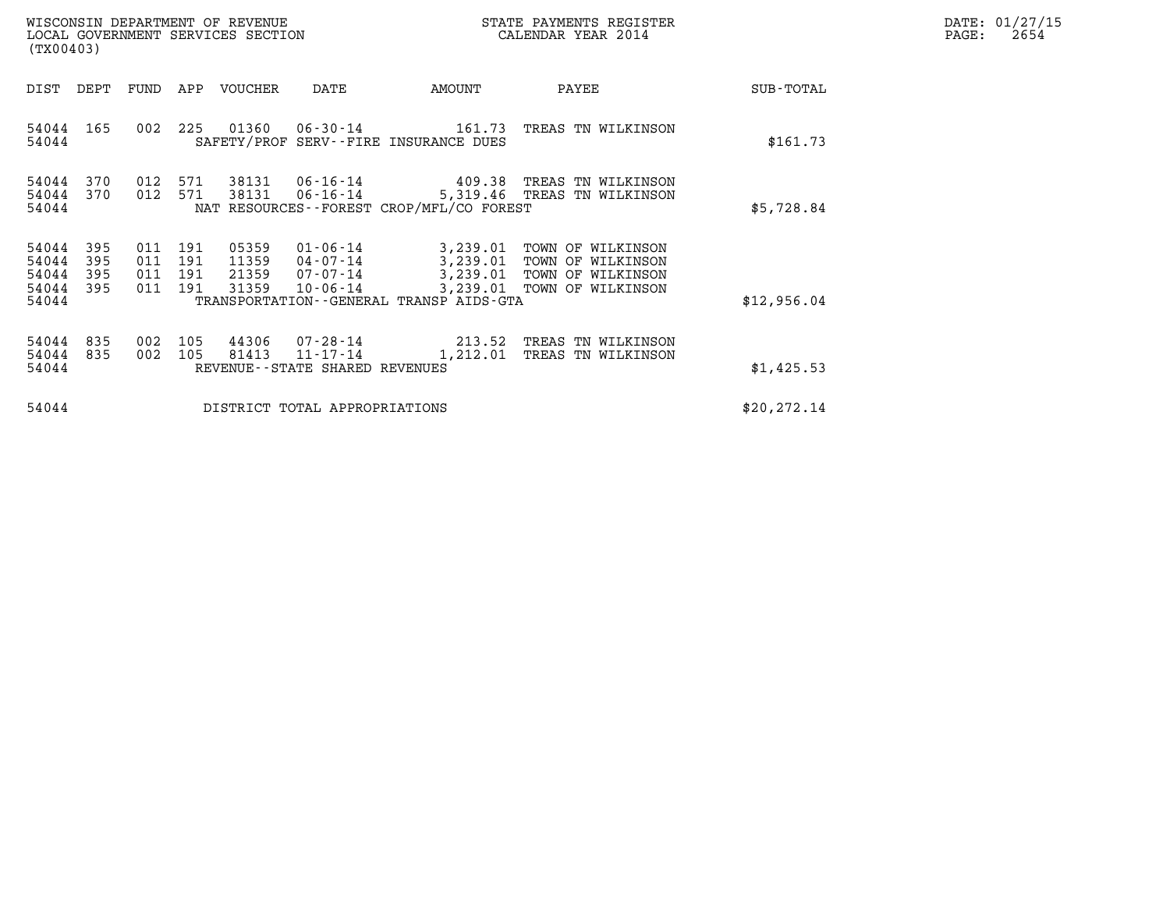| DATE: | 01/27/15 |
|-------|----------|
| PAGE: | 2654     |

| (TX00403)                                 |                                                                                                                                                                                                      |                                          |            | WISCONSIN DEPARTMENT OF REVENUE<br>LOCAL GOVERNMENT SERVICES SECTION |                                                                       | STATE PAYMENTS REGISTER<br>CALENDAR YEAR 2014 |                                                                                                                      |              | DATE: 01/27/15<br>$\mathtt{PAGE:}$<br>2654 |
|-------------------------------------------|------------------------------------------------------------------------------------------------------------------------------------------------------------------------------------------------------|------------------------------------------|------------|----------------------------------------------------------------------|-----------------------------------------------------------------------|-----------------------------------------------|----------------------------------------------------------------------------------------------------------------------|--------------|--------------------------------------------|
| DIST                                      | DEPT                                                                                                                                                                                                 | FUND                                     | APP        | VOUCHER                                                              | DATE                                                                  | AMOUNT                                        | PAYEE                                                                                                                | SUB-TOTAL    |                                            |
| 54044                                     | 54044 165                                                                                                                                                                                            | 002 225                                  |            |                                                                      |                                                                       | SAFETY/PROF SERV--FIRE INSURANCE DUES         | 01360  06-30-14  161.73  TREAS TN WILKINSON                                                                          | \$161.73     |                                            |
| 54044<br>54044<br>54044                   | 012<br>571<br>38131    06-16-14<br>370<br>409.38<br>TREAS TN WILKINSON<br>012<br>571<br>370<br>38131<br>$06 - 16 - 14$<br>5,319.46 TREAS TN WILKINSON<br>NAT RESOURCES - - FOREST CROP/MFL/CO FOREST |                                          |            |                                                                      |                                                                       |                                               | \$5,728.84                                                                                                           |              |                                            |
| 54044<br>54044<br>54044<br>54044<br>54044 | 395<br>395<br>395<br>395                                                                                                                                                                             | 011 191<br>011 191<br>011 191<br>011 191 |            | 05359<br>11359<br>21359<br>31359                                     | 01-06-14<br>04-07-14<br>07-07-14<br>$10 - 06 - 14$                    | TRANSPORTATION--GENERAL TRANSP AIDS-GTA       | 3,239.01 TOWN OF WILKINSON<br>3,239.01 TOWN OF WILKINSON<br>3,239.01 TOWN OF WILKINSON<br>3,239.01 TOWN OF WILKINSON | \$12,956.04  |                                            |
| 54044<br>54044<br>54044                   | 835<br>835                                                                                                                                                                                           | 002<br>002                               | 105<br>105 | 44306<br>81413                                                       | $07 - 28 - 14$<br>$11 - 17 - 14$<br>REVENUE - - STATE SHARED REVENUES | 213.52<br>1,212.01                            | TREAS TN WILKINSON<br>TREAS TN WILKINSON                                                                             | \$1,425.53   |                                            |
| 54044<br>DISTRICT TOTAL APPROPRIATIONS    |                                                                                                                                                                                                      |                                          |            |                                                                      |                                                                       |                                               |                                                                                                                      | \$20, 272.14 |                                            |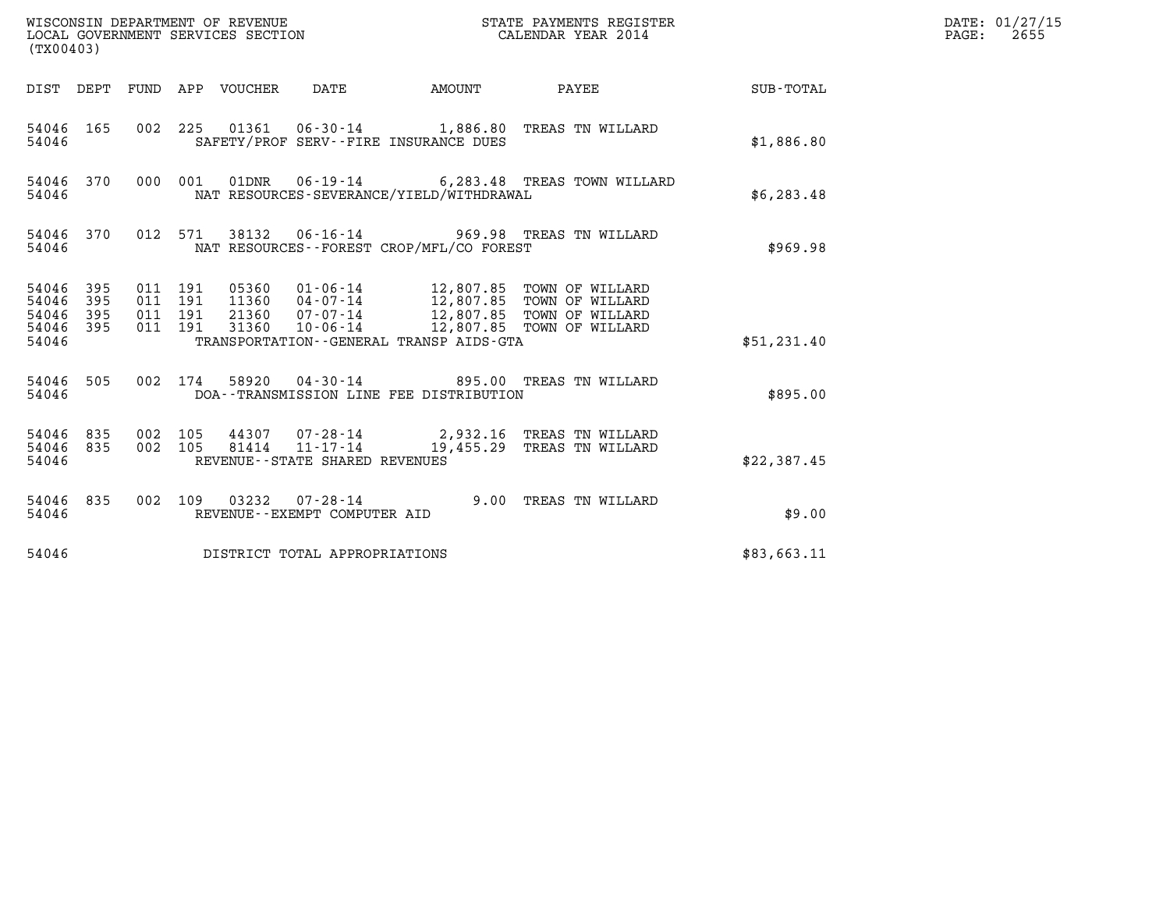| WISCONSIN DEPARTMENT OF REVENUE<br>LOCAL GOVERNMENT SERVICES SECTION<br>(TX00403) |            |                                          |         |                                 |                                                        |                                              | STATE PAYMENTS REGISTER<br>CALENDAR YEAR 2014                                                                                                                                           |             | DATE: 01/27/15<br>$\mathtt{PAGE:}$<br>2655 |
|-----------------------------------------------------------------------------------|------------|------------------------------------------|---------|---------------------------------|--------------------------------------------------------|----------------------------------------------|-----------------------------------------------------------------------------------------------------------------------------------------------------------------------------------------|-------------|--------------------------------------------|
|                                                                                   |            |                                          |         | DIST DEPT FUND APP VOUCHER DATE |                                                        | AMOUNT                                       | <b>PAYEE</b>                                                                                                                                                                            | SUB-TOTAL   |                                            |
| 54046                                                                             | 54046 165  |                                          |         |                                 |                                                        | SAFETY/PROF SERV--FIRE INSURANCE DUES        | 002 225 01361 06-30-14 1,886.80 TREAS TN WILLARD                                                                                                                                        | \$1,886.80  |                                            |
| 54046                                                                             | 54046 370  |                                          |         |                                 |                                                        | NAT RESOURCES-SEVERANCE/YIELD/WITHDRAWAL     | 000 001 01DNR 06-19-14 6,283.48 TREAS TOWN WILLARD                                                                                                                                      | \$6,283.48  |                                            |
| 54046                                                                             | 54046 370  |                                          | 012 571 |                                 |                                                        | NAT RESOURCES--FOREST CROP/MFL/CO FOREST     | 38132  06-16-14  969.98  TREAS TN WILLARD                                                                                                                                               | \$969.98    |                                            |
| 54046 395<br>54046<br>54046<br>54046 395<br>54046                                 | 395<br>395 | 011 191<br>011 191<br>011 191<br>011 191 |         |                                 |                                                        | TRANSPORTATION - - GENERAL TRANSP AIDS - GTA | 05360  01-06-14   12,807.85  TOWN OF WILLARD<br>11360  04-07-14   12,807.85  TOWN OF WILLARD<br>21360 07-07-14 12,807.85 TOWN OF WILLARD<br>31360  10-06-14  12,807.85  TOWN OF WILLARD | \$51,231.40 |                                            |
| 54046                                                                             | 54046 505  |                                          |         |                                 |                                                        | DOA--TRANSMISSION LINE FEE DISTRIBUTION      | 002 174 58920 04-30-14 895.00 TREAS TN WILLARD                                                                                                                                          | \$895.00    |                                            |
| 54046 835<br>54046 835<br>54046                                                   |            | 002 105<br>002 105                       |         | 81414                           | 11-17-14<br>REVENUE - - STATE SHARED REVENUES          |                                              | 44307 07-28-14 2,932.16 TREAS TN WILLARD<br>19,455.29 TREAS TN WILLARD                                                                                                                  | \$22,387.45 |                                            |
| 54046 835<br>54046                                                                |            |                                          |         |                                 | 002 109 03232 07-28-14<br>REVENUE--EXEMPT COMPUTER AID |                                              | 9.00 TREAS TN WILLARD                                                                                                                                                                   | \$9.00      |                                            |
| 54046                                                                             |            |                                          |         |                                 | DISTRICT TOTAL APPROPRIATIONS                          |                                              |                                                                                                                                                                                         | \$83,663.11 |                                            |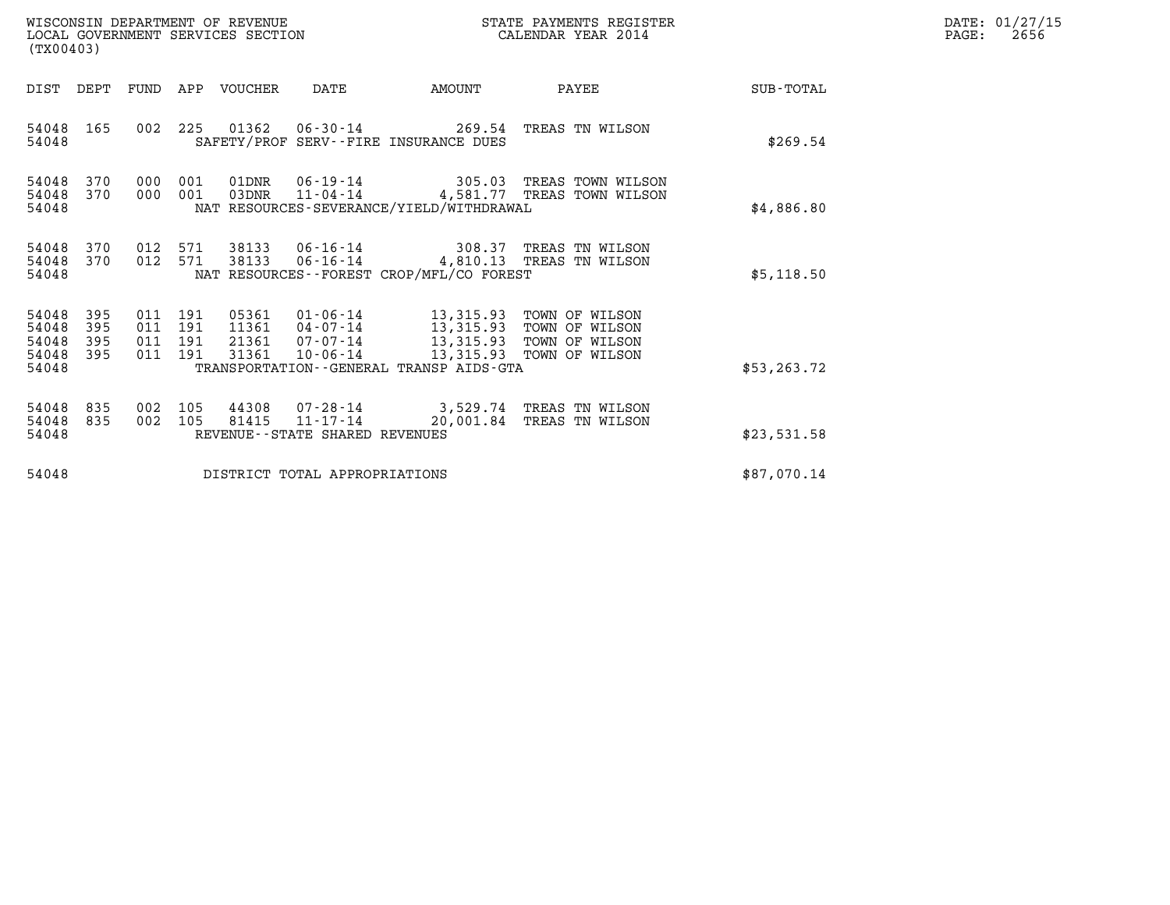| WISCONSIN DEPARTMENT OF REVENUE<br>LOCAL GOVERNMENT SERVICES SECTION | STATE PAYMENTS REGISTER<br>CALENDAR YEAR 2014 | DATE: 01/27/15<br>2656<br>PAGE: |
|----------------------------------------------------------------------|-----------------------------------------------|---------------------------------|

| (TX00403)                                 |                                                                                                                                                                       |                    | WISCONSIN DEPARTMENT OF REVENUE<br>LOCAL GOVERNMENT SERVICES SECTION |                                          |                                                                                                                                    | STATE PAYMENTS REGISTER<br>CALENDAR YEAR 2014                        |              | DATE: 01/27/15<br>$\mathtt{PAGE}$ :<br>2656 |
|-------------------------------------------|-----------------------------------------------------------------------------------------------------------------------------------------------------------------------|--------------------|----------------------------------------------------------------------|------------------------------------------|------------------------------------------------------------------------------------------------------------------------------------|----------------------------------------------------------------------|--------------|---------------------------------------------|
| DIST DEPT                                 |                                                                                                                                                                       |                    | FUND APP VOUCHER                                                     | DATE                                     | <b>AMOUNT</b>                                                                                                                      | PAYEE                                                                | SUB-TOTAL    |                                             |
| 54048<br>54048                            | 165                                                                                                                                                                   |                    |                                                                      |                                          | SAFETY/PROF SERV--FIRE INSURANCE DUES                                                                                              | 002 225 01362 06-30-14 269.54 TREAS TN WILSON                        | \$269.54     |                                             |
| 54048<br>54048<br>54048                   | 000 001 01DNR  06-19-14 305.03 TREAS TOWN WILSON<br>370<br>000 001<br>03DNR<br>11-04-14 4,581.77 TREAS TOWN WILSON<br>370<br>NAT RESOURCES-SEVERANCE/YIELD/WITHDRAWAL |                    |                                                                      |                                          |                                                                                                                                    |                                                                      | \$4,886.80   |                                             |
| 54048<br>54048<br>54048                   | 370<br>370                                                                                                                                                            | 012 571            | 012 571 38133<br>38133                                               |                                          | NAT RESOURCES--FOREST CROP/MFL/CO FOREST                                                                                           | 06-16-14 308.37 TREAS TN WILSON<br>06-16-14 4,810.13 TREAS TN WILSON | \$5,118.50   |                                             |
| 54048<br>54048<br>54048<br>54048<br>54048 | 395<br>395<br>395<br>395                                                                                                                                              | 011 191<br>011 191 | 011 191 05361<br>31361                                               | 011 191 21361 07-07-14<br>$10 - 06 - 14$ | 01-06-14 13,315.93 TOWN OF WILSON<br>13,315.93<br>13,315.93<br>13,315.93 TOWN OF WILSON<br>TRANSPORTATION--GENERAL TRANSP AIDS-GTA | TOWN OF WILSON<br>TOWN OF WILSON                                     | \$53, 263.72 |                                             |
| 54048<br>54048<br>54048                   | 835<br>835                                                                                                                                                            | 002 105<br>002 105 | 81415                                                                | REVENUE--STATE SHARED REVENUES           | $11 - 17 - 14$ 20,001.84                                                                                                           | 44308 07-28-14 3,529.74 TREAS TN WILSON<br>TREAS TN WILSON           | \$23,531.58  |                                             |
| 54048                                     |                                                                                                                                                                       |                    |                                                                      | DISTRICT TOTAL APPROPRIATIONS            |                                                                                                                                    |                                                                      | \$87,070.14  |                                             |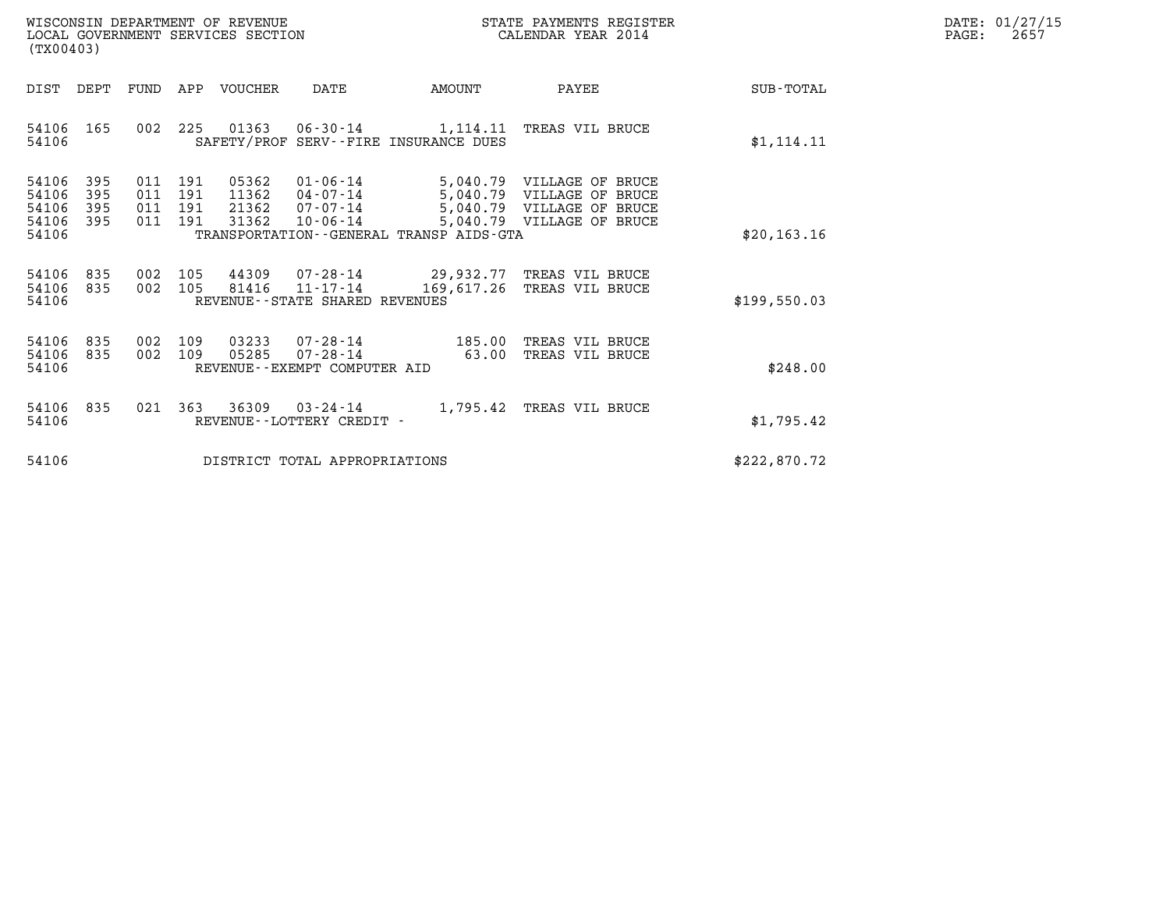| WISCONSIN DEPARTMENT OF REVENUE   | STATE PAYMENTS REGISTER | DATE: 01/27/15 |
|-----------------------------------|-------------------------|----------------|
| LOCAL GOVERNMENT SERVICES SECTION | CALENDAR YEAR 2014      | 2657<br>PAGE:  |

| LOCAL GOVERNMENT SERVICES SECTION<br>(TX00403) |            |            |            |         |                                |                                         | CALENDAR YEAR 2014                                                                                                                        |                  |
|------------------------------------------------|------------|------------|------------|---------|--------------------------------|-----------------------------------------|-------------------------------------------------------------------------------------------------------------------------------------------|------------------|
| DIST                                           | DEPT       | FUND       | APP        | VOUCHER | DATE                           | AMOUNT                                  | PAYEE                                                                                                                                     | <b>SUB-TOTAL</b> |
| 54106<br>54106                                 | 165        | 002        |            |         |                                | SAFETY/PROF SERV--FIRE INSURANCE DUES   | 225 01363 06-30-14 1,114.11 TREAS VIL BRUCE                                                                                               | \$1, 114.11      |
| 54106<br>54106                                 | 395<br>395 | 011<br>011 | 191<br>191 |         |                                |                                         | 05362  01-06-14  5,040.79  VILLAGE OF BRUCE<br>11362  04-07-14  5,040.79  VILLAGE OF BRUCE<br>21362  07-07-14  5,040.79  VILLAGE OF BRUCE |                  |
| 54106<br>54106                                 | 395<br>395 | 011<br>011 | 191<br>191 | 31362   | $10 - 06 - 14$                 |                                         | 5,040.79 VILLAGE OF BRUCE                                                                                                                 |                  |
| 54106                                          |            |            |            |         |                                | TRANSPORTATION--GENERAL TRANSP AIDS-GTA |                                                                                                                                           | \$20, 163.16     |
|                                                |            |            |            |         |                                |                                         |                                                                                                                                           |                  |
| 54106<br>54106                                 | 835<br>835 | 002<br>002 | 105        |         |                                |                                         | 105 44309 07-28-14 29,932.77 TREAS VIL BRUCE<br>81416  11-17-14  169, 617.26  TREAS VIL BRUCE                                             |                  |
| 54106                                          |            |            |            |         | REVENUE--STATE SHARED REVENUES |                                         |                                                                                                                                           | \$199,550.03     |
| 54106                                          | 835        | 002        | 109        |         |                                |                                         | 03233  07-28-14  185.00 TREAS VIL BRUCE                                                                                                   |                  |
| 54106<br>54106                                 | 835        | 002        | 109        | 05285   | REVENUE--EXEMPT COMPUTER AID   |                                         | 07-28-14 63.00 TREAS VIL BRUCE                                                                                                            | \$248.00         |
|                                                |            |            |            |         |                                |                                         |                                                                                                                                           |                  |
| 54106                                          | 835        |            |            |         | 021 363 36309 03-24-14         |                                         | 1,795.42 TREAS VIL BRUCE                                                                                                                  |                  |
| 54106                                          |            |            |            |         | REVENUE--LOTTERY CREDIT -      |                                         |                                                                                                                                           | \$1,795.42       |
| 54106                                          |            |            |            |         | DISTRICT TOTAL APPROPRIATIONS  |                                         |                                                                                                                                           | \$222,870.72     |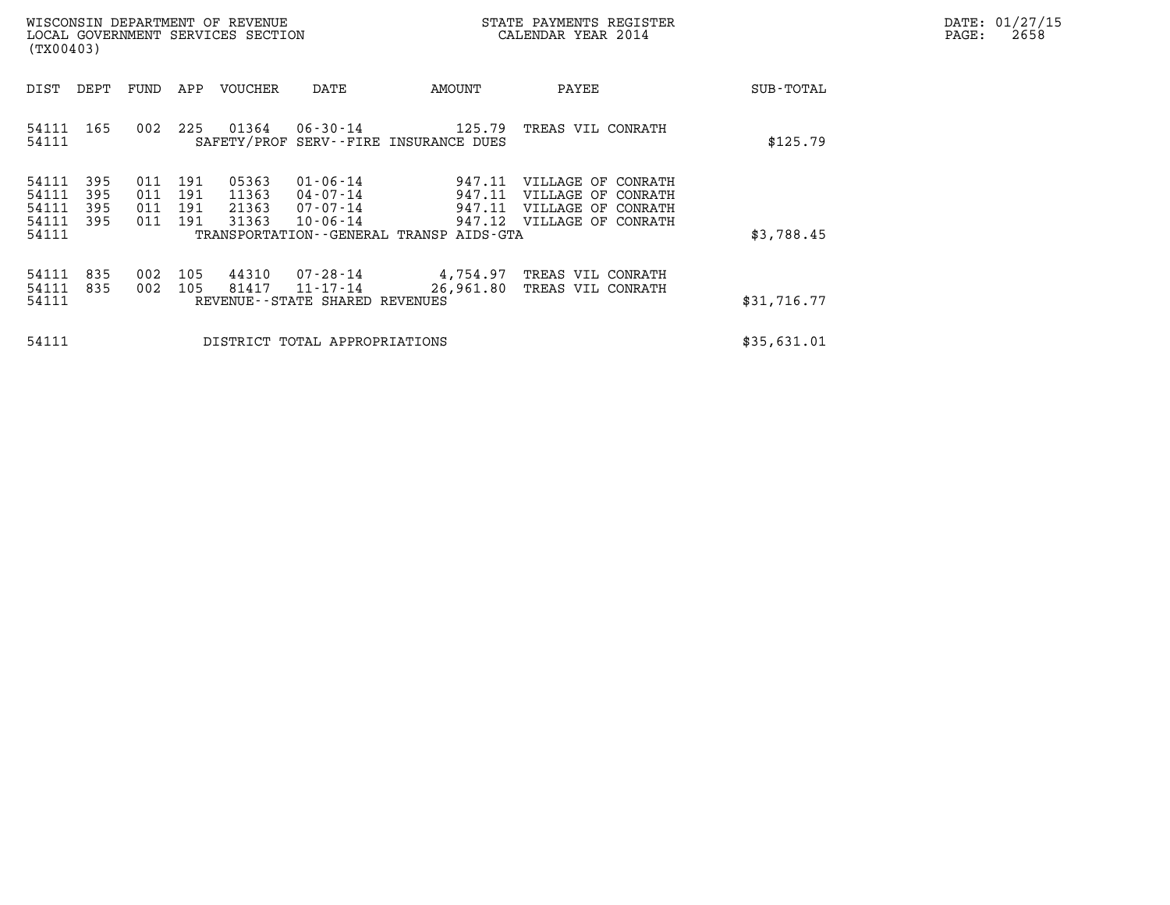| DATE: | 01/27/15 |
|-------|----------|
| PAGE: | 2658     |

| (TX00403)                                 |                          |                          |                          | WISCONSIN DEPARTMENT OF REVENUE<br>LOCAL GOVERNMENT SERVICES SECTION |                                                                      |                                                                                      | STATE PAYMENTS REGISTER<br>CALENDAR YEAR 2014                                        |             | DATE: 01/27/15<br>PAGE:<br>2658 |
|-------------------------------------------|--------------------------|--------------------------|--------------------------|----------------------------------------------------------------------|----------------------------------------------------------------------|--------------------------------------------------------------------------------------|--------------------------------------------------------------------------------------|-------------|---------------------------------|
| DIST                                      | DEPT                     | FUND                     | APP                      | VOUCHER                                                              | DATE                                                                 | AMOUNT                                                                               | PAYEE                                                                                | SUB-TOTAL   |                                 |
| 54111<br>54111                            | 165                      | 002                      | 225                      | 01364                                                                | 06-30-14                                                             | 125.79<br>SAFETY/PROF SERV--FIRE INSURANCE DUES                                      | TREAS VIL CONRATH                                                                    | \$125.79    |                                 |
| 54111<br>54111<br>54111<br>54111<br>54111 | 395<br>395<br>395<br>395 | 011<br>011<br>011<br>011 | 191<br>191<br>191<br>191 | 05363<br>11363<br>21363<br>31363                                     | $01 - 06 - 14$<br>$04 - 07 - 14$<br>$07 - 07 - 14$<br>$10 - 06 - 14$ | 947.11<br>947.11<br>947.11<br>947.12<br>TRANSPORTATION - - GENERAL TRANSP AIDS - GTA | VILLAGE OF CONRATH<br>VILLAGE OF CONRATH<br>VILLAGE OF CONRATH<br>VILLAGE OF CONRATH | \$3,788.45  |                                 |
| 54111<br>54111<br>54111                   | 835<br>835               | 002<br>002               | 105<br>105               | 44310<br>81417                                                       | 07-28-14<br>11-17-14<br>REVENUE--STATE SHARED REVENUES               | 4,754.97<br>26,961.80                                                                | TREAS VIL CONRATH<br>TREAS VIL CONRATH                                               | \$31,716.77 |                                 |
| 54111                                     |                          |                          |                          |                                                                      | DISTRICT TOTAL APPROPRIATIONS                                        | \$35,631.01                                                                          |                                                                                      |             |                                 |
|                                           |                          |                          |                          |                                                                      |                                                                      |                                                                                      |                                                                                      |             |                                 |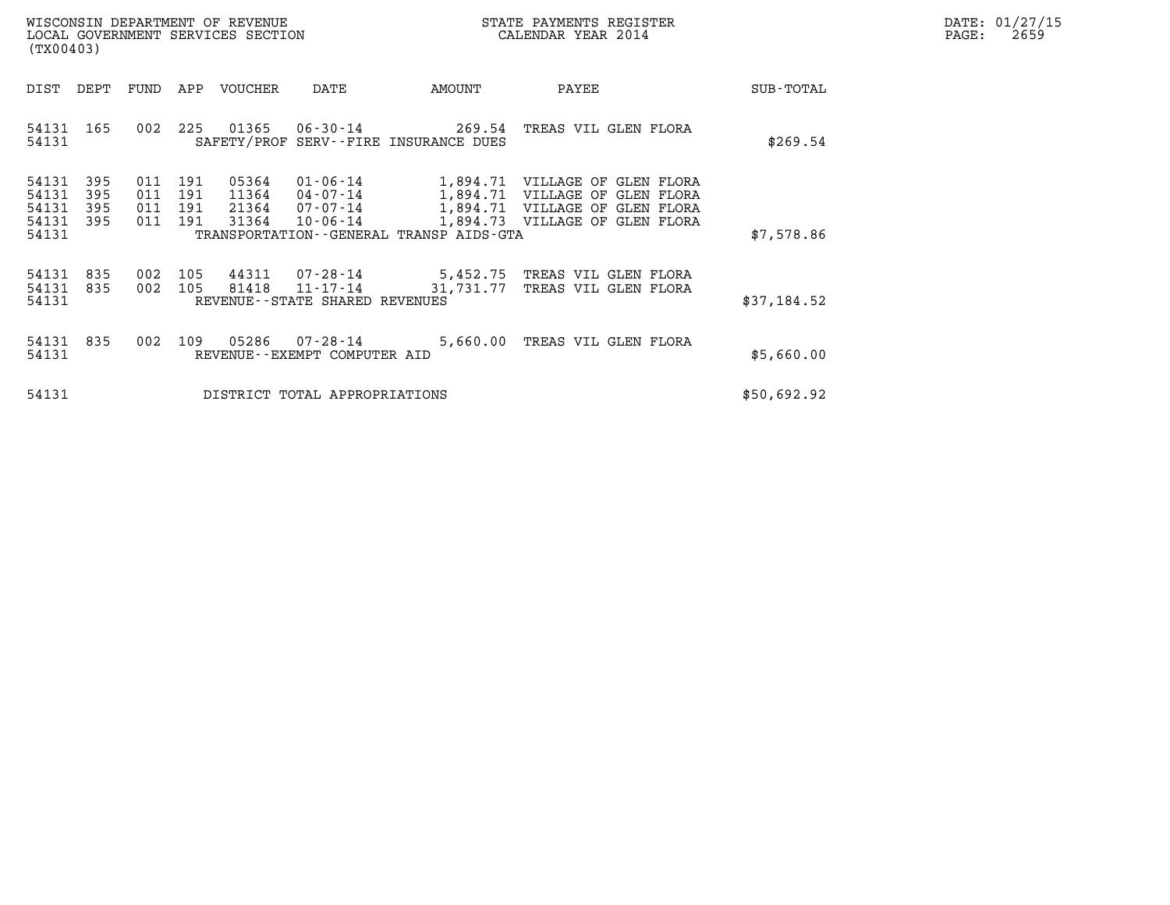| DATE:             | 01/27/15 |
|-------------------|----------|
| $\mathtt{PAGE}$ : | 2659     |

| WISCONSIN DEPARTMENT OF REVENUE<br>LOCAL GOVERNMENT SERVICES SECTION<br>(TX00403) |                          |                              |                   |                         |                                                |                                         | STATE PAYMENTS REGISTER<br>CALENDAR YEAR 2014                                                                                                          |             | DATE: 01/27/15<br>$\mathtt{PAGE:}$<br>2659 |
|-----------------------------------------------------------------------------------|--------------------------|------------------------------|-------------------|-------------------------|------------------------------------------------|-----------------------------------------|--------------------------------------------------------------------------------------------------------------------------------------------------------|-------------|--------------------------------------------|
| DIST                                                                              | DEPT                     |                              |                   | FUND APP VOUCHER        | DATE                                           | AMOUNT                                  | PAYEE                                                                                                                                                  | SUB-TOTAL   |                                            |
| 54131 165<br>54131                                                                |                          | 002                          |                   |                         |                                                | SAFETY/PROF SERV--FIRE INSURANCE DUES   | 225  01365  06-30-14  269.54  TREAS VIL GLEN FLORA                                                                                                     | \$269.54    |                                            |
| 54131<br>54131<br>54131<br>54131<br>54131                                         | 395<br>395<br>395<br>395 | 011<br>011 191<br>011<br>011 | 191<br>191<br>191 | 05364<br>11364<br>31364 | 21364 07-07-14<br>10-06-14                     | TRANSPORTATION--GENERAL TRANSP AIDS-GTA | 01-06-14 1,894.71 VILLAGE OF GLEN FLORA<br>04-07-14 1,894.71 VILLAGE OF GLEN FLORA<br>1,894.71 VILLAGE OF GLEN FLORA<br>1,894.73 VILLAGE OF GLEN FLORA | \$7,578.86  |                                            |
| 54131 835<br>54131<br>54131                                                       | 835                      | 002 105                      |                   | 81418                   | REVENUE--STATE SHARED REVENUES                 | $11 - 17 - 14$ 31, 731, 77              | 002  105  44311  07-28-14  5,452.75  TREAS VIL GLEN FLORA<br>TREAS VIL GLEN FLORA                                                                      | \$37,184.52 |                                            |
| 54131 835<br>54131                                                                |                          |                              |                   | 002 109 05286           | $07 - 28 - 14$<br>REVENUE--EXEMPT COMPUTER AID |                                         | 5,660.00 TREAS VIL GLEN FLORA                                                                                                                          | \$5,660.00  |                                            |
| 54131                                                                             |                          |                              |                   |                         | DISTRICT TOTAL APPROPRIATIONS                  |                                         |                                                                                                                                                        | \$50,692.92 |                                            |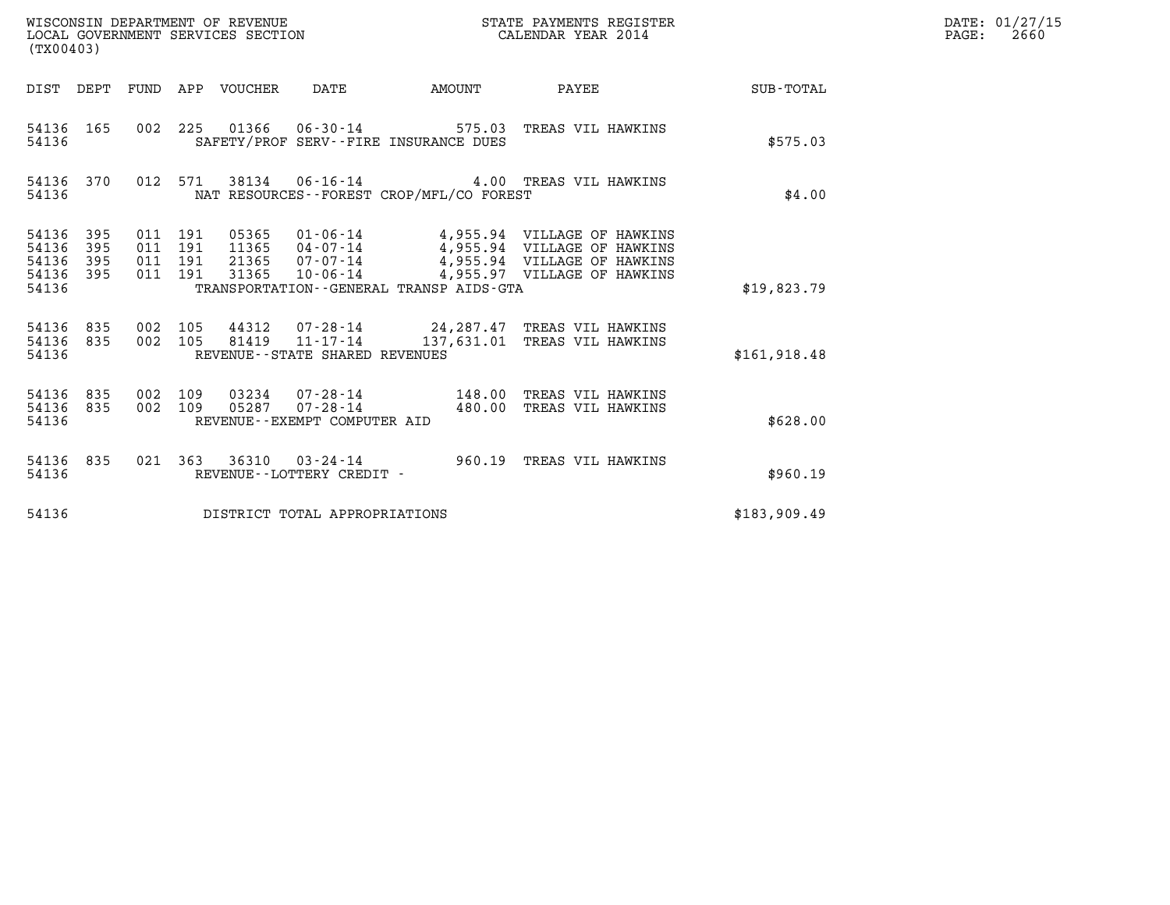| WISCONSIN DEPARTMENT OF REVENUE<br>LOCAL GOVERNMENT SERVICES SECTION<br>(TX00403) |                          |                                          |         |                            |                                                   |                                              | STATE PAYMENTS REGISTER<br>CALENDAR YEAR 2014                                                                                                                                  |              | DATE: 01/27/15<br>$\mathtt{PAGE}$ :<br>2660 |
|-----------------------------------------------------------------------------------|--------------------------|------------------------------------------|---------|----------------------------|---------------------------------------------------|----------------------------------------------|--------------------------------------------------------------------------------------------------------------------------------------------------------------------------------|--------------|---------------------------------------------|
|                                                                                   |                          |                                          |         | DIST DEPT FUND APP VOUCHER | DATE                                              |                                              | AMOUNT PAYEE SUB-TOTAL                                                                                                                                                         |              |                                             |
| 54136 165<br>54136                                                                |                          |                                          |         |                            |                                                   | SAFETY/PROF SERV--FIRE INSURANCE DUES        | 002 225 01366 06-30-14 575.03 TREAS VIL HAWKINS                                                                                                                                | \$575.03     |                                             |
| 54136 370<br>54136                                                                |                          |                                          | 012 571 |                            |                                                   | NAT RESOURCES - - FOREST CROP/MFL/CO FOREST  | 38134  06-16-14  4.00 TREAS VIL HAWKINS                                                                                                                                        | \$4.00       |                                             |
| 54136<br>54136<br>54136<br>54136<br>54136                                         | 395<br>395<br>395<br>395 | 011 191<br>011 191<br>011 191<br>011 191 |         | 31365                      |                                                   | TRANSPORTATION - - GENERAL TRANSP AIDS - GTA | 05365 01-06-14 4,955.94 VILLAGE OF HAWKINS<br>11365 04-07-14 4,955.94 VILLAGE OF HAWKINS<br>21365 07-07-14 4,955.94 VILLAGE OF HAWKINS<br>10-06-14 4,955.97 VILLAGE OF HAWKINS | \$19.823.79  |                                             |
| 54136 835<br>54136<br>54136                                                       | 835                      | 002 105<br>002 105                       |         |                            | REVENUE--STATE SHARED REVENUES                    |                                              | 44312  07-28-14  24,287.47  TREAS VIL HAWKINS<br>81419  11-17-14  137,631.01  TREAS VIL HAWKINS                                                                                | \$161,918.48 |                                             |
| 54136<br>54136<br>54136                                                           | 835<br>835               | 002<br>002 109                           | 109     |                            | 05287 07-28-14<br>REVENUE - - EXEMPT COMPUTER AID |                                              | 03234  07-28-14  148.00 TREAS VIL HAWKINS<br>480.00 TREAS VIL HAWKINS                                                                                                          | \$628.00     |                                             |
| 54136 835<br>54136                                                                |                          |                                          |         |                            | REVENUE--LOTTERY CREDIT -                         |                                              | 021 363 36310 03-24-14 960.19 TREAS VIL HAWKINS                                                                                                                                | \$960.19     |                                             |
| 54136                                                                             |                          |                                          |         |                            | DISTRICT TOTAL APPROPRIATIONS                     |                                              |                                                                                                                                                                                | \$183,909.49 |                                             |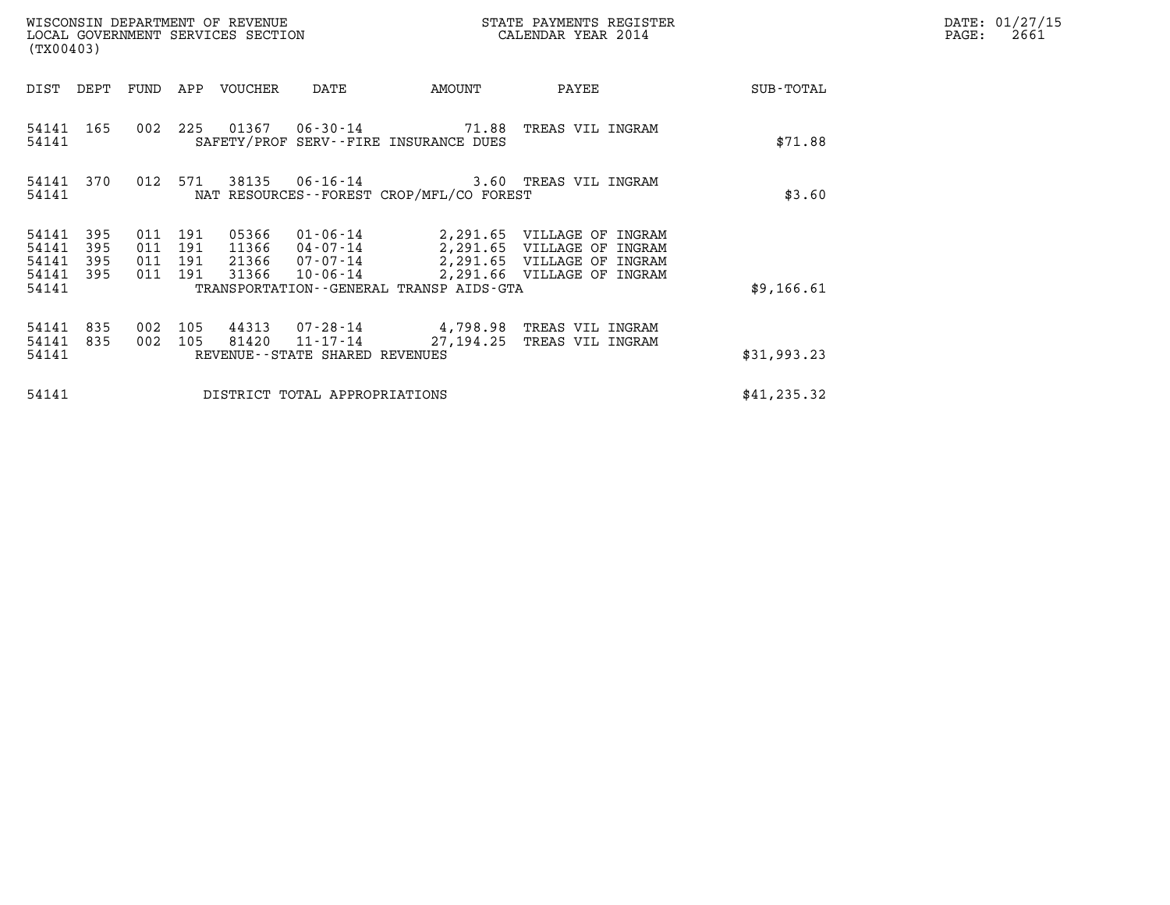| WISCONSIN DEPARTMENT OF REVENUE<br>LOCAL GOVERNMENT SERVICES SECTION<br>(TX00403) |                          |                          |                          |                                  |                                            | STATE PAYMENTS REGISTER<br>CALENDAR YEAR 2014                                                   |                            |  | DATE: 01/27/15<br>$\mathtt{PAGE}$ :<br>2661 |  |
|-----------------------------------------------------------------------------------|--------------------------|--------------------------|--------------------------|----------------------------------|--------------------------------------------|-------------------------------------------------------------------------------------------------|----------------------------|--|---------------------------------------------|--|
| DIST                                                                              | DEPT                     | FUND                     |                          | APP VOUCHER                      | DATE                                       | AMOUNT                                                                                          | PAYEE                      |  | SUB-TOTAL                                   |  |
| 54141 165<br>54141                                                                |                          | 002 225                  |                          |                                  |                                            | SAFETY/PROF SERV--FIRE INSURANCE DUES                                                           | TREAS VIL INGRAM           |  | \$71.88                                     |  |
| 54141                                                                             | 54141 370                | 012 571                  |                          |                                  |                                            | 38135 06-16-14 3.60 TREAS VIL INGRAM<br>NAT RESOURCES--FOREST CROP/MFL/CO FOREST                |                            |  | \$3.60                                      |  |
| 54141<br>54141<br>54141<br>54141                                                  | 395<br>395<br>395<br>395 | 011<br>011<br>011<br>011 | 191<br>191<br>191<br>191 | 05366<br>11366<br>21366<br>31366 | 01-06-14<br>04-07-14<br>10-06-14           | 2,291.65 VILLAGE OF INGRAM<br>2,291.65 VILLAGE OF INGRAM<br>07-07-14 2,291.65 VILLAGE OF INGRAM | 2,291.66 VILLAGE OF INGRAM |  |                                             |  |
| 54141                                                                             |                          |                          |                          |                                  |                                            | TRANSPORTATION--GENERAL TRANSP AIDS-GTA                                                         |                            |  | \$9,166.61                                  |  |
| 54141<br>54141<br>54141                                                           | 835<br>835               | 002<br>002               | 105<br>105               | 44313<br>81420                   | 11-17-14<br>REVENUE--STATE SHARED REVENUES | 07-28-14  4,798.98 TREAS VIL INGRAM<br>27,194.25                                                | TREAS VIL INGRAM           |  | \$31,993.23                                 |  |
| 54141                                                                             |                          |                          |                          |                                  | DISTRICT TOTAL APPROPRIATIONS              |                                                                                                 |                            |  | \$41, 235.32                                |  |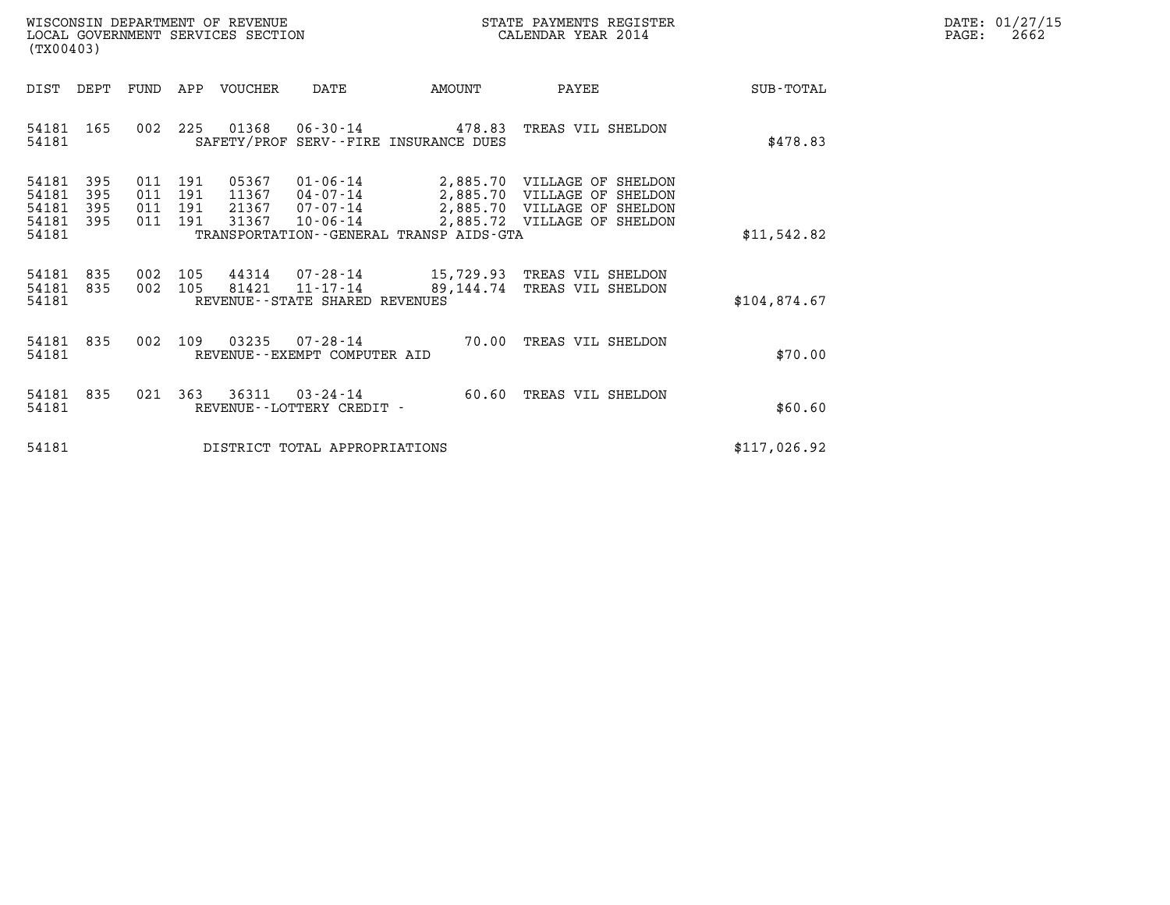| WISCONSIN DEPARTMENT OF REVENUE   | STATE PAYMENTS REGISTER | DATE: 01/27/15 |
|-----------------------------------|-------------------------|----------------|
| LOCAL GOVERNMENT SERVICES SECTION | CALENDAR YEAR 2014      | 2662<br>PAGE:  |

| (TX00403)                                                                                         | WISCONSIN DEPARTMENT OF REVENUE<br>STATE PAYMENTS REGISTER<br>LOCAL GOVERNMENT SERVICES SECTION<br>CALENDAR YEAR 2014                                               |           |                                                                                                                          |              |  |  |  |
|---------------------------------------------------------------------------------------------------|---------------------------------------------------------------------------------------------------------------------------------------------------------------------|-----------|--------------------------------------------------------------------------------------------------------------------------|--------------|--|--|--|
| DIST<br>DEPT<br>FUND                                                                              | <b>VOUCHER</b><br>APP<br>DATE                                                                                                                                       | AMOUNT    | PAYEE                                                                                                                    | SUB-TOTAL    |  |  |  |
| 002<br>54181<br>165<br>54181                                                                      | 225<br>01368<br>06-30-14<br>SAFETY/PROF SERV--FIRE INSURANCE DUES                                                                                                   | 478.83    | TREAS VIL SHELDON                                                                                                        | \$478.83     |  |  |  |
| 395<br>54181<br>011<br>395<br>011<br>54181<br>54181<br>395<br>011<br>395<br>54181<br>011<br>54181 | 05367<br>01-06-14<br>191<br>191<br>11367<br>$04 - 07 - 14$<br>191<br>21367<br>07-07-14<br>191<br>31367<br>$10 - 06 - 14$<br>TRANSPORTATION--GENERAL TRANSP AIDS-GTA |           | 2,885.70 VILLAGE OF SHELDON<br>2,885.70 VILLAGE OF SHELDON<br>2,885.70 VILLAGE OF SHELDON<br>2,885.72 VILLAGE OF SHELDON | \$11,542.82  |  |  |  |
| 54181<br>835<br>002<br>835<br>54181<br>002<br>54181                                               | 105<br>44314<br>81421<br>$11 - 17 - 14$<br>105<br>REVENUE--STATE SHARED REVENUES                                                                                    | 89,144.74 | 07-28-14 15,729.93 TREAS VIL SHELDON<br>TREAS VIL SHELDON                                                                | \$104,874.67 |  |  |  |
| 002<br>54181<br>835<br>54181                                                                      | 109<br>03235<br>$07 - 28 - 14$<br>REVENUE--EXEMPT COMPUTER AID                                                                                                      | 70.00     | TREAS VIL SHELDON                                                                                                        | \$70.00      |  |  |  |
| 835<br>021<br>54181<br>54181                                                                      | 363<br>36311<br>$03 - 24 - 14$<br>REVENUE - - LOTTERY CREDIT -                                                                                                      | 60.60     | TREAS VIL SHELDON                                                                                                        | \$60.60      |  |  |  |
| 54181                                                                                             | DISTRICT TOTAL APPROPRIATIONS                                                                                                                                       |           |                                                                                                                          | \$117,026.92 |  |  |  |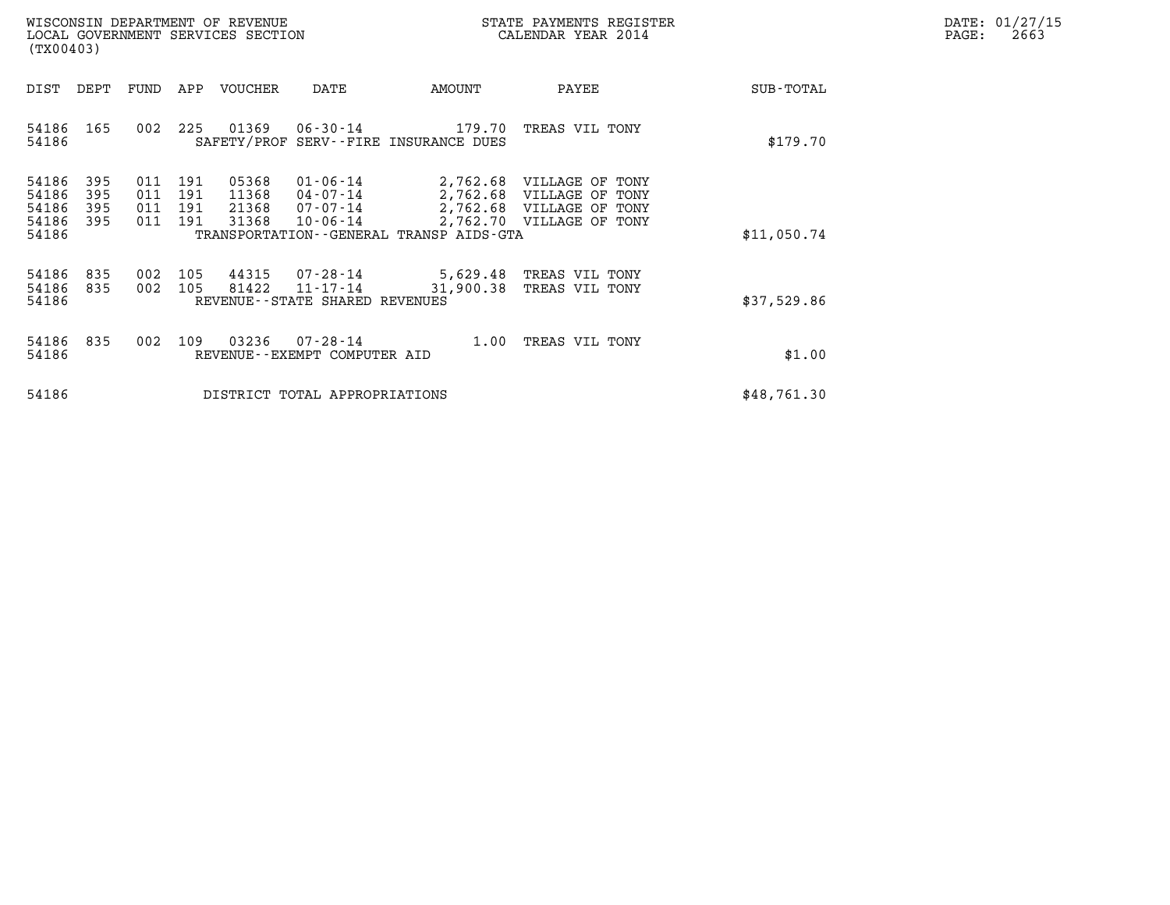| DATE: | 01/27/15 |
|-------|----------|
| PAGE: | 2663     |

| WISCONSIN DEPARTMENT OF REVENUE<br>LOCAL GOVERNMENT SERVICES SECTION<br>(TX00403)                                                                                                                                                                                        |                                      | STATE PAYMENTS REGISTER<br>CALENDAR YEAR 2014                                                                |             | DATE: 01/27/15<br>PAGE:<br>2663 |
|--------------------------------------------------------------------------------------------------------------------------------------------------------------------------------------------------------------------------------------------------------------------------|--------------------------------------|--------------------------------------------------------------------------------------------------------------|-------------|---------------------------------|
| DEPT<br>VOUCHER<br>DIST<br>FUND<br>APP<br>DATE                                                                                                                                                                                                                           | AMOUNT                               | PAYEE                                                                                                        | SUB-TOTAL   |                                 |
| 01369<br>54186<br>165<br>225<br>002<br>54186<br>SAFETY/PROF SERV--FIRE INSURANCE DUES                                                                                                                                                                                    | 06-30-14 179.70                      | TREAS VIL TONY                                                                                               | \$179.70    |                                 |
| 54186<br>191<br>05368<br>$01 - 06 - 14$<br>395<br>011<br>54186<br>395<br>011<br>191<br>11368<br>04-07-14<br>54186<br>011<br>21368<br>395<br>191<br>07-07-14<br>31368<br>54186<br>395<br>011<br>191<br>$10 - 06 - 14$<br>54186<br>TRANSPORTATION--GENERAL TRANSP AIDS-GTA |                                      | 2,762.68 VILLAGE OF TONY<br>2,762.68 VILLAGE OF TONY<br>2,762.68 VILLAGE OF TONY<br>2,762.70 VILLAGE OF TONY | \$11,050.74 |                                 |
| 54186<br>105<br>44315<br>07-28-14<br>835<br>002<br>002<br>81422<br>54186<br>105<br>835<br>11-17-14<br>54186<br>REVENUE--STATE SHARED REVENUES                                                                                                                            | 5,629.48 TREAS VIL TONY<br>31,900.38 | TREAS VIL TONY                                                                                               | \$37,529.86 |                                 |
| 03236<br>54186<br>835<br>109<br>$07 - 28 - 14$<br>002<br>54186<br>REVENUE--EXEMPT COMPUTER AID                                                                                                                                                                           | 1.00                                 | TREAS VIL TONY                                                                                               | \$1.00      |                                 |
| 54186<br>DISTRICT TOTAL APPROPRIATIONS                                                                                                                                                                                                                                   |                                      |                                                                                                              | \$48,761.30 |                                 |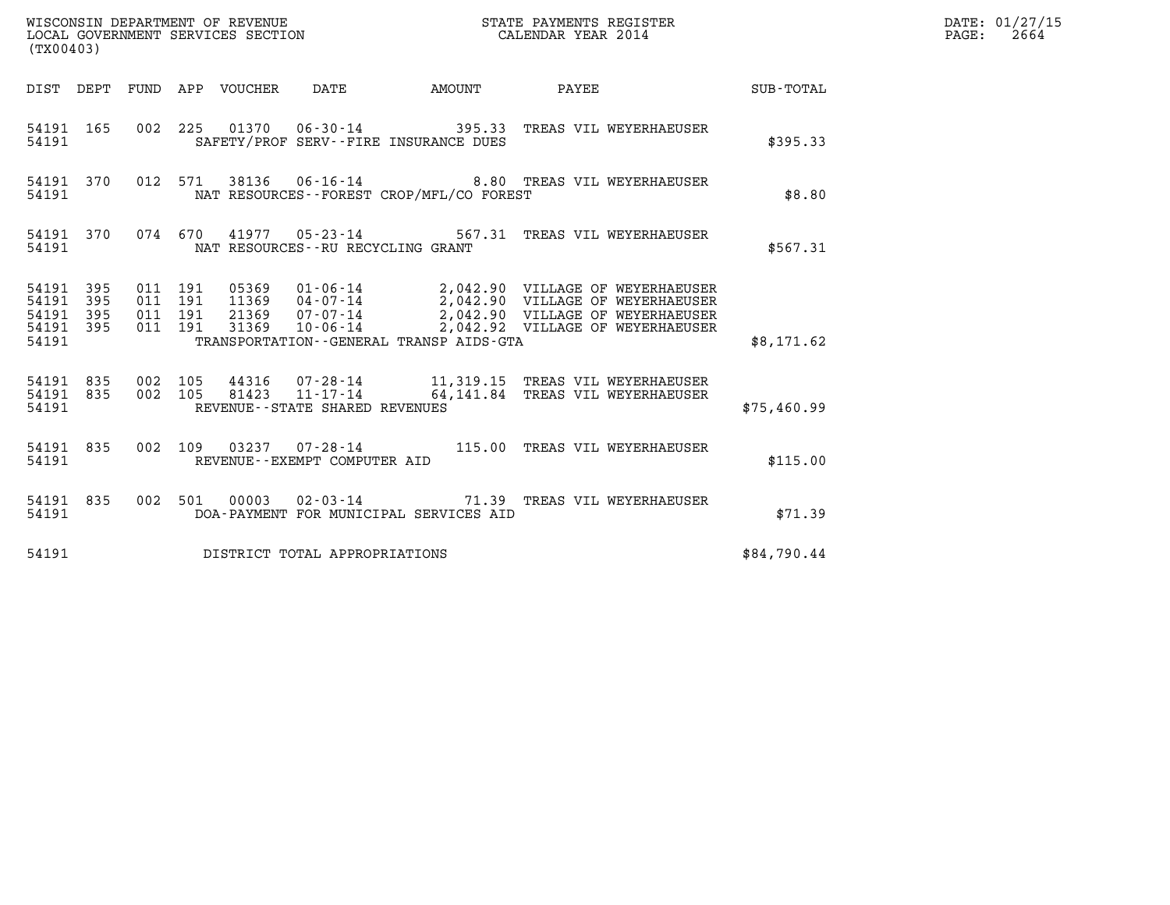| (TX00403)                                             |     |                                          |  |  |                                         |                                                |                                                                                                                                                                                                                      |             | DATE: 01/27/15<br>$\mathtt{PAGE:}$<br>2664 |
|-------------------------------------------------------|-----|------------------------------------------|--|--|-----------------------------------------|------------------------------------------------|----------------------------------------------------------------------------------------------------------------------------------------------------------------------------------------------------------------------|-------------|--------------------------------------------|
|                                                       |     |                                          |  |  |                                         |                                                | DIST DEPT FUND APP VOUCHER DATE AMOUNT PAYEE TOTAL                                                                                                                                                                   |             |                                            |
| 54191                                                 |     |                                          |  |  |                                         | SAFETY/PROF SERV--FIRE INSURANCE DUES          | 54191 165 002 225 01370 06-30-14 395.33 TREAS VIL WEYERHAEUSER                                                                                                                                                       | \$395.33    |                                            |
|                                                       |     |                                          |  |  |                                         | 54191 NAT RESOURCES--FOREST CROP/MFL/CO FOREST | 54191 370 012 571 38136 06-16-14 8.80 TREAS VIL WEYERHAEUSER                                                                                                                                                         | \$8.80      |                                            |
|                                                       |     |                                          |  |  | 54191 NAT RESOURCES--RU RECYCLING GRANT |                                                | 54191 370 074 670 41977 05-23-14 567.31 TREAS VIL WEYERHAEUSER                                                                                                                                                       | \$567.31    |                                            |
| 54191 395<br>54191 395<br>54191<br>54191 395<br>54191 | 395 | 011 191<br>011 191<br>011 191<br>011 191 |  |  |                                         | TRANSPORTATION--GENERAL TRANSP AIDS-GTA        | 05369  01-06-14  2,042.90  VILLAGE OF WEYERHAEUSER<br>11369  04-07-14  2,042.90  VILLAGE OF WEYERHAEUSER<br>21369  07-07-14  2,042.90  VILLAGE OF WEYERHAEUSER<br>31369  10-06-14  2,042.92  VILLAGE OF WEYERHAEUSER | \$8,171.62  |                                            |
| 54191                                                 |     |                                          |  |  | REVENUE--STATE SHARED REVENUES          |                                                | 54191 835 002 105 44316 07-28-14 11,319.15 TREAS VIL WEYERHAEUSER<br>54191 835 002 105 81423 11-17-14 64,141.84 TREAS VIL WEYERHAEUSER                                                                               | \$75,460.99 |                                            |
| 54191                                                 |     |                                          |  |  | REVENUE--EXEMPT COMPUTER AID            |                                                | 54191 835 002 109 03237 07-28-14 115.00 TREAS VIL WEYERHAEUSER                                                                                                                                                       | \$115.00    |                                            |
| 54191                                                 |     |                                          |  |  |                                         | DOA-PAYMENT FOR MUNICIPAL SERVICES AID         | 54191 835 002 501 00003 02-03-14 71.39 TREAS VIL WEYERHAEUSER                                                                                                                                                        | \$71.39     |                                            |
|                                                       |     |                                          |  |  | 54191 DISTRICT TOTAL APPROPRIATIONS     |                                                |                                                                                                                                                                                                                      | \$84,790.44 |                                            |